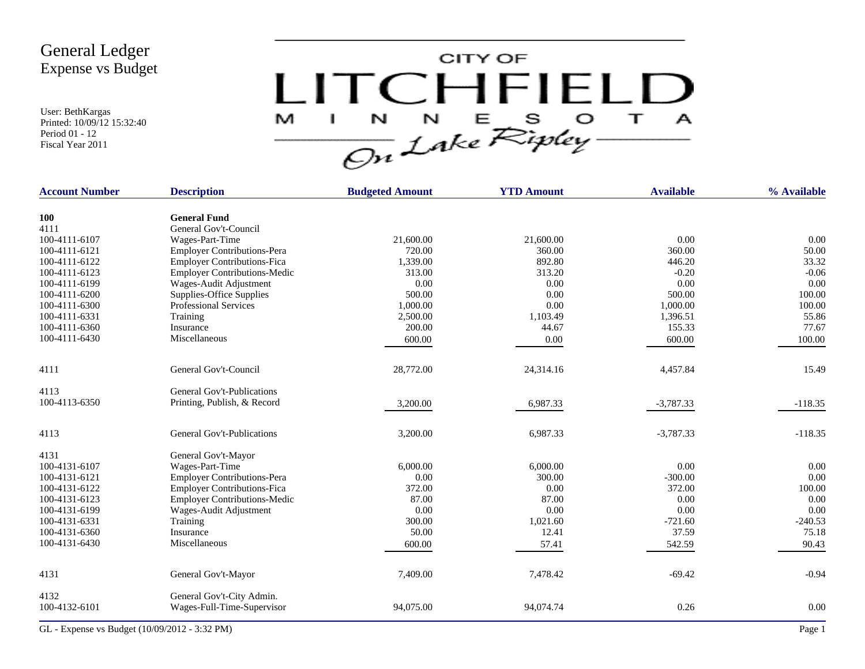User: BethKargas Printed: 10/09/12 15:32:40 Period 01 - 12 Fiscal Year 2011



| <b>Account Number</b> | <b>Description</b>                  | <b>Budgeted Amount</b> | <b>YTD Amount</b> | <b>Available</b> | % Available |
|-----------------------|-------------------------------------|------------------------|-------------------|------------------|-------------|
| <b>100</b>            | <b>General Fund</b>                 |                        |                   |                  |             |
| 4111                  | General Gov't-Council               |                        |                   |                  |             |
| 100-4111-6107         | Wages-Part-Time                     | 21,600.00              | 21,600.00         | 0.00             | 0.00        |
| 100-4111-6121         | <b>Employer Contributions-Pera</b>  | 720.00                 | 360.00            | 360.00           | 50.00       |
| 100-4111-6122         | <b>Employer Contributions-Fica</b>  | 1,339.00               | 892.80            | 446.20           | 33.32       |
| 100-4111-6123         | <b>Employer Contributions-Medic</b> | 313.00                 | 313.20            | $-0.20$          | $-0.06$     |
| 100-4111-6199         | Wages-Audit Adjustment              | 0.00                   | 0.00              | 0.00             | 0.00        |
| 100-4111-6200         | Supplies-Office Supplies            | 500.00                 | 0.00              | 500.00           | 100.00      |
| 100-4111-6300         | <b>Professional Services</b>        | 1,000.00               | 0.00              | 1,000.00         | 100.00      |
| 100-4111-6331         | Training                            | 2,500.00               | 1,103.49          | 1,396.51         | 55.86       |
| 100-4111-6360         | Insurance                           | 200.00                 | 44.67             | 155.33           | 77.67       |
| 100-4111-6430         | Miscellaneous                       | 600.00                 | 0.00              | 600.00           | 100.00      |
| 4111                  | General Gov't-Council               | 28,772.00              | 24,314.16         | 4,457.84         | 15.49       |
| 4113                  | <b>General Gov't-Publications</b>   |                        |                   |                  |             |
| 100-4113-6350         | Printing, Publish, & Record         | 3,200.00               | 6,987.33          | $-3,787.33$      | $-118.35$   |
| 4113                  | <b>General Gov't-Publications</b>   | 3,200.00               | 6,987.33          | $-3,787.33$      | $-118.35$   |
| 4131                  | General Gov't-Mayor                 |                        |                   |                  |             |
| 100-4131-6107         | Wages-Part-Time                     | 6,000.00               | 6,000.00          | 0.00             | 0.00        |
| 100-4131-6121         | <b>Employer Contributions-Pera</b>  | 0.00                   | 300.00            | $-300.00$        | 0.00        |
| 100-4131-6122         | <b>Employer Contributions-Fica</b>  | 372.00                 | 0.00              | 372.00           | 100.00      |
| 100-4131-6123         | <b>Employer Contributions-Medic</b> | 87.00                  | 87.00             | 0.00             | 0.00        |
| 100-4131-6199         | Wages-Audit Adjustment              | 0.00                   | 0.00              | 0.00             | 0.00        |
| 100-4131-6331         | Training                            | 300.00                 | 1,021.60          | $-721.60$        | $-240.53$   |
| 100-4131-6360         | Insurance                           | 50.00                  | 12.41             | 37.59            | 75.18       |
| 100-4131-6430         | Miscellaneous                       | 600.00                 | 57.41             | 542.59           | 90.43       |
| 4131                  | General Gov't-Mayor                 | 7,409.00               | 7,478.42          | $-69.42$         | $-0.94$     |
| 4132                  | General Gov't-City Admin.           |                        |                   |                  |             |
| 100-4132-6101         | Wages-Full-Time-Supervisor          | 94,075.00              | 94,074.74         | 0.26             | 0.00        |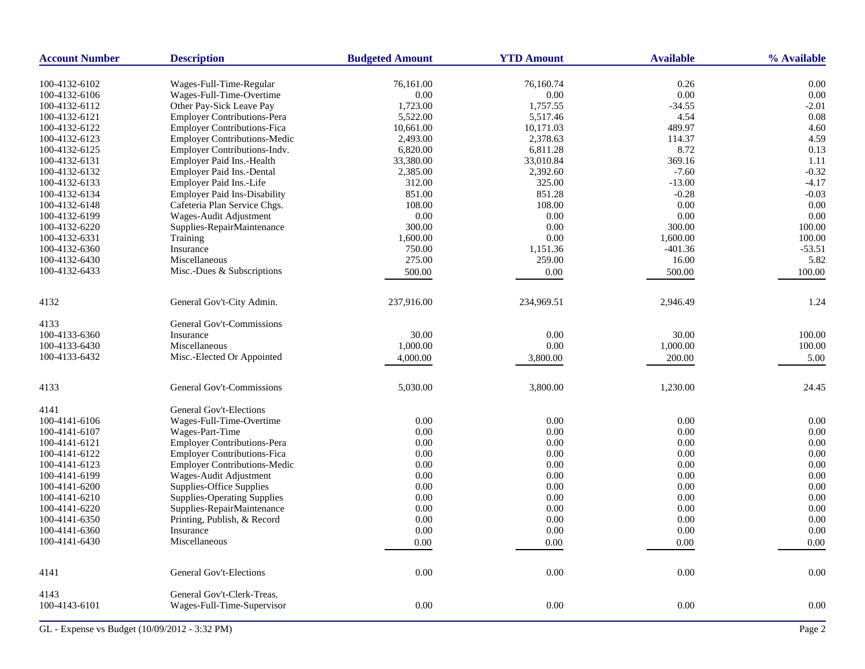| <b>Account Number</b> | <b>Description</b>                  | <b>Budgeted Amount</b> | <b>YTD Amount</b> | <b>Available</b> | % Available |
|-----------------------|-------------------------------------|------------------------|-------------------|------------------|-------------|
| 100-4132-6102         | Wages-Full-Time-Regular             | 76,161.00              | 76,160.74         | 0.26             | 0.00        |
| 100-4132-6106         | Wages-Full-Time-Overtime            | 0.00                   | 0.00              | $0.00\,$         | 0.00        |
| 100-4132-6112         | Other Pay-Sick Leave Pay            | 1,723.00               | 1,757.55          | $-34.55$         | $-2.01$     |
| 100-4132-6121         | <b>Employer Contributions-Pera</b>  | 5,522.00               | 5,517.46          | 4.54             | 0.08        |
| 100-4132-6122         | <b>Employer Contributions-Fica</b>  | 10,661.00              | 10,171.03         | 489.97           | 4.60        |
| 100-4132-6123         | <b>Employer Contributions-Medic</b> | 2,493.00               | 2,378.63          | 114.37           | 4.59        |
| 100-4132-6125         | Employer Contributions-Indv.        | 6,820.00               | 6,811.28          | 8.72             | 0.13        |
| 100-4132-6131         | Employer Paid Ins.-Health           | 33,380.00              | 33,010.84         | 369.16           | 1.11        |
| 100-4132-6132         | <b>Employer Paid Ins.-Dental</b>    | 2,385.00               | 2,392.60          | $-7.60$          | $-0.32$     |
| 100-4132-6133         | Employer Paid Ins.-Life             | 312.00                 | 325.00            | $-13.00$         | $-4.17$     |
| 100-4132-6134         | <b>Employer Paid Ins-Disability</b> | 851.00                 | 851.28            | $-0.28$          | $-0.03$     |
| 100-4132-6148         | Cafeteria Plan Service Chgs.        | 108.00                 | 108.00            | 0.00             | 0.00        |
| 100-4132-6199         | Wages-Audit Adjustment              | 0.00                   | 0.00              | 0.00             | 0.00        |
| 100-4132-6220         | Supplies-RepairMaintenance          | 300.00                 | 0.00              | 300.00           | 100.00      |
| 100-4132-6331         | Training                            | 1,600.00               | 0.00              | 1,600.00         | 100.00      |
| 100-4132-6360         | Insurance                           | 750.00                 | 1,151.36          | $-401.36$        | $-53.51$    |
| 100-4132-6430         | Miscellaneous                       | 275.00                 | 259.00            | 16.00            | 5.82        |
| 100-4132-6433         | Misc.-Dues & Subscriptions          | 500.00                 | 0.00              | 500.00           | 100.00      |
|                       |                                     |                        |                   |                  |             |
| 4132                  | General Gov't-City Admin.           | 237,916.00             | 234,969.51        | 2,946.49         | 1.24        |
| 4133                  | General Gov't-Commissions           |                        |                   |                  |             |
| 100-4133-6360         | Insurance                           | 30.00                  | 0.00              | 30.00            | 100.00      |
| 100-4133-6430         | Miscellaneous                       | 1,000.00               | 0.00              | 1,000.00         | 100.00      |
| 100-4133-6432         | Misc.-Elected Or Appointed          | 4,000.00               | 3,800.00          | 200.00           | 5.00        |
| 4133                  | General Gov't-Commissions           | 5,030.00               | 3,800.00          | 1,230.00         | 24.45       |
| 4141                  | General Gov't-Elections             |                        |                   |                  |             |
| 100-4141-6106         | Wages-Full-Time-Overtime            | 0.00                   | 0.00              | 0.00             | 0.00        |
| 100-4141-6107         | Wages-Part-Time                     | 0.00                   | 0.00              | 0.00             | 0.00        |
| 100-4141-6121         | <b>Employer Contributions-Pera</b>  | 0.00                   | 0.00              | 0.00             | 0.00        |
| 100-4141-6122         | Employer Contributions-Fica         | 0.00                   | 0.00              | 0.00             | 0.00        |
| 100-4141-6123         | <b>Employer Contributions-Medic</b> | 0.00                   | 0.00              | 0.00             | 0.00        |
| 100-4141-6199         | Wages-Audit Adjustment              | 0.00                   | 0.00              | 0.00             | 0.00        |
| 100-4141-6200         | Supplies-Office Supplies            | 0.00                   | 0.00              | 0.00             | 0.00        |
| 100-4141-6210         | <b>Supplies-Operating Supplies</b>  | 0.00                   | 0.00              | 0.00             | 0.00        |
| 100-4141-6220         | Supplies-RepairMaintenance          | 0.00                   | 0.00              | 0.00             | 0.00        |
| 100-4141-6350         | Printing, Publish, & Record         | 0.00                   | 0.00              | 0.00             | 0.00        |
| 100-4141-6360         | Insurance                           | 0.00                   | 0.00              | $0.00\,$         | 0.00        |
| 100-4141-6430         | Miscellaneous                       | 0.00                   | 0.00              | 0.00             | 0.00        |
|                       |                                     |                        |                   |                  |             |
| 4141                  | General Gov't-Elections             | 0.00                   | 0.00              | 0.00             | 0.00        |
| 4143                  | General Gov't-Clerk-Treas.          |                        |                   |                  |             |
| 100-4143-6101         | Wages-Full-Time-Supervisor          | 0.00                   | 0.00              | 0.00             | 0.00        |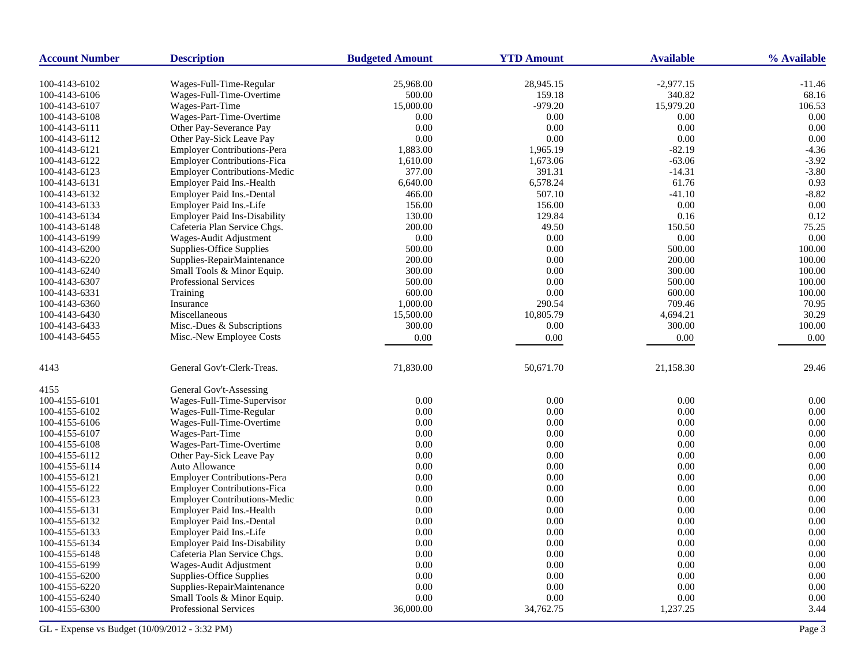| <b>Account Number</b> | <b>Description</b>                                  | <b>Budgeted Amount</b> | <b>YTD Amount</b> | <b>Available</b> | % Available |
|-----------------------|-----------------------------------------------------|------------------------|-------------------|------------------|-------------|
| 100-4143-6102         |                                                     | 25,968.00              | 28,945.15         | $-2,977.15$      | $-11.46$    |
| 100-4143-6106         | Wages-Full-Time-Regular<br>Wages-Full-Time-Overtime | 500.00                 | 159.18            | 340.82           | 68.16       |
| 100-4143-6107         | Wages-Part-Time                                     | 15,000.00              | $-979.20$         | 15,979.20        | 106.53      |
| 100-4143-6108         | Wages-Part-Time-Overtime                            | 0.00                   | 0.00              | 0.00             | 0.00        |
| 100-4143-6111         | Other Pay-Severance Pay                             | 0.00                   | 0.00              | 0.00             | 0.00        |
| 100-4143-6112         | Other Pay-Sick Leave Pay                            | 0.00                   | 0.00              | 0.00             | 0.00        |
| 100-4143-6121         | <b>Employer Contributions-Pera</b>                  | 1,883.00               | 1,965.19          | $-82.19$         | $-4.36$     |
| 100-4143-6122         | <b>Employer Contributions-Fica</b>                  | 1,610.00               | 1,673.06          | $-63.06$         | $-3.92$     |
| 100-4143-6123         | <b>Employer Contributions-Medic</b>                 | 377.00                 | 391.31            | $-14.31$         | $-3.80$     |
| 100-4143-6131         | Employer Paid Ins.-Health                           | 6,640.00               | 6,578.24          | 61.76            | 0.93        |
| 100-4143-6132         | Employer Paid Ins.-Dental                           | 466.00                 | 507.10            | $-41.10$         | $-8.82$     |
| 100-4143-6133         | Employer Paid Ins.-Life                             | 156.00                 | 156.00            | 0.00             | 0.00        |
| 100-4143-6134         | <b>Employer Paid Ins-Disability</b>                 | 130.00                 | 129.84            | 0.16             | 0.12        |
| 100-4143-6148         | Cafeteria Plan Service Chgs.                        | 200.00                 | 49.50             | 150.50           | 75.25       |
| 100-4143-6199         | Wages-Audit Adjustment                              | 0.00                   | 0.00              | 0.00             | 0.00        |
| 100-4143-6200         | Supplies-Office Supplies                            | 500.00                 | 0.00              | 500.00           | 100.00      |
| 100-4143-6220         | Supplies-RepairMaintenance                          | 200.00                 | 0.00              | 200.00           | 100.00      |
| 100-4143-6240         | Small Tools & Minor Equip.                          | 300.00                 | 0.00              | 300.00           | 100.00      |
| 100-4143-6307         | <b>Professional Services</b>                        | 500.00                 | 0.00              | 500.00           | 100.00      |
| 100-4143-6331         | Training                                            | 600.00                 | 0.00              | 600.00           | 100.00      |
| 100-4143-6360         | Insurance                                           | 1,000.00               | 290.54            | 709.46           | 70.95       |
| 100-4143-6430         | Miscellaneous                                       | 15,500.00              | 10,805.79         | 4,694.21         | 30.29       |
| 100-4143-6433         | Misc.-Dues & Subscriptions                          | 300.00                 | 0.00              | 300.00           | 100.00      |
| 100-4143-6455         | Misc.-New Employee Costs                            | 0.00                   | 0.00              | 0.00             | 0.00        |
|                       |                                                     |                        |                   |                  |             |
| 4143                  | General Gov't-Clerk-Treas.                          | 71,830.00              | 50,671.70         | 21,158.30        | 29.46       |
| 4155                  | General Gov't-Assessing                             |                        |                   |                  |             |
| 100-4155-6101         | Wages-Full-Time-Supervisor                          | 0.00                   | 0.00              | 0.00             | 0.00        |
| 100-4155-6102         | Wages-Full-Time-Regular                             | 0.00                   | 0.00              | 0.00             | 0.00        |
| 100-4155-6106         | Wages-Full-Time-Overtime                            | 0.00                   | 0.00              | 0.00             | 0.00        |
| 100-4155-6107         | Wages-Part-Time                                     | 0.00                   | 0.00              | 0.00             | 0.00        |
| 100-4155-6108         | Wages-Part-Time-Overtime                            | 0.00                   | 0.00              | 0.00             | 0.00        |
| 100-4155-6112         | Other Pay-Sick Leave Pay                            | 0.00                   | 0.00              | 0.00             | 0.00        |
| 100-4155-6114         | Auto Allowance                                      | 0.00                   | 0.00              | 0.00             | 0.00        |
| 100-4155-6121         | <b>Employer Contributions-Pera</b>                  | 0.00                   | 0.00              | 0.00             | 0.00        |
| 100-4155-6122         | <b>Employer Contributions-Fica</b>                  | 0.00                   | 0.00              | 0.00             | 0.00        |
| 100-4155-6123         | <b>Employer Contributions-Medic</b>                 | 0.00                   | 0.00              | 0.00             | 0.00        |
| 100-4155-6131         | Employer Paid Ins.-Health                           | 0.00                   | 0.00              | 0.00             | 0.00        |
| 100-4155-6132         | <b>Employer Paid Ins.-Dental</b>                    | 0.00                   | 0.00              | 0.00             | 0.00        |
| 100-4155-6133         | Employer Paid Ins.-Life                             | 0.00                   | 0.00              | 0.00             | 0.00        |
| 100-4155-6134         | <b>Employer Paid Ins-Disability</b>                 | 0.00                   | 0.00              | 0.00             | 0.00        |
| 100-4155-6148         | Cafeteria Plan Service Chgs.                        | 0.00                   | 0.00              | 0.00             | 0.00        |
| 100-4155-6199         | Wages-Audit Adjustment                              | 0.00                   | 0.00              | 0.00             | 0.00        |
| 100-4155-6200         | Supplies-Office Supplies                            | 0.00                   | 0.00              | 0.00             | 0.00        |
| 100-4155-6220         | Supplies-RepairMaintenance                          | 0.00                   | 0.00              | 0.00             | 0.00        |
| 100-4155-6240         | Small Tools & Minor Equip.                          | 0.00                   | 0.00              | 0.00             | 0.00        |
| 100-4155-6300         | <b>Professional Services</b>                        | 36,000.00              | 34,762.75         | 1,237.25         | 3.44        |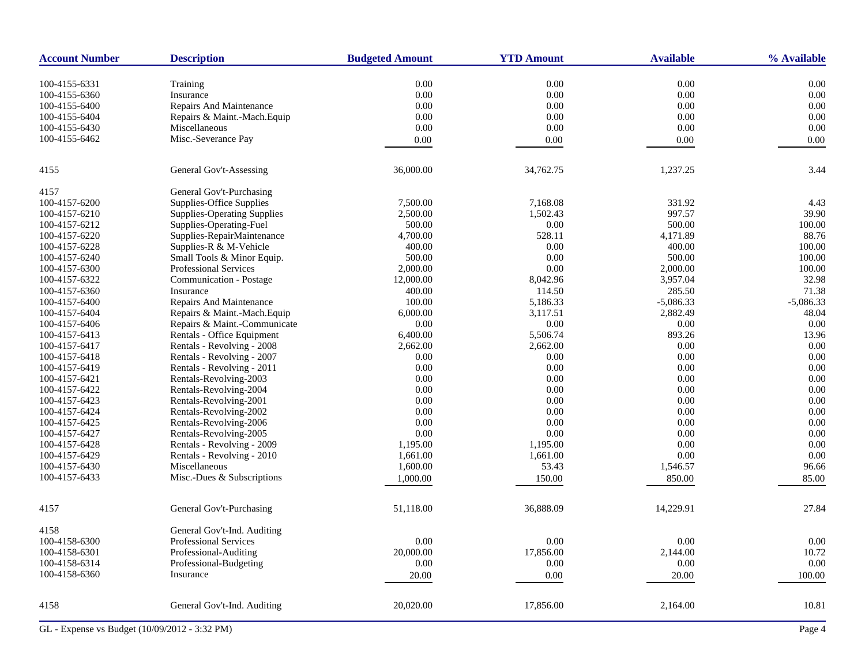| <b>Account Number</b>          | <b>Description</b>                 | <b>Budgeted Amount</b> | <b>YTD Amount</b> | <b>Available</b> | % Available       |
|--------------------------------|------------------------------------|------------------------|-------------------|------------------|-------------------|
| 100-4155-6331                  | Training                           | 0.00                   | 0.00              | 0.00             | 0.00              |
| 100-4155-6360                  | Insurance                          | 0.00                   | $0.00\,$          | $0.00\,$         | 0.00              |
| 100-4155-6400                  | Repairs And Maintenance            | 0.00                   | 0.00              | 0.00             | 0.00              |
| 100-4155-6404                  | Repairs & Maint.-Mach.Equip        | 0.00                   | 0.00              | 0.00             | 0.00              |
| 100-4155-6430                  | Miscellaneous                      | 0.00                   | $0.00\,$          | 0.00             | $0.00\,$          |
| 100-4155-6462                  | Misc.-Severance Pay                | 0.00                   | 0.00              | 0.00             | 0.00              |
|                                |                                    |                        |                   |                  |                   |
| 4155                           | General Gov't-Assessing            | 36,000.00              | 34,762.75         | 1,237.25         | 3.44              |
| 4157                           | General Gov't-Purchasing           |                        |                   |                  |                   |
| 100-4157-6200                  | Supplies-Office Supplies           | 7,500.00               | 7,168.08          | 331.92           | 4.43              |
| 100-4157-6210                  | <b>Supplies-Operating Supplies</b> | 2,500.00               | 1,502.43          | 997.57           | 39.90             |
| 100-4157-6212                  | Supplies-Operating-Fuel            | 500.00                 | $0.00\,$          | 500.00           | 100.00            |
| 100-4157-6220                  | Supplies-RepairMaintenance         | 4,700.00               | 528.11            | 4,171.89         | 88.76             |
| 100-4157-6228                  | Supplies-R & M-Vehicle             | 400.00                 | 0.00              | 400.00           | 100.00            |
| 100-4157-6240                  | Small Tools & Minor Equip.         | 500.00                 | 0.00              | 500.00           | 100.00            |
| 100-4157-6300                  | <b>Professional Services</b>       | 2,000.00               | 0.00              | 2,000.00         | 100.00            |
| 100-4157-6322                  | Communication - Postage            | 12,000.00              | 8,042.96          | 3,957.04         | 32.98             |
| 100-4157-6360                  | Insurance                          | 400.00                 | 114.50            | 285.50           | 71.38             |
| 100-4157-6400                  | Repairs And Maintenance            | 100.00                 | 5,186.33          | $-5,086.33$      | $-5,086.33$       |
| 100-4157-6404                  | Repairs & Maint.-Mach.Equip        | 6,000.00               | 3,117.51          | 2,882.49         | 48.04             |
| 100-4157-6406                  | Repairs & Maint.-Communicate       | 0.00                   | 0.00              | 0.00             | 0.00              |
| 100-4157-6413                  | Rentals - Office Equipment         | 6,400.00               | 5,506.74          | 893.26           | 13.96             |
| 100-4157-6417                  | Rentals - Revolving - 2008         | 2,662.00               | 2,662.00          | 0.00             | 0.00              |
| 100-4157-6418                  | Rentals - Revolving - 2007         | 0.00                   | $0.00\,$          | 0.00             | 0.00              |
| 100-4157-6419                  | Rentals - Revolving - 2011         | 0.00                   | 0.00              | 0.00             | 0.00              |
| 100-4157-6421                  | Rentals-Revolving-2003             | 0.00                   | 0.00              | 0.00             | 0.00              |
| 100-4157-6422                  | Rentals-Revolving-2004             | 0.00                   | $0.00\,$          | 0.00             | 0.00              |
| 100-4157-6423                  | Rentals-Revolving-2001             | 0.00                   | 0.00              | 0.00             | $0.00\,$          |
| 100-4157-6424                  | Rentals-Revolving-2002             | 0.00                   | 0.00              | 0.00             | 0.00              |
| 100-4157-6425                  | Rentals-Revolving-2006             | 0.00                   | $0.00\,$          | 0.00             | 0.00              |
| 100-4157-6427                  | Rentals-Revolving-2005             | 0.00                   | 0.00              | 0.00             | $0.00\,$          |
| 100-4157-6428                  | Rentals - Revolving - 2009         | 1,195.00               | 1,195.00          | 0.00             | 0.00              |
| 100-4157-6429                  | Rentals - Revolving - 2010         | 1,661.00               | 1,661.00          | 0.00             | 0.00              |
| 100-4157-6430                  | Miscellaneous                      | 1,600.00               | 53.43             | 1,546.57         | 96.66             |
| 100-4157-6433                  | Misc.-Dues & Subscriptions         | 1,000.00               | 150.00            | 850.00           | 85.00             |
| 4157                           | General Gov't-Purchasing           | 51,118.00              | 36,888.09         | 14,229.91        | 27.84             |
|                                |                                    |                        |                   |                  |                   |
| 4158                           | General Gov't-Ind. Auditing        |                        |                   |                  |                   |
| 100-4158-6300                  | Professional Services              | 0.00                   | $0.00\,$          | $0.00\,$         | $0.00\,$          |
| 100-4158-6301<br>100-4158-6314 | Professional-Auditing              | 20,000.00              | 17,856.00         | 2,144.00         | 10.72<br>$0.00\,$ |
|                                | Professional-Budgeting             | 0.00                   | 0.00              | 0.00             |                   |
| 100-4158-6360                  | Insurance                          | 20.00                  | 0.00              | 20.00            | 100.00            |
| 4158                           | General Gov't-Ind. Auditing        | 20,020.00              | 17,856.00         | 2,164.00         | 10.81             |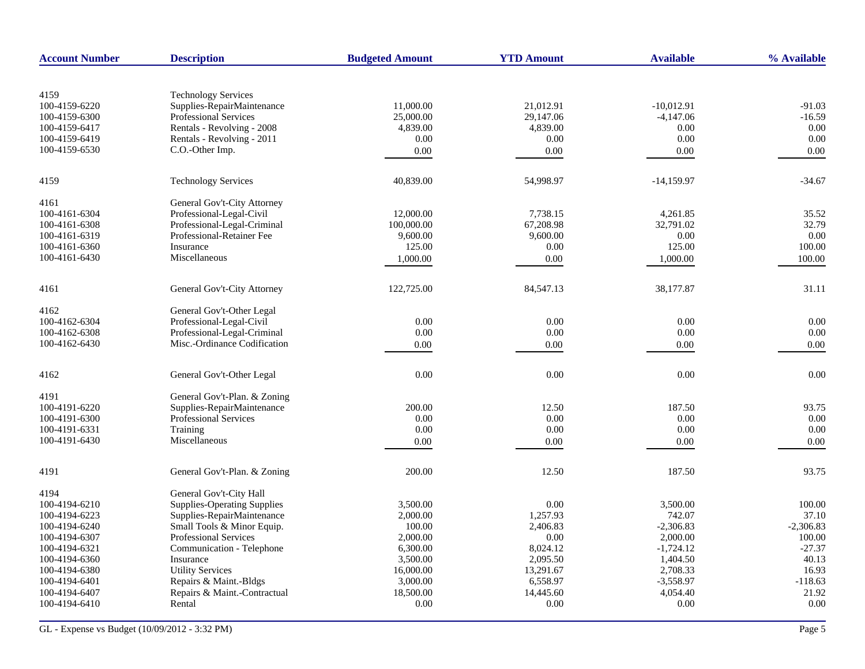| <b>Account Number</b> | <b>Description</b>                 | <b>Budgeted Amount</b> | <b>YTD Amount</b> | <b>Available</b> | % Available |
|-----------------------|------------------------------------|------------------------|-------------------|------------------|-------------|
|                       |                                    |                        |                   |                  |             |
| 4159                  | <b>Technology Services</b>         |                        |                   |                  |             |
| 100-4159-6220         | Supplies-RepairMaintenance         | 11,000.00              | 21,012.91         | $-10,012.91$     | $-91.03$    |
| 100-4159-6300         | Professional Services              | 25,000.00              | 29,147.06         | $-4,147.06$      | $-16.59$    |
| 100-4159-6417         | Rentals - Revolving - 2008         | 4,839.00               | 4,839.00          | 0.00             | 0.00        |
| 100-4159-6419         | Rentals - Revolving - 2011         | 0.00                   | 0.00              | 0.00             | 0.00        |
| 100-4159-6530         | C.O.-Other Imp.                    | 0.00                   | 0.00              | 0.00             | 0.00        |
| 4159                  | <b>Technology Services</b>         | 40,839.00              | 54,998.97         | $-14,159.97$     | $-34.67$    |
| 4161                  | General Gov't-City Attorney        |                        |                   |                  |             |
| 100-4161-6304         | Professional-Legal-Civil           | 12,000.00              | 7,738.15          | 4,261.85         | 35.52       |
| 100-4161-6308         | Professional-Legal-Criminal        | 100,000.00             | 67,208.98         | 32,791.02        | 32.79       |
| 100-4161-6319         | Professional-Retainer Fee          | 9,600.00               | 9,600.00          | 0.00             | 0.00        |
| 100-4161-6360         | Insurance                          | 125.00                 | 0.00              | 125.00           | 100.00      |
| 100-4161-6430         | Miscellaneous                      | 1,000.00               | 0.00              | 1,000.00         | 100.00      |
| 4161                  | General Gov't-City Attorney        | 122,725.00             | 84,547.13         | 38,177.87        | 31.11       |
| 4162                  | General Gov't-Other Legal          |                        |                   |                  |             |
| 100-4162-6304         | Professional-Legal-Civil           | 0.00                   | 0.00              | 0.00             | 0.00        |
| 100-4162-6308         | Professional-Legal-Criminal        | 0.00                   | 0.00              | 0.00             | 0.00        |
| 100-4162-6430         | Misc.-Ordinance Codification       | 0.00                   | 0.00              | 0.00             | 0.00        |
| 4162                  | General Gov't-Other Legal          | 0.00                   | 0.00              | 0.00             | 0.00        |
|                       |                                    |                        |                   |                  |             |
| 4191                  | General Gov't-Plan. & Zoning       |                        |                   |                  |             |
| 100-4191-6220         | Supplies-RepairMaintenance         | 200.00                 | 12.50             | 187.50           | 93.75       |
| 100-4191-6300         | <b>Professional Services</b>       | 0.00                   | 0.00              | 0.00             | 0.00        |
| 100-4191-6331         | Training                           | 0.00                   | 0.00              | 0.00             | 0.00        |
| 100-4191-6430         | Miscellaneous                      | 0.00                   | $0.00\,$          | 0.00             | 0.00        |
| 4191                  | General Gov't-Plan. & Zoning       | 200.00                 | 12.50             | 187.50           | 93.75       |
| 4194                  | General Gov't-City Hall            |                        |                   |                  |             |
| 100-4194-6210         | <b>Supplies-Operating Supplies</b> | 3,500.00               | 0.00              | 3,500.00         | 100.00      |
| 100-4194-6223         | Supplies-RepairMaintenance         | 2,000.00               | 1,257.93          | 742.07           | 37.10       |
| 100-4194-6240         | Small Tools & Minor Equip.         | 100.00                 | 2,406.83          | $-2,306.83$      | $-2,306.83$ |
| 100-4194-6307         | <b>Professional Services</b>       | 2,000.00               | 0.00              | 2,000.00         | 100.00      |
| 100-4194-6321         | Communication - Telephone          | 6,300.00               | 8,024.12          | $-1,724.12$      | $-27.37$    |
| 100-4194-6360         | Insurance                          | 3,500.00               | 2,095.50          | 1,404.50         | 40.13       |
| 100-4194-6380         | <b>Utility Services</b>            | 16,000.00              | 13,291.67         | 2,708.33         | 16.93       |
| 100-4194-6401         | Repairs & Maint.-Bldgs             | 3,000.00               | 6,558.97          | $-3,558.97$      | $-118.63$   |
| 100-4194-6407         | Repairs & Maint.-Contractual       | 18,500.00              | 14,445.60         | 4,054.40         | 21.92       |
| 100-4194-6410         | Rental                             | 0.00                   | 0.00              | 0.00             | 0.00        |
|                       |                                    |                        |                   |                  |             |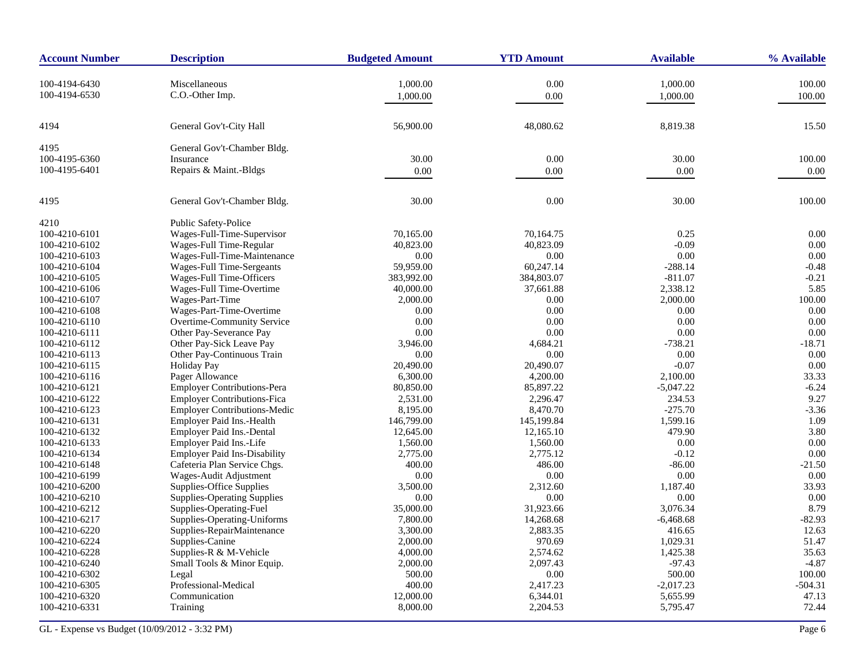| <b>Account Number</b>          | <b>Description</b>                  | <b>Budgeted Amount</b> | <b>YTD Amount</b>    | <b>Available</b>     | % Available      |
|--------------------------------|-------------------------------------|------------------------|----------------------|----------------------|------------------|
| 100-4194-6430<br>100-4194-6530 | Miscellaneous<br>C.O.-Other Imp.    | 1,000.00<br>1,000.00   | $0.00\,$<br>0.00     | 1,000.00<br>1,000.00 | 100.00<br>100.00 |
| 4194                           | General Gov't-City Hall             | 56,900.00              | 48,080.62            | 8,819.38             | 15.50            |
| 4195                           | General Gov't-Chamber Bldg.         |                        |                      |                      |                  |
| 100-4195-6360                  | Insurance                           | 30.00                  | 0.00                 | 30.00                | 100.00           |
| 100-4195-6401                  | Repairs & Maint.-Bldgs              | 0.00                   | 0.00                 | 0.00                 | 0.00             |
| 4195                           | General Gov't-Chamber Bldg.         | 30.00                  | 0.00                 | 30.00                | 100.00           |
| 4210                           | Public Safety-Police                |                        |                      |                      |                  |
| 100-4210-6101                  | Wages-Full-Time-Supervisor          | 70,165.00              | 70,164.75            | 0.25                 | 0.00             |
| 100-4210-6102                  | Wages-Full Time-Regular             | 40,823.00              | 40,823.09            | $-0.09$              | 0.00             |
| 100-4210-6103                  | Wages-Full-Time-Maintenance         | 0.00                   | 0.00                 | 0.00                 | 0.00             |
| 100-4210-6104                  | Wages-Full Time-Sergeants           | 59,959.00              | 60,247.14            | $-288.14$            | $-0.48$          |
| 100-4210-6105                  | Wages-Full Time-Officers            | 383,992.00             | 384,803.07           | $-811.07$            | $-0.21$          |
| 100-4210-6106                  | Wages-Full Time-Overtime            | 40,000.00              | 37,661.88            | 2,338.12             | 5.85             |
| 100-4210-6107                  | Wages-Part-Time                     | 2,000.00               | 0.00                 | 2,000.00             | 100.00           |
| 100-4210-6108                  | Wages-Part-Time-Overtime            | 0.00                   | 0.00                 | 0.00                 | 0.00             |
| 100-4210-6110                  | Overtime-Community Service          | 0.00                   | 0.00                 | 0.00                 | 0.00             |
| 100-4210-6111                  | Other Pay-Severance Pay             | 0.00                   | 0.00                 | 0.00                 | 0.00             |
| 100-4210-6112                  | Other Pay-Sick Leave Pay            | 3,946.00               | 4,684.21             | $-738.21$            | $-18.71$         |
| 100-4210-6113                  | Other Pay-Continuous Train          | 0.00                   | 0.00                 | 0.00                 | 0.00             |
| 100-4210-6115                  | Holiday Pay                         | 20,490.00              | 20,490.07            | $-0.07$              | 0.00             |
| 100-4210-6116                  | Pager Allowance                     | 6,300.00               | 4,200.00             | 2,100.00             | 33.33            |
| 100-4210-6121                  | <b>Employer Contributions-Pera</b>  | 80,850.00              | 85,897.22            | $-5,047.22$          | $-6.24$          |
| 100-4210-6122                  | <b>Employer Contributions-Fica</b>  | 2,531.00               | 2,296.47             | 234.53               | 9.27             |
| 100-4210-6123                  | <b>Employer Contributions-Medic</b> | 8,195.00               | 8,470.70             | $-275.70$            | $-3.36$          |
| 100-4210-6131                  | Employer Paid Ins.-Health           | 146,799.00             | 145,199.84           | 1,599.16             | 1.09             |
| 100-4210-6132                  | Employer Paid Ins.-Dental           | 12,645.00              | 12,165.10            | 479.90               | 3.80             |
| 100-4210-6133                  | Employer Paid Ins.-Life             | 1,560.00               | 1,560.00             | 0.00                 | 0.00             |
| 100-4210-6134                  | <b>Employer Paid Ins-Disability</b> | 2,775.00               | 2,775.12             | $-0.12$              | 0.00             |
| 100-4210-6148                  | Cafeteria Plan Service Chgs.        | 400.00                 | 486.00               | $-86.00$             | $-21.50$         |
| 100-4210-6199                  | Wages-Audit Adjustment              | 0.00                   | 0.00                 | 0.00                 | 0.00             |
| 100-4210-6200                  | Supplies-Office Supplies            | 3,500.00               | 2,312.60             | 1,187.40             | 33.93            |
| 100-4210-6210                  | <b>Supplies-Operating Supplies</b>  | 0.00                   | 0.00                 | 0.00                 | 0.00             |
| 100-4210-6212                  | Supplies-Operating-Fuel             | 35,000.00              | 31,923.66            | 3,076.34             | 8.79             |
| 100-4210-6217                  | Supplies-Operating-Uniforms         | 7,800.00               | 14,268.68            | $-6,468.68$          | $-82.93$         |
| 100-4210-6220                  | Supplies-RepairMaintenance          | 3,300.00               | 2,883.35             | 416.65               | 12.63            |
| 100-4210-6224                  | Supplies-Canine                     | 2,000.00               | 970.69               | 1,029.31             | 51.47            |
| 100-4210-6228                  | Supplies-R & M-Vehicle              | 4,000.00               | 2,574.62             | 1,425.38             | 35.63            |
| 100-4210-6240                  | Small Tools & Minor Equip.          | 2,000.00               | 2,097.43             | $-97.43$             | $-4.87$          |
| 100-4210-6302                  | Legal                               | 500.00                 | 0.00                 | 500.00               | 100.00           |
| 100-4210-6305                  | Professional-Medical                | 400.00                 | 2,417.23             | $-2,017.23$          | $-504.31$        |
| 100-4210-6320<br>100-4210-6331 | Communication<br>Training           | 12,000.00<br>8,000.00  | 6,344.01<br>2,204.53 | 5,655.99<br>5,795.47 | 47.13<br>72.44   |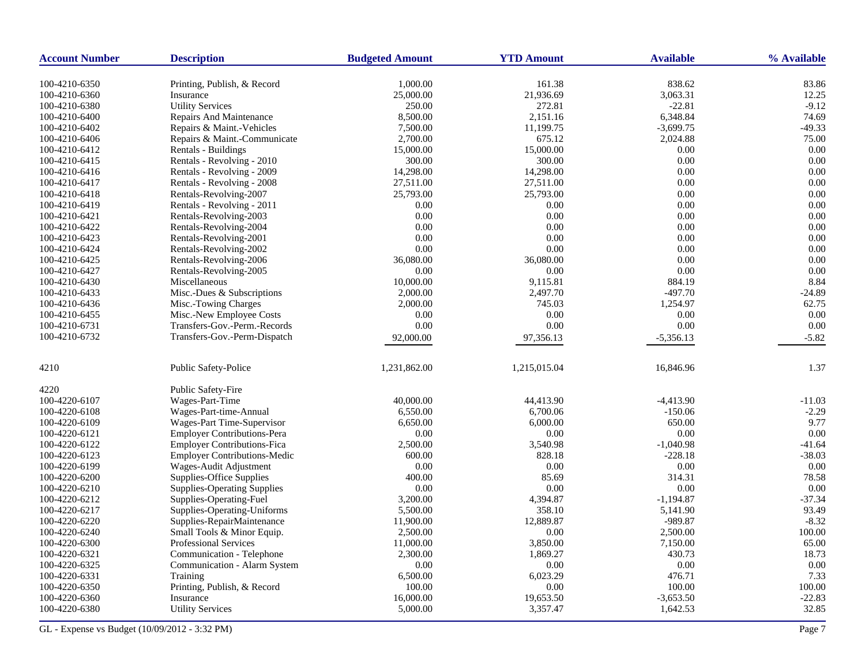| <b>Account Number</b> | <b>Description</b>                  | <b>Budgeted Amount</b> | <b>YTD Amount</b> | <b>Available</b> | % Available |
|-----------------------|-------------------------------------|------------------------|-------------------|------------------|-------------|
| 100-4210-6350         | Printing, Publish, & Record         | 1,000.00               | 161.38            | 838.62           | 83.86       |
| 100-4210-6360         | Insurance                           | 25,000.00              | 21,936.69         | 3,063.31         | 12.25       |
| 100-4210-6380         | <b>Utility Services</b>             | 250.00                 | 272.81            | $-22.81$         | $-9.12$     |
| 100-4210-6400         | Repairs And Maintenance             | 8,500.00               | 2,151.16          | 6,348.84         | 74.69       |
| 100-4210-6402         | Repairs & Maint.-Vehicles           | 7,500.00               | 11,199.75         | $-3,699.75$      | $-49.33$    |
| 100-4210-6406         | Repairs & Maint.-Communicate        | 2,700.00               | 675.12            | 2,024.88         | 75.00       |
| 100-4210-6412         | Rentals - Buildings                 | 15,000.00              | 15,000.00         | 0.00             | 0.00        |
| 100-4210-6415         | Rentals - Revolving - 2010          | 300.00                 | 300.00            | 0.00             | 0.00        |
| 100-4210-6416         | Rentals - Revolving - 2009          | 14,298.00              | 14,298.00         | 0.00             | 0.00        |
| 100-4210-6417         | Rentals - Revolving - 2008          | 27,511.00              | 27,511.00         | 0.00             | 0.00        |
| 100-4210-6418         | Rentals-Revolving-2007              | 25,793.00              | 25,793.00         | 0.00             | 0.00        |
| 100-4210-6419         | Rentals - Revolving - 2011          | 0.00                   | 0.00              | $0.00\,$         | 0.00        |
| 100-4210-6421         | Rentals-Revolving-2003              | 0.00                   | 0.00              | 0.00             | 0.00        |
| 100-4210-6422         | Rentals-Revolving-2004              | 0.00                   | 0.00              | 0.00             | 0.00        |
| 100-4210-6423         | Rentals-Revolving-2001              | 0.00                   | 0.00              | 0.00             | 0.00        |
| 100-4210-6424         | Rentals-Revolving-2002              | 0.00                   | 0.00              | $0.00\,$         | 0.00        |
| 100-4210-6425         | Rentals-Revolving-2006              | 36,080.00              | 36,080.00         | 0.00             | 0.00        |
| 100-4210-6427         | Rentals-Revolving-2005              | 0.00                   | 0.00              | 0.00             | 0.00        |
| 100-4210-6430         | Miscellaneous                       | 10,000.00              | 9,115.81          | 884.19           | 8.84        |
| 100-4210-6433         | Misc.-Dues & Subscriptions          | 2,000.00               | 2,497.70          | $-497.70$        | $-24.89$    |
| 100-4210-6436         | Misc.-Towing Charges                | 2,000.00               | 745.03            | 1,254.97         | 62.75       |
| 100-4210-6455         | Misc.-New Employee Costs            | 0.00                   | 0.00              | 0.00             | 0.00        |
| 100-4210-6731         | Transfers-Gov.-Perm.-Records        | 0.00                   | 0.00              | 0.00             | 0.00        |
| 100-4210-6732         | Transfers-Gov.-Perm-Dispatch        | 92,000.00              | 97,356.13         | $-5,356.13$      | $-5.82$     |
|                       |                                     |                        |                   |                  |             |
| 4210                  | Public Safety-Police                | 1,231,862.00           | 1,215,015.04      | 16,846.96        | 1.37        |
| 4220                  | Public Safety-Fire                  |                        |                   |                  |             |
| 100-4220-6107         | Wages-Part-Time                     | 40,000.00              | 44,413.90         | $-4,413.90$      | $-11.03$    |
| 100-4220-6108         | Wages-Part-time-Annual              | 6,550.00               | 6,700.06          | $-150.06$        | $-2.29$     |
| 100-4220-6109         | Wages-Part Time-Supervisor          | 6,650.00               | 6,000.00          | 650.00           | 9.77        |
| 100-4220-6121         | Employer Contributions-Pera         | 0.00                   | 0.00              | 0.00             | 0.00        |
| 100-4220-6122         | <b>Employer Contributions-Fica</b>  | 2,500.00               | 3,540.98          | $-1,040.98$      | $-41.64$    |
| 100-4220-6123         | <b>Employer Contributions-Medic</b> | 600.00                 | 828.18            | $-228.18$        | $-38.03$    |
| 100-4220-6199         | Wages-Audit Adjustment              | 0.00                   | 0.00              | 0.00             | 0.00        |
| 100-4220-6200         | Supplies-Office Supplies            | 400.00                 | 85.69             | 314.31           | 78.58       |
| 100-4220-6210         | <b>Supplies-Operating Supplies</b>  | 0.00                   | 0.00              | 0.00             | 0.00        |
| 100-4220-6212         | Supplies-Operating-Fuel             | 3,200.00               | 4,394.87          | $-1,194.87$      | $-37.34$    |
| 100-4220-6217         | Supplies-Operating-Uniforms         | 5,500.00               | 358.10            | 5,141.90         | 93.49       |
| 100-4220-6220         | Supplies-RepairMaintenance          | 11,900.00              | 12,889.87         | -989.87          | $-8.32$     |
| 100-4220-6240         | Small Tools & Minor Equip.          | 2,500.00               | 0.00              | 2,500.00         | 100.00      |
| 100-4220-6300         | Professional Services               | 11,000.00              | 3,850.00          | 7,150.00         | 65.00       |
| 100-4220-6321         | Communication - Telephone           | 2,300.00               | 1,869.27          | 430.73           | 18.73       |
| 100-4220-6325         | Communication - Alarm System        | 0.00                   | 0.00              | 0.00             | 0.00        |
| 100-4220-6331         | Training                            | 6,500.00               | 6,023.29          | 476.71           | 7.33        |
| 100-4220-6350         | Printing, Publish, & Record         | 100.00                 | 0.00              | 100.00           | 100.00      |
| 100-4220-6360         | Insurance                           | 16,000.00              | 19,653.50         | $-3,653.50$      | $-22.83$    |
| 100-4220-6380         | <b>Utility Services</b>             | 5,000.00               | 3,357.47          | 1,642.53         | 32.85       |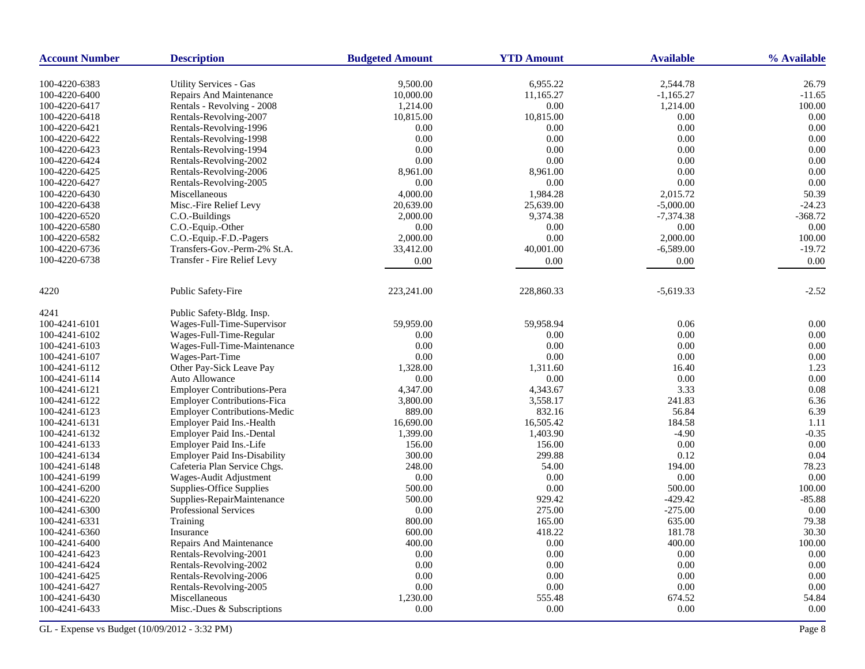| <b>Account Number</b> | <b>Description</b>                                              | <b>Budgeted Amount</b> | <b>YTD Amount</b>     | <b>Available</b>        | % Available       |
|-----------------------|-----------------------------------------------------------------|------------------------|-----------------------|-------------------------|-------------------|
| 100-4220-6383         |                                                                 |                        |                       |                         |                   |
| 100-4220-6400         | <b>Utility Services - Gas</b><br><b>Repairs And Maintenance</b> | 9,500.00<br>10,000.00  | 6,955.22<br>11,165.27 | 2,544.78<br>$-1,165.27$ | 26.79<br>$-11.65$ |
| 100-4220-6417         | Rentals - Revolving - 2008                                      | 1,214.00               | 0.00                  | 1,214.00                | 100.00            |
| 100-4220-6418         | Rentals-Revolving-2007                                          | 10,815.00              | 10,815.00             | 0.00                    | 0.00              |
| 100-4220-6421         | Rentals-Revolving-1996                                          | 0.00                   | 0.00                  | 0.00                    | 0.00              |
| 100-4220-6422         |                                                                 | 0.00                   | 0.00                  | 0.00                    | 0.00              |
|                       | Rentals-Revolving-1998                                          |                        |                       | 0.00                    | 0.00              |
| 100-4220-6423         | Rentals-Revolving-1994                                          | 0.00                   | 0.00                  |                         |                   |
| 100-4220-6424         | Rentals-Revolving-2002                                          | 0.00                   | 0.00                  | 0.00                    | 0.00              |
| 100-4220-6425         | Rentals-Revolving-2006                                          | 8,961.00               | 8,961.00              | 0.00                    | 0.00              |
| 100-4220-6427         | Rentals-Revolving-2005                                          | 0.00                   | 0.00                  | 0.00                    | 0.00              |
| 100-4220-6430         | Miscellaneous                                                   | 4,000.00               | 1,984.28              | 2,015.72                | 50.39             |
| 100-4220-6438         | Misc.-Fire Relief Levy                                          | 20,639.00              | 25,639.00             | $-5,000.00$             | $-24.23$          |
| 100-4220-6520         | C.O.-Buildings                                                  | 2,000.00               | 9,374.38              | $-7,374.38$             | $-368.72$         |
| 100-4220-6580         | C.O.-Equip.-Other                                               | 0.00                   | 0.00                  | 0.00                    | 0.00              |
| 100-4220-6582         | C.O.-Equip.-F.D.-Pagers                                         | 2,000.00               | 0.00                  | 2,000.00                | 100.00            |
| 100-4220-6736         | Transfers-Gov.-Perm-2% St.A.                                    | 33,412.00              | 40,001.00             | $-6,589.00$             | $-19.72$          |
| 100-4220-6738         | Transfer - Fire Relief Levy                                     | 0.00                   | 0.00                  | 0.00                    | 0.00              |
| 4220                  | <b>Public Safety-Fire</b>                                       | 223,241.00             | 228,860.33            | $-5,619.33$             | $-2.52$           |
| 4241                  | Public Safety-Bldg. Insp.                                       |                        |                       |                         |                   |
| 100-4241-6101         | Wages-Full-Time-Supervisor                                      | 59,959.00              | 59,958.94             | 0.06                    | 0.00              |
| 100-4241-6102         | Wages-Full-Time-Regular                                         | 0.00                   | 0.00                  | 0.00                    | 0.00              |
| 100-4241-6103         | Wages-Full-Time-Maintenance                                     | 0.00                   | 0.00                  | 0.00                    | 0.00              |
| 100-4241-6107         | Wages-Part-Time                                                 | 0.00                   | 0.00                  | 0.00                    | 0.00              |
| 100-4241-6112         | Other Pay-Sick Leave Pay                                        | 1,328.00               | 1,311.60              | 16.40                   | 1.23              |
| 100-4241-6114         | <b>Auto Allowance</b>                                           | 0.00                   | 0.00                  | 0.00                    | 0.00              |
| 100-4241-6121         | <b>Employer Contributions-Pera</b>                              | 4,347.00               | 4,343.67              | 3.33                    | 0.08              |
|                       |                                                                 |                        |                       |                         |                   |
| 100-4241-6122         | <b>Employer Contributions-Fica</b>                              | 3,800.00               | 3,558.17              | 241.83                  | 6.36              |
| 100-4241-6123         | <b>Employer Contributions-Medic</b>                             | 889.00                 | 832.16                | 56.84                   | 6.39              |
| 100-4241-6131         | Employer Paid Ins.-Health                                       | 16,690.00              | 16,505.42             | 184.58                  | 1.11              |
| 100-4241-6132         | Employer Paid Ins.-Dental                                       | 1,399.00               | 1,403.90              | $-4.90$                 | $-0.35$           |
| 100-4241-6133         | Employer Paid Ins.-Life                                         | 156.00                 | 156.00                | 0.00                    | 0.00              |
| 100-4241-6134         | <b>Employer Paid Ins-Disability</b>                             | 300.00                 | 299.88                | 0.12                    | 0.04              |
| 100-4241-6148         | Cafeteria Plan Service Chgs.                                    | 248.00                 | 54.00                 | 194.00                  | 78.23             |
| 100-4241-6199         | Wages-Audit Adjustment                                          | 0.00                   | 0.00                  | 0.00                    | 0.00              |
| 100-4241-6200         | Supplies-Office Supplies                                        | 500.00                 | 0.00                  | 500.00                  | 100.00            |
| 100-4241-6220         | Supplies-RepairMaintenance                                      | 500.00                 | 929.42                | $-429.42$               | $-85.88$          |
| 100-4241-6300         | Professional Services                                           | 0.00                   | 275.00                | $-275.00$               | 0.00              |
| 100-4241-6331         | Training                                                        | 800.00                 | 165.00                | 635.00                  | 79.38             |
| 100-4241-6360         | Insurance                                                       | 600.00                 | 418.22                | 181.78                  | 30.30             |
| 100-4241-6400         | Repairs And Maintenance                                         | 400.00                 | 0.00                  | 400.00                  | 100.00            |
| 100-4241-6423         | Rentals-Revolving-2001                                          | 0.00                   | 0.00                  | 0.00                    | 0.00              |
| 100-4241-6424         | Rentals-Revolving-2002                                          | 0.00                   | 0.00                  | 0.00                    | 0.00              |
| 100-4241-6425         | Rentals-Revolving-2006                                          | 0.00                   | 0.00                  | 0.00                    | 0.00              |
| 100-4241-6427         | Rentals-Revolving-2005                                          | 0.00                   | 0.00                  | 0.00                    | 0.00              |
| 100-4241-6430         | Miscellaneous                                                   | 1,230.00               | 555.48                | 674.52                  | 54.84             |
| 100-4241-6433         | Misc.-Dues & Subscriptions                                      | 0.00                   | 0.00                  | 0.00                    | 0.00              |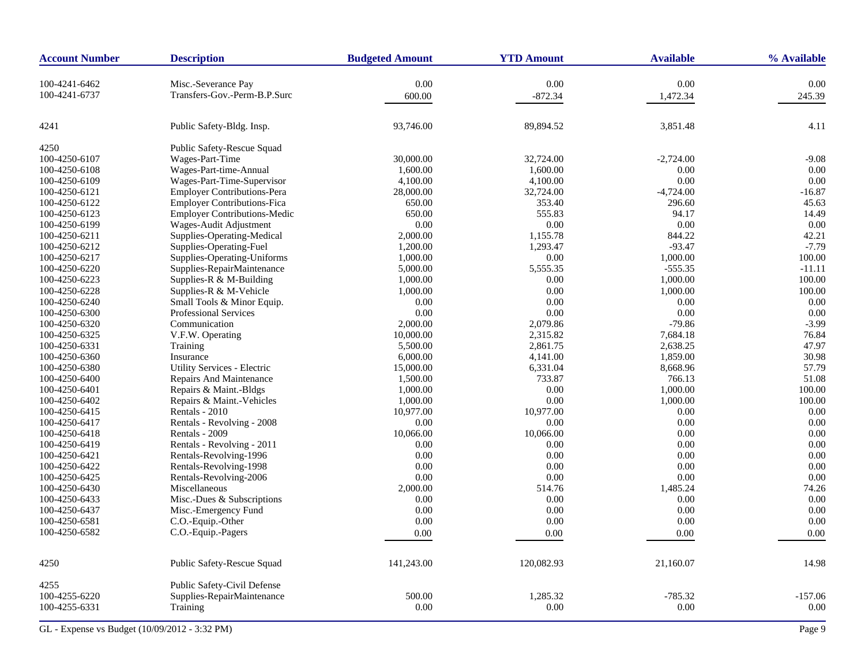| 100-4241-6462<br>0.00<br>0.00<br>0.00<br>0.00<br>Misc.-Severance Pay<br>100-4241-6737<br>Transfers-Gov.-Perm-B.P.Surc<br>600.00<br>$-872.34$<br>1,472.34<br>245.39<br>89,894.52<br>3,851.48<br>4.11<br>4241<br>Public Safety-Bldg. Insp.<br>93,746.00<br>4250<br>Public Safety-Rescue Squad<br>Wages-Part-Time<br>$-9.08$<br>100-4250-6107<br>30,000.00<br>32,724.00<br>$-2,724.00$<br>100-4250-6108<br>Wages-Part-time-Annual<br>1,600.00<br>1,600.00<br>0.00<br>0.00<br>$0.00\,$<br>Wages-Part-Time-Supervisor<br>0.00<br>100-4250-6109<br>4,100.00<br>4,100.00<br><b>Employer Contributions-Pera</b><br>$-4,724.00$<br>100-4250-6121<br>28,000.00<br>32,724.00<br>$-16.87$<br><b>Employer Contributions-Fica</b><br>353.40<br>296.60<br>45.63<br>100-4250-6122<br>650.00<br><b>Employer Contributions-Medic</b><br>94.17<br>14.49<br>100-4250-6123<br>650.00<br>555.83<br>Wages-Audit Adjustment<br>$0.00\,$<br>0.00<br>0.00<br>0.00<br>100-4250-6199<br>42.21<br>Supplies-Operating-Medical<br>2,000.00<br>1,155.78<br>844.22<br>100-4250-6211<br>100-4250-6212<br>Supplies-Operating-Fuel<br>1,200.00<br>1,293.47<br>$-93.47$<br>$-7.79$<br>Supplies-Operating-Uniforms<br>0.00<br>1,000.00<br>100.00<br>100-4250-6217<br>1,000.00<br>Supplies-RepairMaintenance<br>100-4250-6220<br>5,000.00<br>5,555.35<br>$-555.35$<br>$-11.11$<br>100.00<br>Supplies-R & M-Building<br>0.00<br>1,000.00<br>100-4250-6223<br>1,000.00<br>Supplies-R & M-Vehicle<br>1,000.00<br>0.00<br>1,000.00<br>100.00<br>100-4250-6228<br>Small Tools & Minor Equip.<br>0.00<br>0.00<br>0.00<br>100-4250-6240<br>0.00<br>Professional Services<br>0.00<br>0.00<br>100-4250-6300<br>0.00<br>0.00<br>$-79.86$<br>$-3.99$<br>Communication<br>2,000.00<br>2,079.86<br>100-4250-6320<br>100-4250-6325<br>V.F.W. Operating<br>10,000.00<br>2,315.82<br>7,684.18<br>76.84<br>5,500.00<br>2,861.75<br>2.638.25<br>47.97<br>100-4250-6331<br>Training<br>30.98<br>1,859.00<br>100-4250-6360<br>Insurance<br>6,000.00<br>4,141.00<br>57.79<br>100-4250-6380<br>Utility Services - Electric<br>6,331.04<br>8,668.96<br>15,000.00<br>51.08<br>Repairs And Maintenance<br>1,500.00<br>733.87<br>766.13<br>100-4250-6400<br>100.00<br>100-4250-6401<br>Repairs & Maint.-Bldgs<br>1,000.00<br>0.00<br>1,000.00<br>100.00<br>Repairs & Maint.-Vehicles<br>1,000.00<br>0.00<br>1,000.00<br>100-4250-6402<br>Rentals - 2010<br>10,977.00<br>10,977.00<br>0.00<br>0.00<br>100-4250-6415<br>0.00<br>100-4250-6417<br>Rentals - Revolving - 2008<br>0.00<br>0.00<br>0.00<br>0.00<br>Rentals - 2009<br>10,066.00<br>10,066.00<br>0.00<br>100-4250-6418<br>Rentals - Revolving - 2011<br>0.00<br>0.00<br>100-4250-6419<br>0.00<br>0.00<br>0.00<br>0.00<br>0.00<br>0.00<br>100-4250-6421<br>Rentals-Revolving-1996<br>Rentals-Revolving-1998<br>0.00<br>0.00<br>0.00<br>100-4250-6422<br>0.00<br>0.00<br>0.00<br>0.00<br>100-4250-6425<br>Rentals-Revolving-2006<br>0.00<br>Miscellaneous<br>2,000.00<br>514.76<br>1,485.24<br>74.26<br>100-4250-6430<br>0.00<br>0.00<br>100-4250-6433<br>Misc.-Dues & Subscriptions<br>0.00<br>0.00<br>100-4250-6437<br>Misc.-Emergency Fund<br>0.00<br>0.00<br>0.00<br>0.00<br>C.O.-Equip.-Other<br>0.00<br>0.00<br>0.00<br>100-4250-6581<br>0.00<br>C.O.-Equip.-Pagers<br>100-4250-6582<br>0.00<br>0.00<br>0.00<br>0.00<br>4250<br>Public Safety-Rescue Squad<br>21,160.07<br>14.98<br>141,243.00<br>120,082.93<br>4255<br>Public Safety-Civil Defense<br>100-4255-6220<br>500.00<br>1,285.32<br>$-785.32$<br>$-157.06$<br>Supplies-RepairMaintenance<br>0.00<br>100-4255-6331<br>0.00<br>0.00<br>0.00<br>Training | <b>Account Number</b> | <b>Description</b> | <b>Budgeted Amount</b> | <b>YTD Amount</b> | <b>Available</b> | % Available |
|------------------------------------------------------------------------------------------------------------------------------------------------------------------------------------------------------------------------------------------------------------------------------------------------------------------------------------------------------------------------------------------------------------------------------------------------------------------------------------------------------------------------------------------------------------------------------------------------------------------------------------------------------------------------------------------------------------------------------------------------------------------------------------------------------------------------------------------------------------------------------------------------------------------------------------------------------------------------------------------------------------------------------------------------------------------------------------------------------------------------------------------------------------------------------------------------------------------------------------------------------------------------------------------------------------------------------------------------------------------------------------------------------------------------------------------------------------------------------------------------------------------------------------------------------------------------------------------------------------------------------------------------------------------------------------------------------------------------------------------------------------------------------------------------------------------------------------------------------------------------------------------------------------------------------------------------------------------------------------------------------------------------------------------------------------------------------------------------------------------------------------------------------------------------------------------------------------------------------------------------------------------------------------------------------------------------------------------------------------------------------------------------------------------------------------------------------------------------------------------------------------------------------------------------------------------------------------------------------------------------------------------------------------------------------------------------------------------------------------------------------------------------------------------------------------------------------------------------------------------------------------------------------------------------------------------------------------------------------------------------------------------------------------------------------------------------------------------------------------------------------------------------------------------------------------------------------------------------------------------------------------------------------------------------------------------------------------------------------------------------------------------------------------------------------------------------------------------------------------------------------------------------------------------------------------------------------------------------------------|-----------------------|--------------------|------------------------|-------------------|------------------|-------------|
|                                                                                                                                                                                                                                                                                                                                                                                                                                                                                                                                                                                                                                                                                                                                                                                                                                                                                                                                                                                                                                                                                                                                                                                                                                                                                                                                                                                                                                                                                                                                                                                                                                                                                                                                                                                                                                                                                                                                                                                                                                                                                                                                                                                                                                                                                                                                                                                                                                                                                                                                                                                                                                                                                                                                                                                                                                                                                                                                                                                                                                                                                                                                                                                                                                                                                                                                                                                                                                                                                                                                                                                                            |                       |                    |                        |                   |                  |             |
|                                                                                                                                                                                                                                                                                                                                                                                                                                                                                                                                                                                                                                                                                                                                                                                                                                                                                                                                                                                                                                                                                                                                                                                                                                                                                                                                                                                                                                                                                                                                                                                                                                                                                                                                                                                                                                                                                                                                                                                                                                                                                                                                                                                                                                                                                                                                                                                                                                                                                                                                                                                                                                                                                                                                                                                                                                                                                                                                                                                                                                                                                                                                                                                                                                                                                                                                                                                                                                                                                                                                                                                                            |                       |                    |                        |                   |                  |             |
|                                                                                                                                                                                                                                                                                                                                                                                                                                                                                                                                                                                                                                                                                                                                                                                                                                                                                                                                                                                                                                                                                                                                                                                                                                                                                                                                                                                                                                                                                                                                                                                                                                                                                                                                                                                                                                                                                                                                                                                                                                                                                                                                                                                                                                                                                                                                                                                                                                                                                                                                                                                                                                                                                                                                                                                                                                                                                                                                                                                                                                                                                                                                                                                                                                                                                                                                                                                                                                                                                                                                                                                                            |                       |                    |                        |                   |                  |             |
|                                                                                                                                                                                                                                                                                                                                                                                                                                                                                                                                                                                                                                                                                                                                                                                                                                                                                                                                                                                                                                                                                                                                                                                                                                                                                                                                                                                                                                                                                                                                                                                                                                                                                                                                                                                                                                                                                                                                                                                                                                                                                                                                                                                                                                                                                                                                                                                                                                                                                                                                                                                                                                                                                                                                                                                                                                                                                                                                                                                                                                                                                                                                                                                                                                                                                                                                                                                                                                                                                                                                                                                                            |                       |                    |                        |                   |                  |             |
|                                                                                                                                                                                                                                                                                                                                                                                                                                                                                                                                                                                                                                                                                                                                                                                                                                                                                                                                                                                                                                                                                                                                                                                                                                                                                                                                                                                                                                                                                                                                                                                                                                                                                                                                                                                                                                                                                                                                                                                                                                                                                                                                                                                                                                                                                                                                                                                                                                                                                                                                                                                                                                                                                                                                                                                                                                                                                                                                                                                                                                                                                                                                                                                                                                                                                                                                                                                                                                                                                                                                                                                                            |                       |                    |                        |                   |                  |             |
|                                                                                                                                                                                                                                                                                                                                                                                                                                                                                                                                                                                                                                                                                                                                                                                                                                                                                                                                                                                                                                                                                                                                                                                                                                                                                                                                                                                                                                                                                                                                                                                                                                                                                                                                                                                                                                                                                                                                                                                                                                                                                                                                                                                                                                                                                                                                                                                                                                                                                                                                                                                                                                                                                                                                                                                                                                                                                                                                                                                                                                                                                                                                                                                                                                                                                                                                                                                                                                                                                                                                                                                                            |                       |                    |                        |                   |                  |             |
|                                                                                                                                                                                                                                                                                                                                                                                                                                                                                                                                                                                                                                                                                                                                                                                                                                                                                                                                                                                                                                                                                                                                                                                                                                                                                                                                                                                                                                                                                                                                                                                                                                                                                                                                                                                                                                                                                                                                                                                                                                                                                                                                                                                                                                                                                                                                                                                                                                                                                                                                                                                                                                                                                                                                                                                                                                                                                                                                                                                                                                                                                                                                                                                                                                                                                                                                                                                                                                                                                                                                                                                                            |                       |                    |                        |                   |                  |             |
|                                                                                                                                                                                                                                                                                                                                                                                                                                                                                                                                                                                                                                                                                                                                                                                                                                                                                                                                                                                                                                                                                                                                                                                                                                                                                                                                                                                                                                                                                                                                                                                                                                                                                                                                                                                                                                                                                                                                                                                                                                                                                                                                                                                                                                                                                                                                                                                                                                                                                                                                                                                                                                                                                                                                                                                                                                                                                                                                                                                                                                                                                                                                                                                                                                                                                                                                                                                                                                                                                                                                                                                                            |                       |                    |                        |                   |                  |             |
|                                                                                                                                                                                                                                                                                                                                                                                                                                                                                                                                                                                                                                                                                                                                                                                                                                                                                                                                                                                                                                                                                                                                                                                                                                                                                                                                                                                                                                                                                                                                                                                                                                                                                                                                                                                                                                                                                                                                                                                                                                                                                                                                                                                                                                                                                                                                                                                                                                                                                                                                                                                                                                                                                                                                                                                                                                                                                                                                                                                                                                                                                                                                                                                                                                                                                                                                                                                                                                                                                                                                                                                                            |                       |                    |                        |                   |                  |             |
|                                                                                                                                                                                                                                                                                                                                                                                                                                                                                                                                                                                                                                                                                                                                                                                                                                                                                                                                                                                                                                                                                                                                                                                                                                                                                                                                                                                                                                                                                                                                                                                                                                                                                                                                                                                                                                                                                                                                                                                                                                                                                                                                                                                                                                                                                                                                                                                                                                                                                                                                                                                                                                                                                                                                                                                                                                                                                                                                                                                                                                                                                                                                                                                                                                                                                                                                                                                                                                                                                                                                                                                                            |                       |                    |                        |                   |                  |             |
|                                                                                                                                                                                                                                                                                                                                                                                                                                                                                                                                                                                                                                                                                                                                                                                                                                                                                                                                                                                                                                                                                                                                                                                                                                                                                                                                                                                                                                                                                                                                                                                                                                                                                                                                                                                                                                                                                                                                                                                                                                                                                                                                                                                                                                                                                                                                                                                                                                                                                                                                                                                                                                                                                                                                                                                                                                                                                                                                                                                                                                                                                                                                                                                                                                                                                                                                                                                                                                                                                                                                                                                                            |                       |                    |                        |                   |                  |             |
|                                                                                                                                                                                                                                                                                                                                                                                                                                                                                                                                                                                                                                                                                                                                                                                                                                                                                                                                                                                                                                                                                                                                                                                                                                                                                                                                                                                                                                                                                                                                                                                                                                                                                                                                                                                                                                                                                                                                                                                                                                                                                                                                                                                                                                                                                                                                                                                                                                                                                                                                                                                                                                                                                                                                                                                                                                                                                                                                                                                                                                                                                                                                                                                                                                                                                                                                                                                                                                                                                                                                                                                                            |                       |                    |                        |                   |                  |             |
|                                                                                                                                                                                                                                                                                                                                                                                                                                                                                                                                                                                                                                                                                                                                                                                                                                                                                                                                                                                                                                                                                                                                                                                                                                                                                                                                                                                                                                                                                                                                                                                                                                                                                                                                                                                                                                                                                                                                                                                                                                                                                                                                                                                                                                                                                                                                                                                                                                                                                                                                                                                                                                                                                                                                                                                                                                                                                                                                                                                                                                                                                                                                                                                                                                                                                                                                                                                                                                                                                                                                                                                                            |                       |                    |                        |                   |                  |             |
|                                                                                                                                                                                                                                                                                                                                                                                                                                                                                                                                                                                                                                                                                                                                                                                                                                                                                                                                                                                                                                                                                                                                                                                                                                                                                                                                                                                                                                                                                                                                                                                                                                                                                                                                                                                                                                                                                                                                                                                                                                                                                                                                                                                                                                                                                                                                                                                                                                                                                                                                                                                                                                                                                                                                                                                                                                                                                                                                                                                                                                                                                                                                                                                                                                                                                                                                                                                                                                                                                                                                                                                                            |                       |                    |                        |                   |                  |             |
|                                                                                                                                                                                                                                                                                                                                                                                                                                                                                                                                                                                                                                                                                                                                                                                                                                                                                                                                                                                                                                                                                                                                                                                                                                                                                                                                                                                                                                                                                                                                                                                                                                                                                                                                                                                                                                                                                                                                                                                                                                                                                                                                                                                                                                                                                                                                                                                                                                                                                                                                                                                                                                                                                                                                                                                                                                                                                                                                                                                                                                                                                                                                                                                                                                                                                                                                                                                                                                                                                                                                                                                                            |                       |                    |                        |                   |                  |             |
|                                                                                                                                                                                                                                                                                                                                                                                                                                                                                                                                                                                                                                                                                                                                                                                                                                                                                                                                                                                                                                                                                                                                                                                                                                                                                                                                                                                                                                                                                                                                                                                                                                                                                                                                                                                                                                                                                                                                                                                                                                                                                                                                                                                                                                                                                                                                                                                                                                                                                                                                                                                                                                                                                                                                                                                                                                                                                                                                                                                                                                                                                                                                                                                                                                                                                                                                                                                                                                                                                                                                                                                                            |                       |                    |                        |                   |                  |             |
|                                                                                                                                                                                                                                                                                                                                                                                                                                                                                                                                                                                                                                                                                                                                                                                                                                                                                                                                                                                                                                                                                                                                                                                                                                                                                                                                                                                                                                                                                                                                                                                                                                                                                                                                                                                                                                                                                                                                                                                                                                                                                                                                                                                                                                                                                                                                                                                                                                                                                                                                                                                                                                                                                                                                                                                                                                                                                                                                                                                                                                                                                                                                                                                                                                                                                                                                                                                                                                                                                                                                                                                                            |                       |                    |                        |                   |                  |             |
|                                                                                                                                                                                                                                                                                                                                                                                                                                                                                                                                                                                                                                                                                                                                                                                                                                                                                                                                                                                                                                                                                                                                                                                                                                                                                                                                                                                                                                                                                                                                                                                                                                                                                                                                                                                                                                                                                                                                                                                                                                                                                                                                                                                                                                                                                                                                                                                                                                                                                                                                                                                                                                                                                                                                                                                                                                                                                                                                                                                                                                                                                                                                                                                                                                                                                                                                                                                                                                                                                                                                                                                                            |                       |                    |                        |                   |                  |             |
|                                                                                                                                                                                                                                                                                                                                                                                                                                                                                                                                                                                                                                                                                                                                                                                                                                                                                                                                                                                                                                                                                                                                                                                                                                                                                                                                                                                                                                                                                                                                                                                                                                                                                                                                                                                                                                                                                                                                                                                                                                                                                                                                                                                                                                                                                                                                                                                                                                                                                                                                                                                                                                                                                                                                                                                                                                                                                                                                                                                                                                                                                                                                                                                                                                                                                                                                                                                                                                                                                                                                                                                                            |                       |                    |                        |                   |                  |             |
|                                                                                                                                                                                                                                                                                                                                                                                                                                                                                                                                                                                                                                                                                                                                                                                                                                                                                                                                                                                                                                                                                                                                                                                                                                                                                                                                                                                                                                                                                                                                                                                                                                                                                                                                                                                                                                                                                                                                                                                                                                                                                                                                                                                                                                                                                                                                                                                                                                                                                                                                                                                                                                                                                                                                                                                                                                                                                                                                                                                                                                                                                                                                                                                                                                                                                                                                                                                                                                                                                                                                                                                                            |                       |                    |                        |                   |                  |             |
|                                                                                                                                                                                                                                                                                                                                                                                                                                                                                                                                                                                                                                                                                                                                                                                                                                                                                                                                                                                                                                                                                                                                                                                                                                                                                                                                                                                                                                                                                                                                                                                                                                                                                                                                                                                                                                                                                                                                                                                                                                                                                                                                                                                                                                                                                                                                                                                                                                                                                                                                                                                                                                                                                                                                                                                                                                                                                                                                                                                                                                                                                                                                                                                                                                                                                                                                                                                                                                                                                                                                                                                                            |                       |                    |                        |                   |                  |             |
|                                                                                                                                                                                                                                                                                                                                                                                                                                                                                                                                                                                                                                                                                                                                                                                                                                                                                                                                                                                                                                                                                                                                                                                                                                                                                                                                                                                                                                                                                                                                                                                                                                                                                                                                                                                                                                                                                                                                                                                                                                                                                                                                                                                                                                                                                                                                                                                                                                                                                                                                                                                                                                                                                                                                                                                                                                                                                                                                                                                                                                                                                                                                                                                                                                                                                                                                                                                                                                                                                                                                                                                                            |                       |                    |                        |                   |                  |             |
|                                                                                                                                                                                                                                                                                                                                                                                                                                                                                                                                                                                                                                                                                                                                                                                                                                                                                                                                                                                                                                                                                                                                                                                                                                                                                                                                                                                                                                                                                                                                                                                                                                                                                                                                                                                                                                                                                                                                                                                                                                                                                                                                                                                                                                                                                                                                                                                                                                                                                                                                                                                                                                                                                                                                                                                                                                                                                                                                                                                                                                                                                                                                                                                                                                                                                                                                                                                                                                                                                                                                                                                                            |                       |                    |                        |                   |                  |             |
|                                                                                                                                                                                                                                                                                                                                                                                                                                                                                                                                                                                                                                                                                                                                                                                                                                                                                                                                                                                                                                                                                                                                                                                                                                                                                                                                                                                                                                                                                                                                                                                                                                                                                                                                                                                                                                                                                                                                                                                                                                                                                                                                                                                                                                                                                                                                                                                                                                                                                                                                                                                                                                                                                                                                                                                                                                                                                                                                                                                                                                                                                                                                                                                                                                                                                                                                                                                                                                                                                                                                                                                                            |                       |                    |                        |                   |                  |             |
|                                                                                                                                                                                                                                                                                                                                                                                                                                                                                                                                                                                                                                                                                                                                                                                                                                                                                                                                                                                                                                                                                                                                                                                                                                                                                                                                                                                                                                                                                                                                                                                                                                                                                                                                                                                                                                                                                                                                                                                                                                                                                                                                                                                                                                                                                                                                                                                                                                                                                                                                                                                                                                                                                                                                                                                                                                                                                                                                                                                                                                                                                                                                                                                                                                                                                                                                                                                                                                                                                                                                                                                                            |                       |                    |                        |                   |                  |             |
|                                                                                                                                                                                                                                                                                                                                                                                                                                                                                                                                                                                                                                                                                                                                                                                                                                                                                                                                                                                                                                                                                                                                                                                                                                                                                                                                                                                                                                                                                                                                                                                                                                                                                                                                                                                                                                                                                                                                                                                                                                                                                                                                                                                                                                                                                                                                                                                                                                                                                                                                                                                                                                                                                                                                                                                                                                                                                                                                                                                                                                                                                                                                                                                                                                                                                                                                                                                                                                                                                                                                                                                                            |                       |                    |                        |                   |                  |             |
|                                                                                                                                                                                                                                                                                                                                                                                                                                                                                                                                                                                                                                                                                                                                                                                                                                                                                                                                                                                                                                                                                                                                                                                                                                                                                                                                                                                                                                                                                                                                                                                                                                                                                                                                                                                                                                                                                                                                                                                                                                                                                                                                                                                                                                                                                                                                                                                                                                                                                                                                                                                                                                                                                                                                                                                                                                                                                                                                                                                                                                                                                                                                                                                                                                                                                                                                                                                                                                                                                                                                                                                                            |                       |                    |                        |                   |                  |             |
|                                                                                                                                                                                                                                                                                                                                                                                                                                                                                                                                                                                                                                                                                                                                                                                                                                                                                                                                                                                                                                                                                                                                                                                                                                                                                                                                                                                                                                                                                                                                                                                                                                                                                                                                                                                                                                                                                                                                                                                                                                                                                                                                                                                                                                                                                                                                                                                                                                                                                                                                                                                                                                                                                                                                                                                                                                                                                                                                                                                                                                                                                                                                                                                                                                                                                                                                                                                                                                                                                                                                                                                                            |                       |                    |                        |                   |                  |             |
|                                                                                                                                                                                                                                                                                                                                                                                                                                                                                                                                                                                                                                                                                                                                                                                                                                                                                                                                                                                                                                                                                                                                                                                                                                                                                                                                                                                                                                                                                                                                                                                                                                                                                                                                                                                                                                                                                                                                                                                                                                                                                                                                                                                                                                                                                                                                                                                                                                                                                                                                                                                                                                                                                                                                                                                                                                                                                                                                                                                                                                                                                                                                                                                                                                                                                                                                                                                                                                                                                                                                                                                                            |                       |                    |                        |                   |                  |             |
|                                                                                                                                                                                                                                                                                                                                                                                                                                                                                                                                                                                                                                                                                                                                                                                                                                                                                                                                                                                                                                                                                                                                                                                                                                                                                                                                                                                                                                                                                                                                                                                                                                                                                                                                                                                                                                                                                                                                                                                                                                                                                                                                                                                                                                                                                                                                                                                                                                                                                                                                                                                                                                                                                                                                                                                                                                                                                                                                                                                                                                                                                                                                                                                                                                                                                                                                                                                                                                                                                                                                                                                                            |                       |                    |                        |                   |                  |             |
|                                                                                                                                                                                                                                                                                                                                                                                                                                                                                                                                                                                                                                                                                                                                                                                                                                                                                                                                                                                                                                                                                                                                                                                                                                                                                                                                                                                                                                                                                                                                                                                                                                                                                                                                                                                                                                                                                                                                                                                                                                                                                                                                                                                                                                                                                                                                                                                                                                                                                                                                                                                                                                                                                                                                                                                                                                                                                                                                                                                                                                                                                                                                                                                                                                                                                                                                                                                                                                                                                                                                                                                                            |                       |                    |                        |                   |                  |             |
|                                                                                                                                                                                                                                                                                                                                                                                                                                                                                                                                                                                                                                                                                                                                                                                                                                                                                                                                                                                                                                                                                                                                                                                                                                                                                                                                                                                                                                                                                                                                                                                                                                                                                                                                                                                                                                                                                                                                                                                                                                                                                                                                                                                                                                                                                                                                                                                                                                                                                                                                                                                                                                                                                                                                                                                                                                                                                                                                                                                                                                                                                                                                                                                                                                                                                                                                                                                                                                                                                                                                                                                                            |                       |                    |                        |                   |                  |             |
|                                                                                                                                                                                                                                                                                                                                                                                                                                                                                                                                                                                                                                                                                                                                                                                                                                                                                                                                                                                                                                                                                                                                                                                                                                                                                                                                                                                                                                                                                                                                                                                                                                                                                                                                                                                                                                                                                                                                                                                                                                                                                                                                                                                                                                                                                                                                                                                                                                                                                                                                                                                                                                                                                                                                                                                                                                                                                                                                                                                                                                                                                                                                                                                                                                                                                                                                                                                                                                                                                                                                                                                                            |                       |                    |                        |                   |                  |             |
|                                                                                                                                                                                                                                                                                                                                                                                                                                                                                                                                                                                                                                                                                                                                                                                                                                                                                                                                                                                                                                                                                                                                                                                                                                                                                                                                                                                                                                                                                                                                                                                                                                                                                                                                                                                                                                                                                                                                                                                                                                                                                                                                                                                                                                                                                                                                                                                                                                                                                                                                                                                                                                                                                                                                                                                                                                                                                                                                                                                                                                                                                                                                                                                                                                                                                                                                                                                                                                                                                                                                                                                                            |                       |                    |                        |                   |                  |             |
|                                                                                                                                                                                                                                                                                                                                                                                                                                                                                                                                                                                                                                                                                                                                                                                                                                                                                                                                                                                                                                                                                                                                                                                                                                                                                                                                                                                                                                                                                                                                                                                                                                                                                                                                                                                                                                                                                                                                                                                                                                                                                                                                                                                                                                                                                                                                                                                                                                                                                                                                                                                                                                                                                                                                                                                                                                                                                                                                                                                                                                                                                                                                                                                                                                                                                                                                                                                                                                                                                                                                                                                                            |                       |                    |                        |                   |                  |             |
|                                                                                                                                                                                                                                                                                                                                                                                                                                                                                                                                                                                                                                                                                                                                                                                                                                                                                                                                                                                                                                                                                                                                                                                                                                                                                                                                                                                                                                                                                                                                                                                                                                                                                                                                                                                                                                                                                                                                                                                                                                                                                                                                                                                                                                                                                                                                                                                                                                                                                                                                                                                                                                                                                                                                                                                                                                                                                                                                                                                                                                                                                                                                                                                                                                                                                                                                                                                                                                                                                                                                                                                                            |                       |                    |                        |                   |                  |             |
|                                                                                                                                                                                                                                                                                                                                                                                                                                                                                                                                                                                                                                                                                                                                                                                                                                                                                                                                                                                                                                                                                                                                                                                                                                                                                                                                                                                                                                                                                                                                                                                                                                                                                                                                                                                                                                                                                                                                                                                                                                                                                                                                                                                                                                                                                                                                                                                                                                                                                                                                                                                                                                                                                                                                                                                                                                                                                                                                                                                                                                                                                                                                                                                                                                                                                                                                                                                                                                                                                                                                                                                                            |                       |                    |                        |                   |                  |             |
|                                                                                                                                                                                                                                                                                                                                                                                                                                                                                                                                                                                                                                                                                                                                                                                                                                                                                                                                                                                                                                                                                                                                                                                                                                                                                                                                                                                                                                                                                                                                                                                                                                                                                                                                                                                                                                                                                                                                                                                                                                                                                                                                                                                                                                                                                                                                                                                                                                                                                                                                                                                                                                                                                                                                                                                                                                                                                                                                                                                                                                                                                                                                                                                                                                                                                                                                                                                                                                                                                                                                                                                                            |                       |                    |                        |                   |                  |             |
|                                                                                                                                                                                                                                                                                                                                                                                                                                                                                                                                                                                                                                                                                                                                                                                                                                                                                                                                                                                                                                                                                                                                                                                                                                                                                                                                                                                                                                                                                                                                                                                                                                                                                                                                                                                                                                                                                                                                                                                                                                                                                                                                                                                                                                                                                                                                                                                                                                                                                                                                                                                                                                                                                                                                                                                                                                                                                                                                                                                                                                                                                                                                                                                                                                                                                                                                                                                                                                                                                                                                                                                                            |                       |                    |                        |                   |                  |             |
|                                                                                                                                                                                                                                                                                                                                                                                                                                                                                                                                                                                                                                                                                                                                                                                                                                                                                                                                                                                                                                                                                                                                                                                                                                                                                                                                                                                                                                                                                                                                                                                                                                                                                                                                                                                                                                                                                                                                                                                                                                                                                                                                                                                                                                                                                                                                                                                                                                                                                                                                                                                                                                                                                                                                                                                                                                                                                                                                                                                                                                                                                                                                                                                                                                                                                                                                                                                                                                                                                                                                                                                                            |                       |                    |                        |                   |                  |             |
|                                                                                                                                                                                                                                                                                                                                                                                                                                                                                                                                                                                                                                                                                                                                                                                                                                                                                                                                                                                                                                                                                                                                                                                                                                                                                                                                                                                                                                                                                                                                                                                                                                                                                                                                                                                                                                                                                                                                                                                                                                                                                                                                                                                                                                                                                                                                                                                                                                                                                                                                                                                                                                                                                                                                                                                                                                                                                                                                                                                                                                                                                                                                                                                                                                                                                                                                                                                                                                                                                                                                                                                                            |                       |                    |                        |                   |                  |             |
|                                                                                                                                                                                                                                                                                                                                                                                                                                                                                                                                                                                                                                                                                                                                                                                                                                                                                                                                                                                                                                                                                                                                                                                                                                                                                                                                                                                                                                                                                                                                                                                                                                                                                                                                                                                                                                                                                                                                                                                                                                                                                                                                                                                                                                                                                                                                                                                                                                                                                                                                                                                                                                                                                                                                                                                                                                                                                                                                                                                                                                                                                                                                                                                                                                                                                                                                                                                                                                                                                                                                                                                                            |                       |                    |                        |                   |                  |             |
|                                                                                                                                                                                                                                                                                                                                                                                                                                                                                                                                                                                                                                                                                                                                                                                                                                                                                                                                                                                                                                                                                                                                                                                                                                                                                                                                                                                                                                                                                                                                                                                                                                                                                                                                                                                                                                                                                                                                                                                                                                                                                                                                                                                                                                                                                                                                                                                                                                                                                                                                                                                                                                                                                                                                                                                                                                                                                                                                                                                                                                                                                                                                                                                                                                                                                                                                                                                                                                                                                                                                                                                                            |                       |                    |                        |                   |                  |             |
|                                                                                                                                                                                                                                                                                                                                                                                                                                                                                                                                                                                                                                                                                                                                                                                                                                                                                                                                                                                                                                                                                                                                                                                                                                                                                                                                                                                                                                                                                                                                                                                                                                                                                                                                                                                                                                                                                                                                                                                                                                                                                                                                                                                                                                                                                                                                                                                                                                                                                                                                                                                                                                                                                                                                                                                                                                                                                                                                                                                                                                                                                                                                                                                                                                                                                                                                                                                                                                                                                                                                                                                                            |                       |                    |                        |                   |                  |             |
|                                                                                                                                                                                                                                                                                                                                                                                                                                                                                                                                                                                                                                                                                                                                                                                                                                                                                                                                                                                                                                                                                                                                                                                                                                                                                                                                                                                                                                                                                                                                                                                                                                                                                                                                                                                                                                                                                                                                                                                                                                                                                                                                                                                                                                                                                                                                                                                                                                                                                                                                                                                                                                                                                                                                                                                                                                                                                                                                                                                                                                                                                                                                                                                                                                                                                                                                                                                                                                                                                                                                                                                                            |                       |                    |                        |                   |                  |             |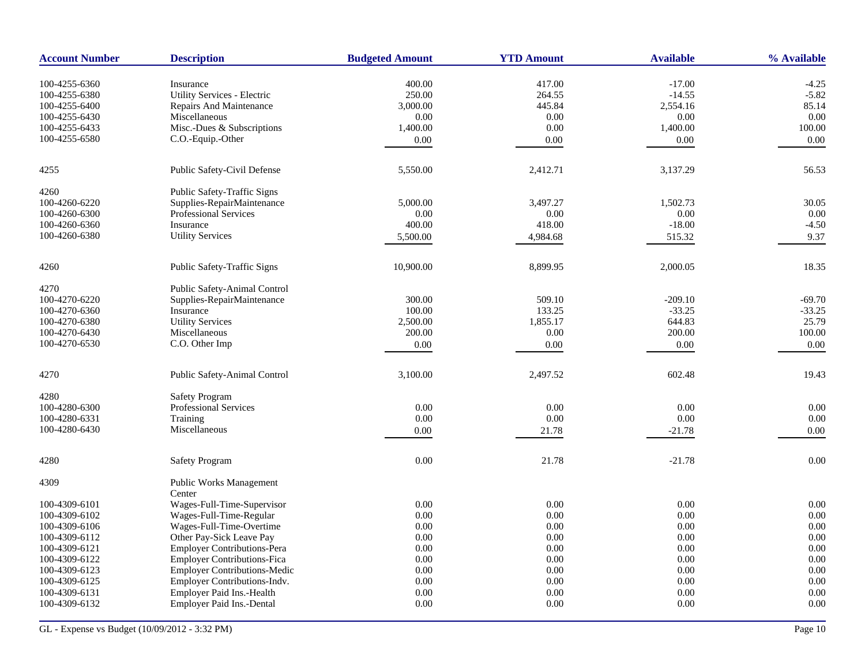| <b>Account Number</b>          | <b>Description</b>                       | <b>Budgeted Amount</b> | <b>YTD Amount</b> | <b>Available</b>      | % Available          |
|--------------------------------|------------------------------------------|------------------------|-------------------|-----------------------|----------------------|
|                                |                                          |                        |                   |                       |                      |
| 100-4255-6360                  | Insurance                                | 400.00                 | 417.00            | $-17.00$              | $-4.25$              |
| 100-4255-6380                  | Utility Services - Electric              | 250.00                 | 264.55            | $-14.55$              | $-5.82$              |
| 100-4255-6400                  | Repairs And Maintenance                  | 3,000.00               | 445.84            | 2,554.16              | 85.14<br>0.00        |
| 100-4255-6430                  | Miscellaneous                            | 0.00                   | 0.00              | 0.00                  | 100.00               |
| 100-4255-6433                  | Misc.-Dues & Subscriptions               | 1,400.00               | 0.00              | 1,400.00              |                      |
| 100-4255-6580                  | C.O.-Equip.-Other                        | 0.00                   | 0.00              | 0.00                  | 0.00                 |
| 4255                           | Public Safety-Civil Defense              | 5,550.00               | 2,412.71          | 3,137.29              | 56.53                |
| 4260                           | Public Safety-Traffic Signs              |                        |                   |                       |                      |
| 100-4260-6220                  | Supplies-RepairMaintenance               | 5,000.00               | 3,497.27          | 1,502.73              | 30.05                |
| 100-4260-6300                  | Professional Services                    | 0.00                   | 0.00              | 0.00                  | 0.00                 |
| 100-4260-6360                  | Insurance                                | 400.00                 | 418.00            | $-18.00$              | $-4.50$              |
| 100-4260-6380                  | <b>Utility Services</b>                  | 5,500.00               | 4,984.68          | 515.32                | 9.37                 |
| 4260                           | <b>Public Safety-Traffic Signs</b>       | 10,900.00              | 8,899.95          | 2,000.05              | 18.35                |
|                                |                                          |                        |                   |                       |                      |
| 4270                           | Public Safety-Animal Control             |                        |                   |                       |                      |
| 100-4270-6220<br>100-4270-6360 | Supplies-RepairMaintenance<br>Insurance  | 300.00<br>100.00       | 509.10<br>133.25  | $-209.10$<br>$-33.25$ | $-69.70$<br>$-33.25$ |
|                                |                                          |                        |                   | 644.83                | 25.79                |
| 100-4270-6380<br>100-4270-6430 | <b>Utility Services</b><br>Miscellaneous | 2,500.00<br>200.00     | 1,855.17<br>0.00  | 200.00                | 100.00               |
| 100-4270-6530                  | C.O. Other Imp                           |                        | $0.00\,$          | $0.00\,$              | 0.00                 |
|                                |                                          | 0.00                   |                   |                       |                      |
| 4270                           | Public Safety-Animal Control             | 3,100.00               | 2,497.52          | 602.48                | 19.43                |
| 4280                           | <b>Safety Program</b>                    |                        |                   |                       |                      |
| 100-4280-6300                  | <b>Professional Services</b>             | 0.00                   | 0.00              | 0.00                  | 0.00                 |
| 100-4280-6331                  | Training                                 | 0.00                   | $0.00\,$          | 0.00                  | $0.00\,$             |
| 100-4280-6430                  | Miscellaneous                            | 0.00                   | 21.78             | $-21.78$              | 0.00                 |
| 4280                           | <b>Safety Program</b>                    | 0.00                   | 21.78             | $-21.78$              | 0.00                 |
| 4309                           | Public Works Management                  |                        |                   |                       |                      |
|                                | Center                                   |                        |                   |                       |                      |
| 100-4309-6101                  | Wages-Full-Time-Supervisor               | 0.00                   | 0.00              | 0.00                  | 0.00                 |
| 100-4309-6102                  | Wages-Full-Time-Regular                  | 0.00                   | 0.00              | 0.00                  | 0.00                 |
| 100-4309-6106                  | Wages-Full-Time-Overtime                 | 0.00                   | 0.00              | 0.00                  | $0.00\,$             |
| 100-4309-6112                  | Other Pay-Sick Leave Pay                 | 0.00                   | 0.00              | 0.00                  | 0.00                 |
| 100-4309-6121                  | <b>Employer Contributions-Pera</b>       | 0.00                   | 0.00              | 0.00                  | 0.00                 |
| 100-4309-6122                  | <b>Employer Contributions-Fica</b>       | 0.00                   | 0.00              | 0.00                  | 0.00                 |
| 100-4309-6123                  | <b>Employer Contributions-Medic</b>      | 0.00                   | $0.00\,$          | 0.00                  | 0.00                 |
| 100-4309-6125                  | Employer Contributions-Indv.             | 0.00                   | 0.00              | 0.00                  | 0.00                 |
| 100-4309-6131                  | Employer Paid Ins.-Health                | 0.00                   | 0.00              | 0.00                  | 0.00                 |
| 100-4309-6132                  | <b>Employer Paid Ins.-Dental</b>         | 0.00                   | 0.00              | 0.00                  | 0.00                 |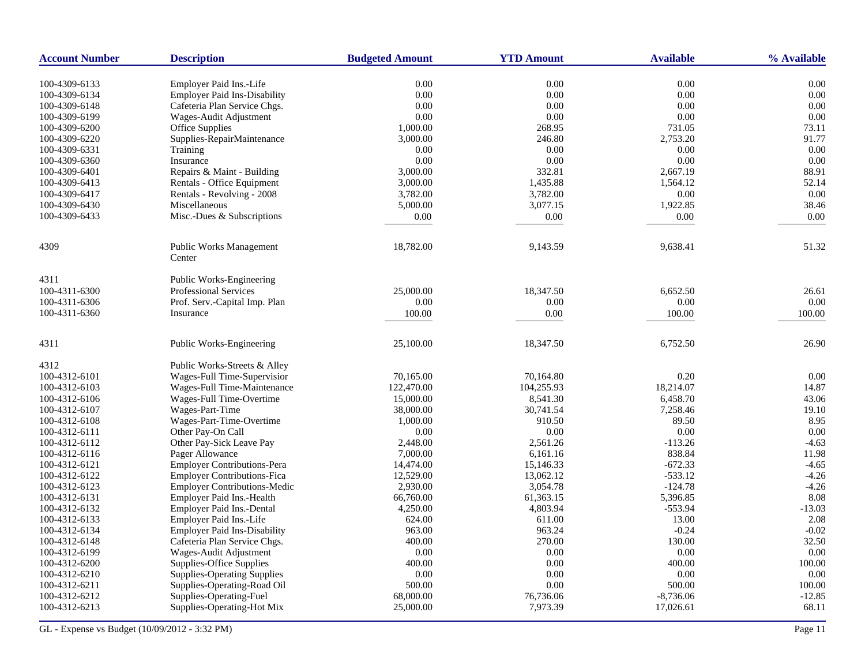| <b>Account Number</b>          | <b>Description</b>                                    | <b>Budgeted Amount</b> | <b>YTD Amount</b>     | <b>Available</b>         | % Available       |
|--------------------------------|-------------------------------------------------------|------------------------|-----------------------|--------------------------|-------------------|
| 100-4309-6133                  | Employer Paid Ins.-Life                               | 0.00                   | 0.00                  | 0.00                     | 0.00              |
| 100-4309-6134                  | <b>Employer Paid Ins-Disability</b>                   | 0.00                   | $0.00\,$              | 0.00                     | $0.00\,$          |
| 100-4309-6148                  | Cafeteria Plan Service Chgs.                          | 0.00                   | 0.00                  | 0.00                     | 0.00              |
| 100-4309-6199                  | Wages-Audit Adjustment                                | 0.00                   | 0.00                  | 0.00                     | 0.00              |
| 100-4309-6200                  | Office Supplies                                       | 1,000.00               | 268.95                | 731.05                   | 73.11             |
| 100-4309-6220                  | Supplies-RepairMaintenance                            | 3,000.00               | 246.80                | 2,753.20                 | 91.77             |
| 100-4309-6331                  | Training                                              | 0.00                   | 0.00                  | 0.00                     | 0.00              |
| 100-4309-6360                  | Insurance                                             | 0.00                   | 0.00                  | 0.00                     | 0.00              |
| 100-4309-6401                  | Repairs & Maint - Building                            | 3,000.00               | 332.81                | 2,667.19                 | 88.91             |
| 100-4309-6413                  | Rentals - Office Equipment                            | 3,000.00               | 1,435.88              | 1,564.12                 | 52.14             |
| 100-4309-6417                  |                                                       | 3,782.00               | 3,782.00              | 0.00                     | 0.00              |
|                                | Rentals - Revolving - 2008                            |                        | 3,077.15              | 1,922.85                 | 38.46             |
| 100-4309-6430                  | Miscellaneous                                         | 5,000.00               |                       |                          |                   |
| 100-4309-6433                  | Misc.-Dues & Subscriptions                            | 0.00                   | 0.00                  | 0.00                     | 0.00              |
| 4309                           | <b>Public Works Management</b>                        | 18,782.00              | 9,143.59              | 9,638.41                 | 51.32             |
|                                | Center                                                |                        |                       |                          |                   |
| 4311                           | Public Works-Engineering                              |                        |                       |                          |                   |
| 100-4311-6300                  | <b>Professional Services</b>                          | 25,000.00              | 18,347.50             | 6,652.50                 | 26.61             |
| 100-4311-6306                  | Prof. Serv.-Capital Imp. Plan                         | 0.00                   | 0.00                  | 0.00                     | 0.00              |
| 100-4311-6360                  | Insurance                                             | 100.00                 | 0.00                  | 100.00                   | 100.00            |
| 4311                           | Public Works-Engineering                              | 25,100.00              | 18,347.50             | 6,752.50                 | 26.90             |
|                                |                                                       |                        |                       |                          |                   |
| 4312                           | Public Works-Streets & Alley                          |                        |                       |                          |                   |
| 100-4312-6101                  | Wages-Full Time-Supervisior                           | 70,165.00              | 70,164.80             | 0.20                     | 0.00              |
| 100-4312-6103                  | Wages-Full Time-Maintenance                           | 122,470.00             | 104,255.93            | 18,214.07                | 14.87             |
| 100-4312-6106                  | Wages-Full Time-Overtime                              | 15,000.00              | 8,541.30              | 6,458.70                 | 43.06             |
| 100-4312-6107                  | Wages-Part-Time                                       | 38,000.00              | 30,741.54             | 7,258.46                 | 19.10             |
| 100-4312-6108                  | Wages-Part-Time-Overtime                              | 1,000.00               | 910.50                | 89.50                    | 8.95              |
| 100-4312-6111                  | Other Pay-On Call                                     | 0.00                   | 0.00                  | 0.00                     | 0.00              |
| 100-4312-6112                  | Other Pay-Sick Leave Pay                              | 2,448.00               | 2,561.26              | $-113.26$                | $-4.63$           |
| 100-4312-6116                  | Pager Allowance                                       | 7,000.00               | 6,161.16              | 838.84                   | 11.98             |
| 100-4312-6121                  | <b>Employer Contributions-Pera</b>                    | 14,474.00              | 15,146.33             | $-672.33$                | $-4.65$           |
| 100-4312-6122                  | <b>Employer Contributions-Fica</b>                    | 12,529.00              | 13,062.12             | $-533.12$                | $-4.26$           |
| 100-4312-6123                  | <b>Employer Contributions-Medic</b>                   | 2,930.00               | 3,054.78              | $-124.78$                | $-4.26$           |
| 100-4312-6131                  | <b>Employer Paid Ins.-Health</b>                      | 66,760.00              | 61,363.15             | 5,396.85                 | 8.08              |
| 100-4312-6132                  | Employer Paid Ins.-Dental                             | 4,250.00               | 4,803.94              | $-553.94$                | $-13.03$          |
| 100-4312-6133                  | Employer Paid Ins.-Life                               | 624.00                 | 611.00                | 13.00                    | 2.08              |
| 100-4312-6134                  | <b>Employer Paid Ins-Disability</b>                   | 963.00                 | 963.24                | $-0.24$                  | $-0.02$           |
| 100-4312-6148                  | Cafeteria Plan Service Chgs.                          | 400.00                 | 270.00                | 130.00                   | 32.50             |
| 100-4312-6199                  | Wages-Audit Adjustment                                | 0.00                   | 0.00                  | 0.00                     | 0.00              |
| 100-4312-6200                  | Supplies-Office Supplies                              | 400.00                 | $0.00\,$              | 400.00                   | 100.00            |
| 100-4312-6210                  | <b>Supplies-Operating Supplies</b>                    | 0.00                   | 0.00                  | 0.00                     | 0.00              |
| 100-4312-6211                  | Supplies-Operating-Road Oil                           | 500.00                 | 0.00                  | 500.00                   | 100.00            |
| 100-4312-6212<br>100-4312-6213 | Supplies-Operating-Fuel<br>Supplies-Operating-Hot Mix | 68,000.00<br>25,000.00 | 76,736.06<br>7,973.39 | $-8,736.06$<br>17,026.61 | $-12.85$<br>68.11 |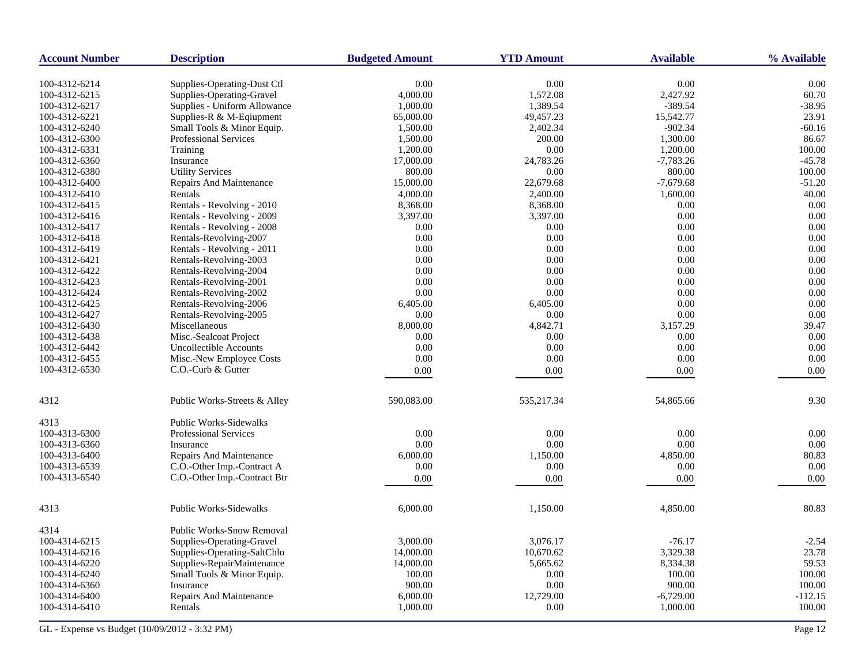| <b>Account Number</b> | <b>Description</b>               | <b>Budgeted Amount</b> | <b>YTD Amount</b> | <b>Available</b> | % Available |
|-----------------------|----------------------------------|------------------------|-------------------|------------------|-------------|
| 100-4312-6214         | Supplies-Operating-Dust Ctl      | 0.00                   | 0.00              | 0.00             | 0.00        |
| 100-4312-6215         | Supplies-Operating-Gravel        | 4,000.00               | 1,572.08          | 2,427.92         | 60.70       |
| 100-4312-6217         | Supplies - Uniform Allowance     | 1,000.00               | 1,389.54          | $-389.54$        | $-38.95$    |
| 100-4312-6221         | Supplies-R & M-Eqiupment         | 65,000.00              | 49,457.23         | 15,542.77        | 23.91       |
| 100-4312-6240         | Small Tools & Minor Equip.       | 1,500.00               | 2,402.34          | $-902.34$        | $-60.16$    |
| 100-4312-6300         | Professional Services            | 1,500.00               | 200.00            | 1,300.00         | 86.67       |
| 100-4312-6331         | Training                         | 1,200.00               | 0.00              | 1,200.00         | 100.00      |
| 100-4312-6360         | Insurance                        | 17,000.00              | 24,783.26         | $-7,783.26$      | $-45.78$    |
| 100-4312-6380         | <b>Utility Services</b>          | 800.00                 | 0.00              | 800.00           | 100.00      |
| 100-4312-6400         | Repairs And Maintenance          | 15,000.00              | 22,679.68         | $-7,679.68$      | $-51.20$    |
| 100-4312-6410         | Rentals                          | 4,000.00               | 2,400.00          | 1,600.00         | 40.00       |
| 100-4312-6415         | Rentals - Revolving - 2010       | 8,368.00               | 8,368.00          | 0.00             | 0.00        |
| 100-4312-6416         | Rentals - Revolving - 2009       | 3,397.00               | 3,397.00          | 0.00             | 0.00        |
| 100-4312-6417         | Rentals - Revolving - 2008       | 0.00                   | 0.00              | 0.00             | 0.00        |
| 100-4312-6418         | Rentals-Revolving-2007           | 0.00                   | 0.00              | 0.00             | 0.00        |
| 100-4312-6419         | Rentals - Revolving - 2011       | 0.00                   | 0.00              | 0.00             | 0.00        |
| 100-4312-6421         | Rentals-Revolving-2003           | 0.00                   | 0.00              | 0.00             | 0.00        |
| 100-4312-6422         | Rentals-Revolving-2004           | 0.00                   | 0.00              | 0.00             | 0.00        |
| 100-4312-6423         | Rentals-Revolving-2001           | 0.00                   | 0.00              | 0.00             | 0.00        |
| 100-4312-6424         | Rentals-Revolving-2002           | 0.00                   | 0.00              | 0.00             | 0.00        |
| 100-4312-6425         | Rentals-Revolving-2006           | 6,405.00               | 6,405.00          | 0.00             | 0.00        |
| 100-4312-6427         | Rentals-Revolving-2005           | 0.00                   | 0.00              | 0.00             | 0.00        |
| 100-4312-6430         | Miscellaneous                    | 8,000.00               | 4,842.71          | 3,157.29         | 39.47       |
| 100-4312-6438         | Misc.-Sealcoat Project           | 0.00                   | 0.00              | 0.00             | 0.00        |
| 100-4312-6442         | Uncollectible Accounts           | 0.00                   | 0.00              | 0.00             | 0.00        |
| 100-4312-6455         | Misc.-New Employee Costs         | 0.00                   | 0.00              | 0.00             | 0.00        |
| 100-4312-6530         | C.O.-Curb & Gutter               |                        | 0.00              |                  | 0.00        |
|                       |                                  | 0.00                   |                   | 0.00             |             |
| 4312                  | Public Works-Streets & Alley     | 590,083.00             | 535,217.34        | 54,865.66        | 9.30        |
| 4313                  | <b>Public Works-Sidewalks</b>    |                        |                   |                  |             |
| 100-4313-6300         | <b>Professional Services</b>     | 0.00                   | 0.00              | 0.00             | 0.00        |
| 100-4313-6360         | Insurance                        | 0.00                   | 0.00              | 0.00             | 0.00        |
| 100-4313-6400         | Repairs And Maintenance          | 6,000.00               | 1,150.00          | 4,850.00         | 80.83       |
| 100-4313-6539         | C.O.-Other Imp.-Contract A       | 0.00                   | 0.00              | 0.00             | 0.00        |
| 100-4313-6540         | C.O.-Other Imp.-Contract Btr     | 0.00                   | 0.00              | 0.00             | 0.00        |
| 4313                  | <b>Public Works-Sidewalks</b>    | 6,000.00               | 1,150.00          | 4,850.00         | 80.83       |
| 4314                  | <b>Public Works-Snow Removal</b> |                        |                   |                  |             |
| 100-4314-6215         | Supplies-Operating-Gravel        | 3,000.00               | 3,076.17          | $-76.17$         | $-2.54$     |
| 100-4314-6216         | Supplies-Operating-SaltChlo      | 14,000.00              | 10,670.62         | 3,329.38         | 23.78       |
| 100-4314-6220         | Supplies-RepairMaintenance       | 14,000.00              | 5,665.62          | 8,334.38         | 59.53       |
| 100-4314-6240         | Small Tools & Minor Equip.       | 100.00                 | 0.00              | 100.00           | 100.00      |
| 100-4314-6360         | Insurance                        | 900.00                 | 0.00              | 900.00           | 100.00      |
| 100-4314-6400         | <b>Repairs And Maintenance</b>   | 6,000.00               | 12,729.00         | $-6,729.00$      | $-112.15$   |
| 100-4314-6410         | Rentals                          | 1,000.00               | 0.00              | 1,000.00         | 100.00      |
|                       |                                  |                        |                   |                  |             |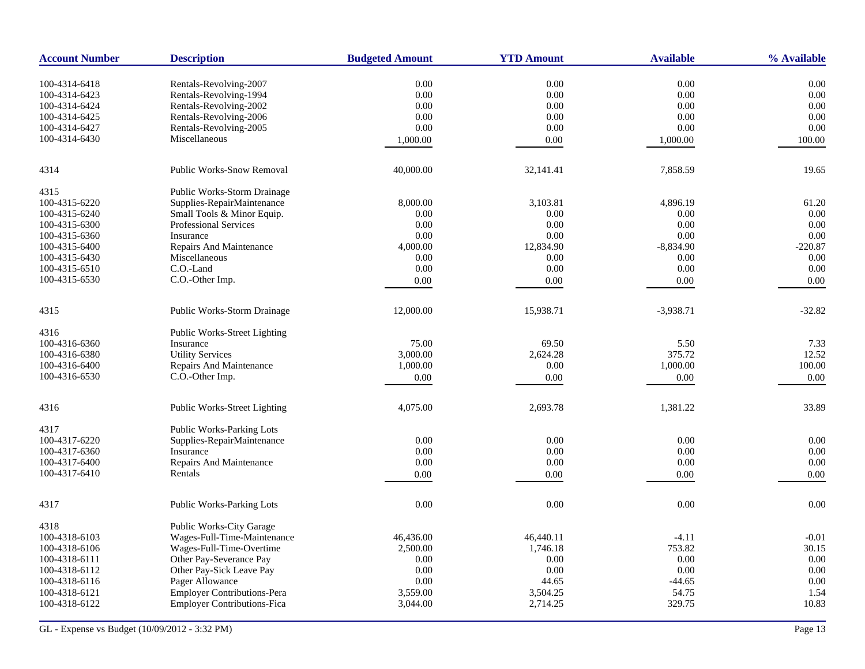| <b>Account Number</b> | <b>Description</b>                  | <b>Budgeted Amount</b> | <b>YTD Amount</b> | <b>Available</b> | % Available |
|-----------------------|-------------------------------------|------------------------|-------------------|------------------|-------------|
| 100-4314-6418         | Rentals-Revolving-2007              | 0.00                   | 0.00              | 0.00             | 0.00        |
| 100-4314-6423         | Rentals-Revolving-1994              | 0.00                   | 0.00              | 0.00             | 0.00        |
| 100-4314-6424         | Rentals-Revolving-2002              | 0.00                   | 0.00              | 0.00             | 0.00        |
| 100-4314-6425         | Rentals-Revolving-2006              | 0.00                   | $0.00\,$          | 0.00             | 0.00        |
| 100-4314-6427         | Rentals-Revolving-2005              | 0.00                   | 0.00              | 0.00             | 0.00        |
| 100-4314-6430         | Miscellaneous                       | 1,000.00               | 0.00              | 1,000.00         | 100.00      |
|                       |                                     |                        |                   |                  |             |
| 4314                  | <b>Public Works-Snow Removal</b>    | 40,000.00              | 32,141.41         | 7,858.59         | 19.65       |
| 4315                  | Public Works-Storm Drainage         |                        |                   |                  |             |
| 100-4315-6220         | Supplies-RepairMaintenance          | 8,000.00               | 3,103.81          | 4,896.19         | 61.20       |
| 100-4315-6240         | Small Tools & Minor Equip.          | 0.00                   | 0.00              | 0.00             | 0.00        |
| 100-4315-6300         | <b>Professional Services</b>        | 0.00                   | 0.00              | 0.00             | 0.00        |
| 100-4315-6360         | Insurance                           | 0.00                   | 0.00              | 0.00             | 0.00        |
| 100-4315-6400         | Repairs And Maintenance             | 4,000.00               | 12,834.90         | $-8,834.90$      | $-220.87$   |
| 100-4315-6430         | Miscellaneous                       | 0.00                   | 0.00              | 0.00             | 0.00        |
| 100-4315-6510         | C.O.-Land                           | 0.00                   | 0.00              | 0.00             | 0.00        |
| 100-4315-6530         | C.O.-Other Imp.                     | 0.00                   | 0.00              | 0.00             | 0.00        |
|                       |                                     |                        |                   |                  |             |
| 4315                  | Public Works-Storm Drainage         | 12,000.00              | 15,938.71         | $-3,938.71$      | $-32.82$    |
| 4316                  | Public Works-Street Lighting        |                        |                   |                  |             |
| 100-4316-6360         | Insurance                           | 75.00                  | 69.50             | 5.50             | 7.33        |
| 100-4316-6380         | <b>Utility Services</b>             | 3,000.00               | 2,624.28          | 375.72           | 12.52       |
| 100-4316-6400         | <b>Repairs And Maintenance</b>      | 1,000.00               | 0.00              | 1,000.00         | 100.00      |
| 100-4316-6530         | C.O.-Other Imp.                     | 0.00                   | 0.00              | 0.00             | 0.00        |
|                       |                                     |                        |                   |                  |             |
| 4316                  | <b>Public Works-Street Lighting</b> | 4,075.00               | 2,693.78          | 1,381.22         | 33.89       |
| 4317                  | Public Works-Parking Lots           |                        |                   |                  |             |
| 100-4317-6220         | Supplies-RepairMaintenance          | 0.00                   | 0.00              | 0.00             | 0.00        |
| 100-4317-6360         | Insurance                           | 0.00                   | 0.00              | 0.00             | 0.00        |
| 100-4317-6400         | Repairs And Maintenance             | 0.00                   | 0.00              | 0.00             | 0.00        |
| 100-4317-6410         | Rentals                             | 0.00                   | 0.00              | 0.00             | 0.00        |
| 4317                  | <b>Public Works-Parking Lots</b>    | 0.00                   | 0.00              | 0.00             | 0.00        |
| 4318                  | Public Works-City Garage            |                        |                   |                  |             |
| 100-4318-6103         | Wages-Full-Time-Maintenance         | 46,436.00              | 46,440.11         | $-4.11$          | $-0.01$     |
| 100-4318-6106         | Wages-Full-Time-Overtime            | 2,500.00               | 1,746.18          | 753.82           | 30.15       |
| 100-4318-6111         | Other Pay-Severance Pay             | 0.00                   | 0.00              | 0.00             | 0.00        |
| 100-4318-6112         | Other Pay-Sick Leave Pay            | 0.00                   | 0.00              | 0.00             | 0.00        |
| 100-4318-6116         | Pager Allowance                     | 0.00                   | 44.65             | $-44.65$         | 0.00        |
| 100-4318-6121         | Employer Contributions-Pera         | 3,559.00               | 3,504.25          | 54.75            | 1.54        |
| 100-4318-6122         | <b>Employer Contributions-Fica</b>  | 3,044.00               | 2,714.25          | 329.75           | 10.83       |
|                       |                                     |                        |                   |                  |             |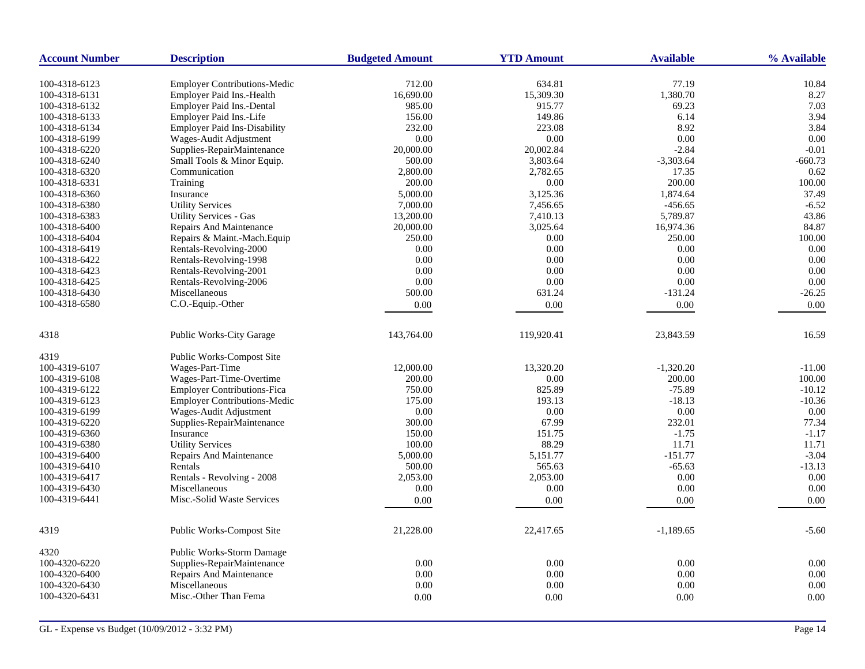| <b>Account Number</b> | <b>Description</b>                  | <b>Budgeted Amount</b> | <b>YTD Amount</b> | <b>Available</b> | % Available |
|-----------------------|-------------------------------------|------------------------|-------------------|------------------|-------------|
|                       |                                     |                        |                   |                  |             |
| 100-4318-6123         | <b>Employer Contributions-Medic</b> | 712.00                 | 634.81            | 77.19            | 10.84       |
| 100-4318-6131         | Employer Paid Ins.-Health           | 16,690.00              | 15,309.30         | 1,380.70         | 8.27        |
| 100-4318-6132         | Employer Paid Ins.-Dental           | 985.00                 | 915.77            | 69.23            | 7.03        |
| 100-4318-6133         | Employer Paid Ins.-Life             | 156.00                 | 149.86            | 6.14             | 3.94        |
| 100-4318-6134         | <b>Employer Paid Ins-Disability</b> | 232.00                 | 223.08            | 8.92             | 3.84        |
| 100-4318-6199         | Wages-Audit Adjustment              | 0.00                   | 0.00              | 0.00             | 0.00        |
| 100-4318-6220         | Supplies-RepairMaintenance          | 20,000.00              | 20,002.84         | $-2.84$          | $-0.01$     |
| 100-4318-6240         | Small Tools & Minor Equip.          | 500.00                 | 3,803.64          | $-3,303.64$      | $-660.73$   |
| 100-4318-6320         | Communication                       | 2,800.00               | 2,782.65          | 17.35            | 0.62        |
| 100-4318-6331         | Training                            | 200.00                 | 0.00              | 200.00           | 100.00      |
| 100-4318-6360         | Insurance                           | 5,000.00               | 3,125.36          | 1,874.64         | 37.49       |
| 100-4318-6380         | <b>Utility Services</b>             | 7,000.00               | 7,456.65          | $-456.65$        | $-6.52$     |
| 100-4318-6383         | <b>Utility Services - Gas</b>       | 13,200.00              | 7,410.13          | 5,789.87         | 43.86       |
| 100-4318-6400         | Repairs And Maintenance             | 20,000.00              | 3,025.64          | 16,974.36        | 84.87       |
| 100-4318-6404         | Repairs & Maint.-Mach. Equip        | 250.00                 | 0.00              | 250.00           | 100.00      |
| 100-4318-6419         | Rentals-Revolving-2000              | 0.00                   | 0.00              | 0.00             | 0.00        |
| 100-4318-6422         | Rentals-Revolving-1998              | 0.00                   | 0.00              | 0.00             | 0.00        |
| 100-4318-6423         | Rentals-Revolving-2001              | 0.00                   | 0.00              | 0.00             | 0.00        |
| 100-4318-6425         | Rentals-Revolving-2006              | 0.00                   | 0.00              | 0.00             | 0.00        |
| 100-4318-6430         | Miscellaneous                       | 500.00                 | 631.24            | $-131.24$        | $-26.25$    |
| 100-4318-6580         | C.O.-Equip.-Other                   | 0.00                   | 0.00              | 0.00             | 0.00        |
|                       |                                     |                        |                   |                  |             |
| 4318                  | <b>Public Works-City Garage</b>     | 143,764.00             | 119,920.41        | 23,843.59        | 16.59       |
| 4319                  | <b>Public Works-Compost Site</b>    |                        |                   |                  |             |
| 100-4319-6107         | Wages-Part-Time                     | 12,000.00              | 13,320.20         | $-1,320.20$      | $-11.00$    |
| 100-4319-6108         | Wages-Part-Time-Overtime            | 200.00                 | 0.00              | 200.00           | 100.00      |
| 100-4319-6122         | <b>Employer Contributions-Fica</b>  | 750.00                 | 825.89            | $-75.89$         | $-10.12$    |
| 100-4319-6123         | <b>Employer Contributions-Medic</b> | 175.00                 | 193.13            | $-18.13$         | $-10.36$    |
| 100-4319-6199         | Wages-Audit Adjustment              | 0.00                   | 0.00              | 0.00             | 0.00        |
| 100-4319-6220         | Supplies-RepairMaintenance          | 300.00                 | 67.99             | 232.01           | 77.34       |
| 100-4319-6360         | Insurance                           | 150.00                 | 151.75            | $-1.75$          | $-1.17$     |
| 100-4319-6380         | <b>Utility Services</b>             | 100.00                 | 88.29             | 11.71            | 11.71       |
| 100-4319-6400         | Repairs And Maintenance             | 5,000.00               | 5,151.77          | $-151.77$        | $-3.04$     |
| 100-4319-6410         | Rentals                             | 500.00                 | 565.63            | $-65.63$         | $-13.13$    |
| 100-4319-6417         | Rentals - Revolving - 2008          | 2,053.00               | 2,053.00          | 0.00             | 0.00        |
| 100-4319-6430         | Miscellaneous                       | 0.00                   | $0.00\,$          | 0.00             | 0.00        |
| 100-4319-6441         | Misc.-Solid Waste Services          | 0.00                   | 0.00              | 0.00             | 0.00        |
|                       |                                     |                        |                   |                  |             |
| 4319                  | Public Works-Compost Site           | 21,228.00              | 22,417.65         | $-1,189.65$      | $-5.60$     |
| 4320                  | <b>Public Works-Storm Damage</b>    |                        |                   |                  |             |
| 100-4320-6220         | Supplies-RepairMaintenance          | 0.00                   | 0.00              | 0.00             | 0.00        |
| 100-4320-6400         | Repairs And Maintenance             | 0.00                   | 0.00              | 0.00             | 0.00        |
| 100-4320-6430         | Miscellaneous                       | 0.00                   | 0.00              | 0.00             | 0.00        |
| 100-4320-6431         | Misc.-Other Than Fema               | 0.00                   | 0.00              | $0.00\,$         | 0.00        |
|                       |                                     |                        |                   |                  |             |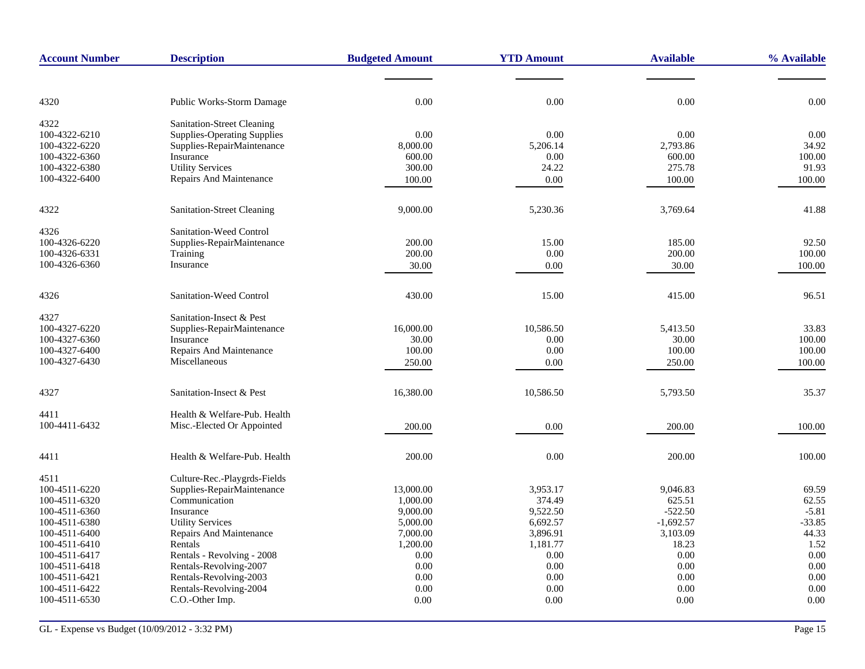| <b>Account Number</b>          | <b>Description</b>                        | <b>Budgeted Amount</b> | <b>YTD Amount</b> | <b>Available</b> | % Available |
|--------------------------------|-------------------------------------------|------------------------|-------------------|------------------|-------------|
|                                |                                           |                        |                   |                  |             |
| 4320                           | <b>Public Works-Storm Damage</b>          | 0.00                   | 0.00              | 0.00             | 0.00        |
| 4322                           | Sanitation-Street Cleaning                |                        |                   |                  |             |
| 100-4322-6210                  | Supplies-Operating Supplies               | 0.00                   | 0.00              | 0.00             | 0.00        |
| 100-4322-6220                  | Supplies-RepairMaintenance                | 8,000.00               | 5,206.14          | 2,793.86         | 34.92       |
| 100-4322-6360                  | Insurance                                 | 600.00                 | 0.00              | 600.00           | 100.00      |
| 100-4322-6380                  | <b>Utility Services</b>                   | 300.00                 | 24.22             | 275.78           | 91.93       |
| 100-4322-6400                  | Repairs And Maintenance                   | 100.00                 | 0.00              | 100.00           | 100.00      |
| 4322                           | <b>Sanitation-Street Cleaning</b>         | 9,000.00               | 5,230.36          | 3,769.64         | 41.88       |
| 4326                           | Sanitation-Weed Control                   |                        |                   |                  |             |
| 100-4326-6220                  | Supplies-RepairMaintenance                | 200.00                 | 15.00             | 185.00           | 92.50       |
| 100-4326-6331                  | Training                                  | 200.00                 | 0.00              | 200.00           | 100.00      |
| 100-4326-6360                  | Insurance                                 | 30.00                  | 0.00              | 30.00            | 100.00      |
| 4326                           | Sanitation-Weed Control                   | 430.00                 | 15.00             | 415.00           | 96.51       |
| 4327                           | Sanitation-Insect & Pest                  |                        |                   |                  |             |
| 100-4327-6220                  | Supplies-RepairMaintenance                | 16,000.00              | 10,586.50         | 5,413.50         | 33.83       |
| 100-4327-6360                  | Insurance                                 | 30.00                  | 0.00              | 30.00            | 100.00      |
| 100-4327-6400                  | Repairs And Maintenance                   | 100.00                 | 0.00              | 100.00           | 100.00      |
| 100-4327-6430                  | Miscellaneous                             | 250.00                 | 0.00              | 250.00           | 100.00      |
| 4327                           | Sanitation-Insect & Pest                  | 16,380.00              | 10,586.50         | 5,793.50         | 35.37       |
| 4411                           | Health & Welfare-Pub. Health              |                        |                   |                  |             |
| 100-4411-6432                  | Misc.-Elected Or Appointed                | 200.00                 | 0.00              | 200.00           | 100.00      |
| 4411                           | Health & Welfare-Pub. Health              | 200.00                 | 0.00              | 200.00           | 100.00      |
| 4511                           | Culture-Rec.-Playgrds-Fields              |                        |                   |                  |             |
| 100-4511-6220                  | Supplies-RepairMaintenance                | 13,000.00              | 3,953.17          | 9,046.83         | 69.59       |
| 100-4511-6320                  | Communication                             | 1,000.00               | 374.49            | 625.51           | 62.55       |
| 100-4511-6360                  | Insurance                                 | 9,000.00               | 9,522.50          | $-522.50$        | $-5.81$     |
| 100-4511-6380                  | <b>Utility Services</b>                   | 5,000.00               | 6,692.57          | $-1,692.57$      | $-33.85$    |
| 100-4511-6400                  | <b>Repairs And Maintenance</b>            | 7,000.00               | 3,896.91          | 3,103.09         | 44.33       |
| 100-4511-6410                  | Rentals                                   | 1,200.00               | 1,181.77          | 18.23            | 1.52        |
| 100-4511-6417                  | Rentals - Revolving - 2008                | 0.00                   | 0.00              | 0.00             | 0.00        |
| 100-4511-6418                  | Rentals-Revolving-2007                    | 0.00                   | 0.00              | 0.00             | 0.00        |
| 100-4511-6421                  | Rentals-Revolving-2003                    | 0.00                   | 0.00              | 0.00             | 0.00        |
| 100-4511-6422<br>100-4511-6530 | Rentals-Revolving-2004<br>C.O.-Other Imp. | 0.00                   | 0.00              | 0.00             | 0.00        |
|                                |                                           | 0.00                   | 0.00              | 0.00             | 0.00        |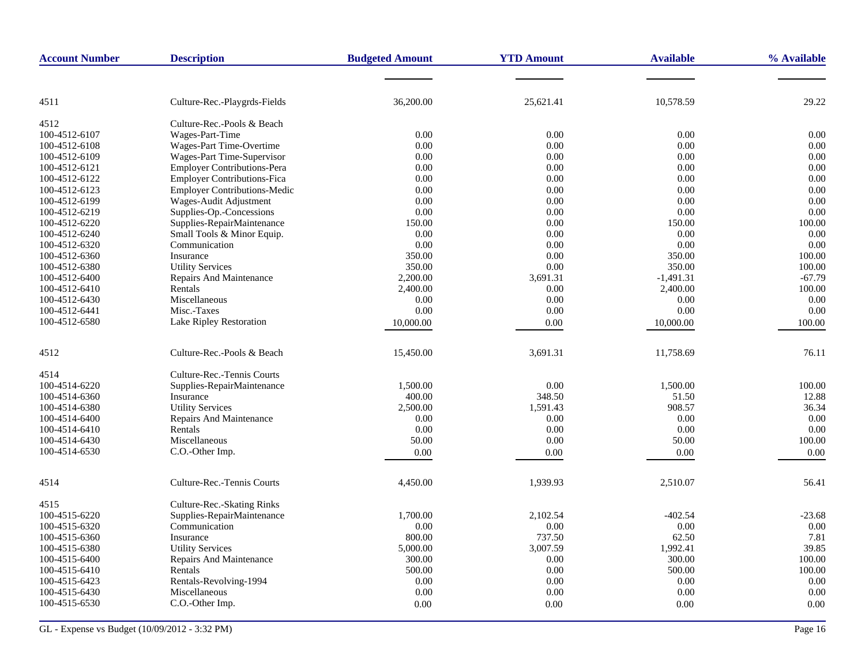| <b>Account Number</b> | <b>Description</b>                            | <b>Budgeted Amount</b> | <b>YTD Amount</b> | <b>Available</b> | % Available |
|-----------------------|-----------------------------------------------|------------------------|-------------------|------------------|-------------|
|                       |                                               |                        |                   |                  |             |
| 4511                  | Culture-Rec.-Playgrds-Fields                  | 36,200.00              | 25,621.41         | 10,578.59        | 29.22       |
|                       |                                               |                        |                   |                  |             |
| 4512<br>100-4512-6107 | Culture-Rec.-Pools & Beach<br>Wages-Part-Time | 0.00                   | 0.00              | 0.00             | 0.00        |
| 100-4512-6108         | Wages-Part Time-Overtime                      | 0.00                   | 0.00              | 0.00             | 0.00        |
| 100-4512-6109         | Wages-Part Time-Supervisor                    | 0.00                   | 0.00              | 0.00             | 0.00        |
| 100-4512-6121         | <b>Employer Contributions-Pera</b>            | 0.00                   | 0.00              | 0.00             | 0.00        |
| 100-4512-6122         | <b>Employer Contributions-Fica</b>            | 0.00                   | 0.00              | 0.00             | 0.00        |
| 100-4512-6123         | <b>Employer Contributions-Medic</b>           | 0.00                   | 0.00              | 0.00             | 0.00        |
| 100-4512-6199         | Wages-Audit Adjustment                        | 0.00                   | 0.00              | 0.00             | 0.00        |
| 100-4512-6219         | Supplies-Op.-Concessions                      | 0.00                   | 0.00              | 0.00             | 0.00        |
| 100-4512-6220         | Supplies-RepairMaintenance                    | 150.00                 | 0.00              | 150.00           | 100.00      |
| 100-4512-6240         | Small Tools & Minor Equip.                    | 0.00                   | 0.00              | 0.00             | 0.00        |
| 100-4512-6320         | Communication                                 | 0.00                   | 0.00              | 0.00             | 0.00        |
| 100-4512-6360         | Insurance                                     | 350.00                 | 0.00              | 350.00           | 100.00      |
| 100-4512-6380         | <b>Utility Services</b>                       | 350.00                 | 0.00              | 350.00           | 100.00      |
| 100-4512-6400         | <b>Repairs And Maintenance</b>                | 2,200.00               | 3,691.31          | $-1,491.31$      | $-67.79$    |
| 100-4512-6410         | Rentals                                       | 2,400.00               | 0.00              | 2,400.00         | 100.00      |
| 100-4512-6430         | Miscellaneous                                 | 0.00                   | 0.00              | 0.00             | 0.00        |
| 100-4512-6441         | Misc.-Taxes                                   | 0.00                   | 0.00              | 0.00             | 0.00        |
| 100-4512-6580         | Lake Ripley Restoration                       | 10,000.00              | 0.00              | 10,000.00        | 100.00      |
| 4512                  | Culture-Rec.-Pools & Beach                    | 15,450.00              | 3,691.31          | 11,758.69        | 76.11       |
| 4514                  | Culture-Rec.-Tennis Courts                    |                        |                   |                  |             |
| 100-4514-6220         | Supplies-RepairMaintenance                    | 1,500.00               | $0.00\,$          | 1,500.00         | 100.00      |
| 100-4514-6360         | Insurance                                     | 400.00                 | 348.50            | 51.50            | 12.88       |
| 100-4514-6380         | <b>Utility Services</b>                       | 2,500.00               | 1,591.43          | 908.57           | 36.34       |
| 100-4514-6400         | Repairs And Maintenance                       | 0.00                   | 0.00              | 0.00             | 0.00        |
| 100-4514-6410         | Rentals                                       | 0.00                   | 0.00              | 0.00             | 0.00        |
| 100-4514-6430         | Miscellaneous                                 | 50.00                  | 0.00              | 50.00            | 100.00      |
| 100-4514-6530         | C.O.-Other Imp.                               | 0.00                   | 0.00              | 0.00             | 0.00        |
| 4514                  | Culture-Rec.-Tennis Courts                    | 4,450.00               | 1,939.93          | 2,510.07         | 56.41       |
| 4515                  | Culture-Rec.-Skating Rinks                    |                        |                   |                  |             |
| 100-4515-6220         | Supplies-RepairMaintenance                    | 1,700.00               | 2,102.54          | $-402.54$        | $-23.68$    |
| 100-4515-6320         | Communication                                 | 0.00                   | 0.00              | 0.00             | 0.00        |
| 100-4515-6360         | Insurance                                     | 800.00                 | 737.50            | 62.50            | 7.81        |
| 100-4515-6380         | <b>Utility Services</b>                       | 5,000.00               | 3,007.59          | 1,992.41         | 39.85       |
| 100-4515-6400         | Repairs And Maintenance                       | 300.00                 | 0.00              | 300.00           | 100.00      |
| 100-4515-6410         | Rentals                                       | 500.00                 | 0.00              | 500.00           | 100.00      |
| 100-4515-6423         | Rentals-Revolving-1994                        | 0.00                   | 0.00              | 0.00             | 0.00        |
| 100-4515-6430         | Miscellaneous                                 | 0.00                   | 0.00              | 0.00             | 0.00        |
| 100-4515-6530         | C.O.-Other Imp.                               | 0.00                   | 0.00              | 0.00             | 0.00        |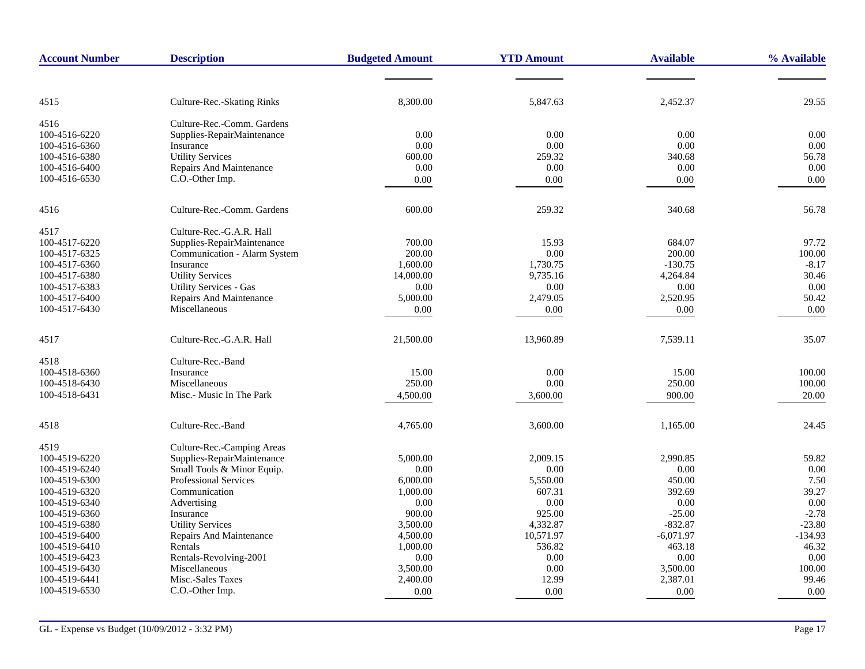| <b>Account Number</b> | <b>Description</b>             | <b>Budgeted Amount</b> | <b>YTD Amount</b> | <b>Available</b> | % Available |
|-----------------------|--------------------------------|------------------------|-------------------|------------------|-------------|
|                       |                                |                        |                   |                  |             |
| 4515                  | Culture-Rec.-Skating Rinks     | 8,300.00               | 5,847.63          | 2,452.37         | 29.55       |
| 4516                  | Culture-Rec.-Comm. Gardens     |                        |                   |                  |             |
| 100-4516-6220         | Supplies-RepairMaintenance     | 0.00                   | 0.00              | 0.00             | 0.00        |
| 100-4516-6360         | Insurance                      | 0.00                   | 0.00              | 0.00             | 0.00        |
| 100-4516-6380         | <b>Utility Services</b>        | 600.00                 | 259.32            | 340.68           | 56.78       |
| 100-4516-6400         | Repairs And Maintenance        | 0.00                   | $0.00\,$          | 0.00             | 0.00        |
| 100-4516-6530         | C.O.-Other Imp.                | 0.00                   | 0.00              | 0.00             | 0.00        |
| 4516                  | Culture-Rec.-Comm. Gardens     | 600.00                 | 259.32            | 340.68           | 56.78       |
| 4517                  | Culture-Rec.-G.A.R. Hall       |                        |                   |                  |             |
| 100-4517-6220         | Supplies-RepairMaintenance     | 700.00                 | 15.93             | 684.07           | 97.72       |
| 100-4517-6325         | Communication - Alarm System   | 200.00                 | 0.00              | 200.00           | 100.00      |
| 100-4517-6360         | Insurance                      | 1,600.00               | 1,730.75          | $-130.75$        | $-8.17$     |
| 100-4517-6380         | <b>Utility Services</b>        | 14,000.00              | 9,735.16          | 4,264.84         | 30.46       |
| 100-4517-6383         | <b>Utility Services - Gas</b>  | 0.00                   | 0.00              | 0.00             | 0.00        |
| 100-4517-6400         | <b>Repairs And Maintenance</b> | 5,000.00               | 2,479.05          | 2,520.95         | 50.42       |
| 100-4517-6430         | Miscellaneous                  | 0.00                   | 0.00              | 0.00             | 0.00        |
| 4517                  | Culture-Rec.-G.A.R. Hall       | 21,500.00              | 13,960.89         | 7,539.11         | 35.07       |
| 4518                  | Culture-Rec.-Band              |                        |                   |                  |             |
| 100-4518-6360         | Insurance                      | 15.00                  | 0.00              | 15.00            | 100.00      |
| 100-4518-6430         | Miscellaneous                  | 250.00                 | 0.00              | 250.00           | 100.00      |
| 100-4518-6431         | Misc.- Music In The Park       | 4,500.00               | 3,600.00          | 900.00           | 20.00       |
| 4518                  | Culture-Rec.-Band              | 4,765.00               | 3,600.00          | 1,165.00         | 24.45       |
| 4519                  | Culture-Rec.-Camping Areas     |                        |                   |                  |             |
| 100-4519-6220         | Supplies-RepairMaintenance     | 5,000.00               | 2,009.15          | 2,990.85         | 59.82       |
| 100-4519-6240         | Small Tools & Minor Equip.     | 0.00                   | 0.00              | 0.00             | 0.00        |
| 100-4519-6300         | <b>Professional Services</b>   | 6,000.00               | 5,550.00          | 450.00           | 7.50        |
| 100-4519-6320         | Communication                  | 1,000.00               | 607.31            | 392.69           | 39.27       |
| 100-4519-6340         | Advertising                    | 0.00                   | 0.00              | 0.00             | 0.00        |
| 100-4519-6360         | Insurance                      | 900.00                 | 925.00            | $-25.00$         | $-2.78$     |
| 100-4519-6380         | <b>Utility Services</b>        | 3,500.00               | 4,332.87          | $-832.87$        | $-23.80$    |
| 100-4519-6400         | Repairs And Maintenance        | 4,500.00               | 10,571.97         | $-6,071.97$      | $-134.93$   |
| 100-4519-6410         | Rentals                        | 1,000.00               | 536.82            | 463.18           | 46.32       |
| 100-4519-6423         | Rentals-Revolving-2001         | 0.00                   | $0.00\,$          | 0.00             | 0.00        |
| 100-4519-6430         | Miscellaneous                  | 3,500.00               | 0.00              | 3,500.00         | 100.00      |
| 100-4519-6441         | Misc.-Sales Taxes              | 2,400.00               | 12.99             | 2,387.01         | 99.46       |
| 100-4519-6530         | C.O.-Other Imp.                | 0.00                   | 0.00              | 0.00             | 0.00        |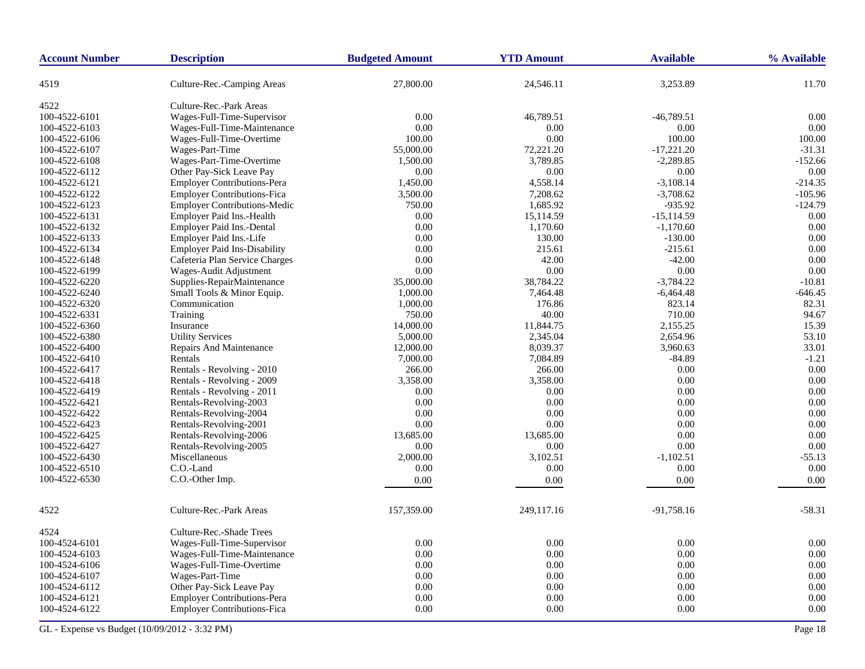| <b>Account Number</b> | <b>Description</b>                  | <b>Budgeted Amount</b> | <b>YTD Amount</b> | <b>Available</b> | % Available |
|-----------------------|-------------------------------------|------------------------|-------------------|------------------|-------------|
| 4519                  | Culture-Rec.-Camping Areas          | 27,800.00              | 24,546.11         | 3,253.89         | 11.70       |
| 4522                  | Culture-Rec.-Park Areas             |                        |                   |                  |             |
| 100-4522-6101         | Wages-Full-Time-Supervisor          | 0.00                   | 46,789.51         | $-46,789.51$     | 0.00        |
| 100-4522-6103         | Wages-Full-Time-Maintenance         | 0.00                   | 0.00              | 0.00             | 0.00        |
| 100-4522-6106         | Wages-Full-Time-Overtime            | 100.00                 | 0.00              | 100.00           | 100.00      |
| 100-4522-6107         | Wages-Part-Time                     | 55,000.00              | 72,221.20         | $-17,221.20$     | $-31.31$    |
| 100-4522-6108         | Wages-Part-Time-Overtime            | 1,500.00               | 3,789.85          | $-2,289.85$      | $-152.66$   |
| 100-4522-6112         | Other Pay-Sick Leave Pay            | 0.00                   | 0.00              | 0.00             | 0.00        |
| 100-4522-6121         | <b>Employer Contributions-Pera</b>  | 1,450.00               | 4,558.14          | $-3,108.14$      | $-214.35$   |
| 100-4522-6122         | <b>Employer Contributions-Fica</b>  | 3,500.00               | 7,208.62          | $-3,708.62$      | $-105.96$   |
| 100-4522-6123         | Employer Contributions-Medic        | 750.00                 | 1,685.92          | $-935.92$        | $-124.79$   |
| 100-4522-6131         | Employer Paid Ins.-Health           | 0.00                   | 15,114.59         | $-15,114.59$     | 0.00        |
| 100-4522-6132         | Employer Paid Ins.-Dental           | 0.00                   | 1,170.60          | $-1,170.60$      | 0.00        |
| 100-4522-6133         | Employer Paid Ins.-Life             | 0.00                   | 130.00            | $-130.00$        | 0.00        |
| 100-4522-6134         | <b>Employer Paid Ins-Disability</b> | 0.00                   | 215.61            | $-215.61$        | 0.00        |
| 100-4522-6148         | Cafeteria Plan Service Charges      | 0.00                   | 42.00             | $-42.00$         | 0.00        |
| 100-4522-6199         | Wages-Audit Adjustment              | 0.00                   | 0.00              | 0.00             | 0.00        |
| 100-4522-6220         | Supplies-RepairMaintenance          | 35,000.00              | 38,784.22         | $-3,784.22$      | $-10.81$    |
| 100-4522-6240         | Small Tools & Minor Equip.          | 1,000.00               | 7,464.48          | $-6,464.48$      | $-646.45$   |
| 100-4522-6320         | Communication                       | 1,000.00               | 176.86            | 823.14           | 82.31       |
| 100-4522-6331         | Training                            | 750.00                 | 40.00             | 710.00           | 94.67       |
| 100-4522-6360         | Insurance                           | 14,000.00              | 11,844.75         | 2,155.25         | 15.39       |
| 100-4522-6380         | <b>Utility Services</b>             | 5,000.00               | 2,345.04          | 2,654.96         | 53.10       |
| 100-4522-6400         | Repairs And Maintenance             | 12,000.00              | 8,039.37          | 3,960.63         | 33.01       |
| 100-4522-6410         | Rentals                             | 7,000.00               | 7,084.89          | $-84.89$         | $-1.21$     |
| 100-4522-6417         | Rentals - Revolving - 2010          | 266.00                 | 266.00            | 0.00             | 0.00        |
| 100-4522-6418         | Rentals - Revolving - 2009          | 3,358.00               | 3,358.00          | 0.00             | 0.00        |
| 100-4522-6419         | Rentals - Revolving - 2011          | 0.00                   | 0.00              | 0.00             | 0.00        |
| 100-4522-6421         | Rentals-Revolving-2003              | 0.00                   | 0.00              | 0.00             | 0.00        |
| 100-4522-6422         | Rentals-Revolving-2004              | 0.00                   | 0.00              | 0.00             | 0.00        |
| 100-4522-6423         | Rentals-Revolving-2001              | 0.00                   | 0.00              | 0.00             | 0.00        |
| 100-4522-6425         | Rentals-Revolving-2006              | 13,685.00              | 13,685.00         | 0.00             | 0.00        |
| 100-4522-6427         | Rentals-Revolving-2005              | 0.00                   | 0.00              | $0.00\,$         | 0.00        |
| 100-4522-6430         | Miscellaneous                       | 2,000.00               | 3,102.51          | $-1,102.51$      | $-55.13$    |
| 100-4522-6510         | C.O.-Land                           | 0.00                   | 0.00              | 0.00             | 0.00        |
| 100-4522-6530         | C.O.-Other Imp.                     | 0.00                   | 0.00              | 0.00             | 0.00        |
|                       |                                     |                        |                   |                  |             |
| 4522                  | Culture-Rec.-Park Areas             | 157,359.00             | 249,117.16        | $-91,758.16$     | $-58.31$    |
| 4524                  | Culture-Rec.-Shade Trees            |                        |                   |                  |             |
| 100-4524-6101         | Wages-Full-Time-Supervisor          | 0.00                   | 0.00              | 0.00             | 0.00        |
| 100-4524-6103         | Wages-Full-Time-Maintenance         | 0.00                   | 0.00              | 0.00             | 0.00        |
| 100-4524-6106         | Wages-Full-Time-Overtime            | 0.00                   | 0.00              | 0.00             | 0.00        |
| 100-4524-6107         | Wages-Part-Time                     | 0.00                   | 0.00              | 0.00             | 0.00        |
| 100-4524-6112         | Other Pay-Sick Leave Pay            | 0.00                   | 0.00              | 0.00             | 0.00        |
| 100-4524-6121         | <b>Employer Contributions-Pera</b>  | 0.00                   | 0.00              | 0.00             | 0.00        |
| 100-4524-6122         | <b>Employer Contributions-Fica</b>  | 0.00                   | 0.00              | 0.00             | 0.00        |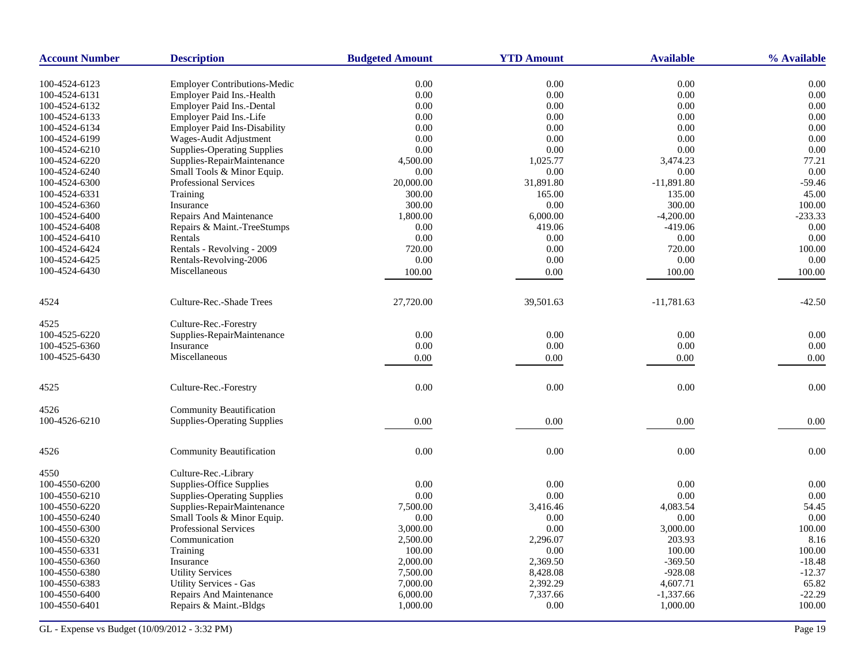| 0.00<br>0.00<br>0.00<br>0.00<br>100-4524-6123<br><b>Employer Contributions-Medic</b><br>0.00<br>0.00<br>0.00<br>0.00<br>Employer Paid Ins.-Health<br>100-4524-6131<br>Employer Paid Ins.-Dental<br>0.00<br>$0.00\,$<br>0.00<br>100-4524-6132<br>0.00<br>Employer Paid Ins.-Life<br>0.00<br>100-4524-6133<br>0.00<br>0.00<br>0.00<br><b>Employer Paid Ins-Disability</b><br>0.00<br>0.00<br>0.00<br>100-4524-6134<br>0.00<br>100-4524-6199<br>Wages-Audit Adjustment<br>0.00<br>0.00<br>0.00<br>0.00<br>0.00<br><b>Supplies-Operating Supplies</b><br>0.00<br>0.00<br>0.00<br>100-4524-6210<br>100-4524-6220<br>Supplies-RepairMaintenance<br>1,025.77<br>3,474.23<br>77.21<br>4,500.00<br>Small Tools & Minor Equip.<br>0.00<br>0.00<br>0.00<br>0.00<br>100-4524-6240<br>$-11,891.80$<br>100-4524-6300<br>Professional Services<br>20,000.00<br>31,891.80<br>-59.46<br>Training<br>300.00<br>165.00<br>135.00<br>45.00<br>100-4524-6331<br>300.00<br>Insurance<br>300.00<br>0.00<br>100.00<br>100-4524-6360<br>$-233.33$<br>1,800.00<br>6,000.00<br>$-4,200.00$<br><b>Repairs And Maintenance</b><br>$-419.06$<br>0.00<br>100-4524-6408<br>Repairs & Maint.-TreeStumps<br>0.00<br>419.06<br>Rentals<br>0.00<br>0.00<br>0.00<br>0.00<br>100-4524-6424<br>Rentals - Revolving - 2009<br>720.00<br>0.00<br>720.00<br>100.00<br>Rentals-Revolving-2006<br>0.00<br>0.00<br>0.00<br>0.00<br>Miscellaneous<br>100.00<br>0.00<br>100.00<br>100.00<br>Culture-Rec.-Shade Trees<br>27,720.00<br>39,501.63<br>$-11,781.63$<br>$-42.50$<br>Culture-Rec.-Forestry<br>0.00<br>0.00<br>0.00<br>0.00<br>Supplies-RepairMaintenance<br>Insurance<br>0.00<br>0.00<br>$0.00\,$<br>0.00<br>Miscellaneous<br>0.00<br>0.00<br>0.00<br>0.00<br>Culture-Rec.-Forestry<br>0.00<br>0.00<br>0.00<br>0.00<br><b>Community Beautification</b><br><b>Supplies-Operating Supplies</b><br>0.00<br>0.00<br>0.00<br>0.00<br>0.00<br>0.00<br><b>Community Beautification</b><br>0.00<br>0.00<br>Culture-Rec.-Library<br>Supplies-Office Supplies<br>0.00<br>0.00<br>0.00<br>0.00<br>0.00<br>0.00<br>0.00<br>0.00<br><b>Supplies-Operating Supplies</b><br>Supplies-RepairMaintenance<br>7,500.00<br>3,416.46<br>4,083.54<br>54.45<br>0.00<br>Small Tools & Minor Equip.<br>0.00<br>0.00<br>0.00<br>100.00<br><b>Professional Services</b><br>3,000.00<br>0.00<br>3,000.00<br>Communication<br>2,500.00<br>203.93<br>8.16<br>2,296.07<br>Training<br>100.00<br>0.00<br>100.00<br>100.00<br>2,369.50<br>Insurance<br>2,000.00<br>$-369.50$<br>$-18.48$<br>8,428.08<br>$-928.08$<br>$-12.37$<br><b>Utility Services</b><br>7,500.00<br>7,000.00<br>2,392.29<br>4,607.71<br>65.82<br><b>Utility Services - Gas</b><br>7,337.66<br>$-22.29$<br>Repairs And Maintenance<br>6,000.00<br>$-1,337.66$ | <b>Account Number</b> | <b>Description</b>     | <b>Budgeted Amount</b> | <b>YTD Amount</b> | <b>Available</b> | % Available |
|-----------------------------------------------------------------------------------------------------------------------------------------------------------------------------------------------------------------------------------------------------------------------------------------------------------------------------------------------------------------------------------------------------------------------------------------------------------------------------------------------------------------------------------------------------------------------------------------------------------------------------------------------------------------------------------------------------------------------------------------------------------------------------------------------------------------------------------------------------------------------------------------------------------------------------------------------------------------------------------------------------------------------------------------------------------------------------------------------------------------------------------------------------------------------------------------------------------------------------------------------------------------------------------------------------------------------------------------------------------------------------------------------------------------------------------------------------------------------------------------------------------------------------------------------------------------------------------------------------------------------------------------------------------------------------------------------------------------------------------------------------------------------------------------------------------------------------------------------------------------------------------------------------------------------------------------------------------------------------------------------------------------------------------------------------------------------------------------------------------------------------------------------------------------------------------------------------------------------------------------------------------------------------------------------------------------------------------------------------------------------------------------------------------------------------------------------------------------------------------------------------------------------------------------------------------------------------------------------------------------------------------------------------------------------------------------------------------------------------------------------------------|-----------------------|------------------------|------------------------|-------------------|------------------|-------------|
|                                                                                                                                                                                                                                                                                                                                                                                                                                                                                                                                                                                                                                                                                                                                                                                                                                                                                                                                                                                                                                                                                                                                                                                                                                                                                                                                                                                                                                                                                                                                                                                                                                                                                                                                                                                                                                                                                                                                                                                                                                                                                                                                                                                                                                                                                                                                                                                                                                                                                                                                                                                                                                                                                                                                                           |                       |                        |                        |                   |                  |             |
|                                                                                                                                                                                                                                                                                                                                                                                                                                                                                                                                                                                                                                                                                                                                                                                                                                                                                                                                                                                                                                                                                                                                                                                                                                                                                                                                                                                                                                                                                                                                                                                                                                                                                                                                                                                                                                                                                                                                                                                                                                                                                                                                                                                                                                                                                                                                                                                                                                                                                                                                                                                                                                                                                                                                                           |                       |                        |                        |                   |                  |             |
|                                                                                                                                                                                                                                                                                                                                                                                                                                                                                                                                                                                                                                                                                                                                                                                                                                                                                                                                                                                                                                                                                                                                                                                                                                                                                                                                                                                                                                                                                                                                                                                                                                                                                                                                                                                                                                                                                                                                                                                                                                                                                                                                                                                                                                                                                                                                                                                                                                                                                                                                                                                                                                                                                                                                                           |                       |                        |                        |                   |                  |             |
|                                                                                                                                                                                                                                                                                                                                                                                                                                                                                                                                                                                                                                                                                                                                                                                                                                                                                                                                                                                                                                                                                                                                                                                                                                                                                                                                                                                                                                                                                                                                                                                                                                                                                                                                                                                                                                                                                                                                                                                                                                                                                                                                                                                                                                                                                                                                                                                                                                                                                                                                                                                                                                                                                                                                                           |                       |                        |                        |                   |                  |             |
|                                                                                                                                                                                                                                                                                                                                                                                                                                                                                                                                                                                                                                                                                                                                                                                                                                                                                                                                                                                                                                                                                                                                                                                                                                                                                                                                                                                                                                                                                                                                                                                                                                                                                                                                                                                                                                                                                                                                                                                                                                                                                                                                                                                                                                                                                                                                                                                                                                                                                                                                                                                                                                                                                                                                                           |                       |                        |                        |                   |                  |             |
|                                                                                                                                                                                                                                                                                                                                                                                                                                                                                                                                                                                                                                                                                                                                                                                                                                                                                                                                                                                                                                                                                                                                                                                                                                                                                                                                                                                                                                                                                                                                                                                                                                                                                                                                                                                                                                                                                                                                                                                                                                                                                                                                                                                                                                                                                                                                                                                                                                                                                                                                                                                                                                                                                                                                                           |                       |                        |                        |                   |                  |             |
|                                                                                                                                                                                                                                                                                                                                                                                                                                                                                                                                                                                                                                                                                                                                                                                                                                                                                                                                                                                                                                                                                                                                                                                                                                                                                                                                                                                                                                                                                                                                                                                                                                                                                                                                                                                                                                                                                                                                                                                                                                                                                                                                                                                                                                                                                                                                                                                                                                                                                                                                                                                                                                                                                                                                                           |                       |                        |                        |                   |                  |             |
|                                                                                                                                                                                                                                                                                                                                                                                                                                                                                                                                                                                                                                                                                                                                                                                                                                                                                                                                                                                                                                                                                                                                                                                                                                                                                                                                                                                                                                                                                                                                                                                                                                                                                                                                                                                                                                                                                                                                                                                                                                                                                                                                                                                                                                                                                                                                                                                                                                                                                                                                                                                                                                                                                                                                                           |                       |                        |                        |                   |                  |             |
|                                                                                                                                                                                                                                                                                                                                                                                                                                                                                                                                                                                                                                                                                                                                                                                                                                                                                                                                                                                                                                                                                                                                                                                                                                                                                                                                                                                                                                                                                                                                                                                                                                                                                                                                                                                                                                                                                                                                                                                                                                                                                                                                                                                                                                                                                                                                                                                                                                                                                                                                                                                                                                                                                                                                                           |                       |                        |                        |                   |                  |             |
|                                                                                                                                                                                                                                                                                                                                                                                                                                                                                                                                                                                                                                                                                                                                                                                                                                                                                                                                                                                                                                                                                                                                                                                                                                                                                                                                                                                                                                                                                                                                                                                                                                                                                                                                                                                                                                                                                                                                                                                                                                                                                                                                                                                                                                                                                                                                                                                                                                                                                                                                                                                                                                                                                                                                                           |                       |                        |                        |                   |                  |             |
|                                                                                                                                                                                                                                                                                                                                                                                                                                                                                                                                                                                                                                                                                                                                                                                                                                                                                                                                                                                                                                                                                                                                                                                                                                                                                                                                                                                                                                                                                                                                                                                                                                                                                                                                                                                                                                                                                                                                                                                                                                                                                                                                                                                                                                                                                                                                                                                                                                                                                                                                                                                                                                                                                                                                                           |                       |                        |                        |                   |                  |             |
|                                                                                                                                                                                                                                                                                                                                                                                                                                                                                                                                                                                                                                                                                                                                                                                                                                                                                                                                                                                                                                                                                                                                                                                                                                                                                                                                                                                                                                                                                                                                                                                                                                                                                                                                                                                                                                                                                                                                                                                                                                                                                                                                                                                                                                                                                                                                                                                                                                                                                                                                                                                                                                                                                                                                                           |                       |                        |                        |                   |                  |             |
|                                                                                                                                                                                                                                                                                                                                                                                                                                                                                                                                                                                                                                                                                                                                                                                                                                                                                                                                                                                                                                                                                                                                                                                                                                                                                                                                                                                                                                                                                                                                                                                                                                                                                                                                                                                                                                                                                                                                                                                                                                                                                                                                                                                                                                                                                                                                                                                                                                                                                                                                                                                                                                                                                                                                                           | 100-4524-6400         |                        |                        |                   |                  |             |
|                                                                                                                                                                                                                                                                                                                                                                                                                                                                                                                                                                                                                                                                                                                                                                                                                                                                                                                                                                                                                                                                                                                                                                                                                                                                                                                                                                                                                                                                                                                                                                                                                                                                                                                                                                                                                                                                                                                                                                                                                                                                                                                                                                                                                                                                                                                                                                                                                                                                                                                                                                                                                                                                                                                                                           |                       |                        |                        |                   |                  |             |
|                                                                                                                                                                                                                                                                                                                                                                                                                                                                                                                                                                                                                                                                                                                                                                                                                                                                                                                                                                                                                                                                                                                                                                                                                                                                                                                                                                                                                                                                                                                                                                                                                                                                                                                                                                                                                                                                                                                                                                                                                                                                                                                                                                                                                                                                                                                                                                                                                                                                                                                                                                                                                                                                                                                                                           | 100-4524-6410         |                        |                        |                   |                  |             |
|                                                                                                                                                                                                                                                                                                                                                                                                                                                                                                                                                                                                                                                                                                                                                                                                                                                                                                                                                                                                                                                                                                                                                                                                                                                                                                                                                                                                                                                                                                                                                                                                                                                                                                                                                                                                                                                                                                                                                                                                                                                                                                                                                                                                                                                                                                                                                                                                                                                                                                                                                                                                                                                                                                                                                           |                       |                        |                        |                   |                  |             |
|                                                                                                                                                                                                                                                                                                                                                                                                                                                                                                                                                                                                                                                                                                                                                                                                                                                                                                                                                                                                                                                                                                                                                                                                                                                                                                                                                                                                                                                                                                                                                                                                                                                                                                                                                                                                                                                                                                                                                                                                                                                                                                                                                                                                                                                                                                                                                                                                                                                                                                                                                                                                                                                                                                                                                           | 100-4524-6425         |                        |                        |                   |                  |             |
|                                                                                                                                                                                                                                                                                                                                                                                                                                                                                                                                                                                                                                                                                                                                                                                                                                                                                                                                                                                                                                                                                                                                                                                                                                                                                                                                                                                                                                                                                                                                                                                                                                                                                                                                                                                                                                                                                                                                                                                                                                                                                                                                                                                                                                                                                                                                                                                                                                                                                                                                                                                                                                                                                                                                                           | 100-4524-6430         |                        |                        |                   |                  |             |
|                                                                                                                                                                                                                                                                                                                                                                                                                                                                                                                                                                                                                                                                                                                                                                                                                                                                                                                                                                                                                                                                                                                                                                                                                                                                                                                                                                                                                                                                                                                                                                                                                                                                                                                                                                                                                                                                                                                                                                                                                                                                                                                                                                                                                                                                                                                                                                                                                                                                                                                                                                                                                                                                                                                                                           |                       |                        |                        |                   |                  |             |
|                                                                                                                                                                                                                                                                                                                                                                                                                                                                                                                                                                                                                                                                                                                                                                                                                                                                                                                                                                                                                                                                                                                                                                                                                                                                                                                                                                                                                                                                                                                                                                                                                                                                                                                                                                                                                                                                                                                                                                                                                                                                                                                                                                                                                                                                                                                                                                                                                                                                                                                                                                                                                                                                                                                                                           | 4524                  |                        |                        |                   |                  |             |
|                                                                                                                                                                                                                                                                                                                                                                                                                                                                                                                                                                                                                                                                                                                                                                                                                                                                                                                                                                                                                                                                                                                                                                                                                                                                                                                                                                                                                                                                                                                                                                                                                                                                                                                                                                                                                                                                                                                                                                                                                                                                                                                                                                                                                                                                                                                                                                                                                                                                                                                                                                                                                                                                                                                                                           | 4525                  |                        |                        |                   |                  |             |
|                                                                                                                                                                                                                                                                                                                                                                                                                                                                                                                                                                                                                                                                                                                                                                                                                                                                                                                                                                                                                                                                                                                                                                                                                                                                                                                                                                                                                                                                                                                                                                                                                                                                                                                                                                                                                                                                                                                                                                                                                                                                                                                                                                                                                                                                                                                                                                                                                                                                                                                                                                                                                                                                                                                                                           | 100-4525-6220         |                        |                        |                   |                  |             |
|                                                                                                                                                                                                                                                                                                                                                                                                                                                                                                                                                                                                                                                                                                                                                                                                                                                                                                                                                                                                                                                                                                                                                                                                                                                                                                                                                                                                                                                                                                                                                                                                                                                                                                                                                                                                                                                                                                                                                                                                                                                                                                                                                                                                                                                                                                                                                                                                                                                                                                                                                                                                                                                                                                                                                           | 100-4525-6360         |                        |                        |                   |                  |             |
|                                                                                                                                                                                                                                                                                                                                                                                                                                                                                                                                                                                                                                                                                                                                                                                                                                                                                                                                                                                                                                                                                                                                                                                                                                                                                                                                                                                                                                                                                                                                                                                                                                                                                                                                                                                                                                                                                                                                                                                                                                                                                                                                                                                                                                                                                                                                                                                                                                                                                                                                                                                                                                                                                                                                                           | 100-4525-6430         |                        |                        |                   |                  |             |
|                                                                                                                                                                                                                                                                                                                                                                                                                                                                                                                                                                                                                                                                                                                                                                                                                                                                                                                                                                                                                                                                                                                                                                                                                                                                                                                                                                                                                                                                                                                                                                                                                                                                                                                                                                                                                                                                                                                                                                                                                                                                                                                                                                                                                                                                                                                                                                                                                                                                                                                                                                                                                                                                                                                                                           |                       |                        |                        |                   |                  |             |
|                                                                                                                                                                                                                                                                                                                                                                                                                                                                                                                                                                                                                                                                                                                                                                                                                                                                                                                                                                                                                                                                                                                                                                                                                                                                                                                                                                                                                                                                                                                                                                                                                                                                                                                                                                                                                                                                                                                                                                                                                                                                                                                                                                                                                                                                                                                                                                                                                                                                                                                                                                                                                                                                                                                                                           | 4525                  |                        |                        |                   |                  |             |
|                                                                                                                                                                                                                                                                                                                                                                                                                                                                                                                                                                                                                                                                                                                                                                                                                                                                                                                                                                                                                                                                                                                                                                                                                                                                                                                                                                                                                                                                                                                                                                                                                                                                                                                                                                                                                                                                                                                                                                                                                                                                                                                                                                                                                                                                                                                                                                                                                                                                                                                                                                                                                                                                                                                                                           | 4526                  |                        |                        |                   |                  |             |
|                                                                                                                                                                                                                                                                                                                                                                                                                                                                                                                                                                                                                                                                                                                                                                                                                                                                                                                                                                                                                                                                                                                                                                                                                                                                                                                                                                                                                                                                                                                                                                                                                                                                                                                                                                                                                                                                                                                                                                                                                                                                                                                                                                                                                                                                                                                                                                                                                                                                                                                                                                                                                                                                                                                                                           | 100-4526-6210         |                        |                        |                   |                  |             |
|                                                                                                                                                                                                                                                                                                                                                                                                                                                                                                                                                                                                                                                                                                                                                                                                                                                                                                                                                                                                                                                                                                                                                                                                                                                                                                                                                                                                                                                                                                                                                                                                                                                                                                                                                                                                                                                                                                                                                                                                                                                                                                                                                                                                                                                                                                                                                                                                                                                                                                                                                                                                                                                                                                                                                           |                       |                        |                        |                   |                  |             |
|                                                                                                                                                                                                                                                                                                                                                                                                                                                                                                                                                                                                                                                                                                                                                                                                                                                                                                                                                                                                                                                                                                                                                                                                                                                                                                                                                                                                                                                                                                                                                                                                                                                                                                                                                                                                                                                                                                                                                                                                                                                                                                                                                                                                                                                                                                                                                                                                                                                                                                                                                                                                                                                                                                                                                           | 4526                  |                        |                        |                   |                  |             |
|                                                                                                                                                                                                                                                                                                                                                                                                                                                                                                                                                                                                                                                                                                                                                                                                                                                                                                                                                                                                                                                                                                                                                                                                                                                                                                                                                                                                                                                                                                                                                                                                                                                                                                                                                                                                                                                                                                                                                                                                                                                                                                                                                                                                                                                                                                                                                                                                                                                                                                                                                                                                                                                                                                                                                           | 4550                  |                        |                        |                   |                  |             |
|                                                                                                                                                                                                                                                                                                                                                                                                                                                                                                                                                                                                                                                                                                                                                                                                                                                                                                                                                                                                                                                                                                                                                                                                                                                                                                                                                                                                                                                                                                                                                                                                                                                                                                                                                                                                                                                                                                                                                                                                                                                                                                                                                                                                                                                                                                                                                                                                                                                                                                                                                                                                                                                                                                                                                           | 100-4550-6200         |                        |                        |                   |                  |             |
|                                                                                                                                                                                                                                                                                                                                                                                                                                                                                                                                                                                                                                                                                                                                                                                                                                                                                                                                                                                                                                                                                                                                                                                                                                                                                                                                                                                                                                                                                                                                                                                                                                                                                                                                                                                                                                                                                                                                                                                                                                                                                                                                                                                                                                                                                                                                                                                                                                                                                                                                                                                                                                                                                                                                                           | 100-4550-6210         |                        |                        |                   |                  |             |
|                                                                                                                                                                                                                                                                                                                                                                                                                                                                                                                                                                                                                                                                                                                                                                                                                                                                                                                                                                                                                                                                                                                                                                                                                                                                                                                                                                                                                                                                                                                                                                                                                                                                                                                                                                                                                                                                                                                                                                                                                                                                                                                                                                                                                                                                                                                                                                                                                                                                                                                                                                                                                                                                                                                                                           | 100-4550-6220         |                        |                        |                   |                  |             |
|                                                                                                                                                                                                                                                                                                                                                                                                                                                                                                                                                                                                                                                                                                                                                                                                                                                                                                                                                                                                                                                                                                                                                                                                                                                                                                                                                                                                                                                                                                                                                                                                                                                                                                                                                                                                                                                                                                                                                                                                                                                                                                                                                                                                                                                                                                                                                                                                                                                                                                                                                                                                                                                                                                                                                           | 100-4550-6240         |                        |                        |                   |                  |             |
|                                                                                                                                                                                                                                                                                                                                                                                                                                                                                                                                                                                                                                                                                                                                                                                                                                                                                                                                                                                                                                                                                                                                                                                                                                                                                                                                                                                                                                                                                                                                                                                                                                                                                                                                                                                                                                                                                                                                                                                                                                                                                                                                                                                                                                                                                                                                                                                                                                                                                                                                                                                                                                                                                                                                                           | 100-4550-6300         |                        |                        |                   |                  |             |
|                                                                                                                                                                                                                                                                                                                                                                                                                                                                                                                                                                                                                                                                                                                                                                                                                                                                                                                                                                                                                                                                                                                                                                                                                                                                                                                                                                                                                                                                                                                                                                                                                                                                                                                                                                                                                                                                                                                                                                                                                                                                                                                                                                                                                                                                                                                                                                                                                                                                                                                                                                                                                                                                                                                                                           | 100-4550-6320         |                        |                        |                   |                  |             |
|                                                                                                                                                                                                                                                                                                                                                                                                                                                                                                                                                                                                                                                                                                                                                                                                                                                                                                                                                                                                                                                                                                                                                                                                                                                                                                                                                                                                                                                                                                                                                                                                                                                                                                                                                                                                                                                                                                                                                                                                                                                                                                                                                                                                                                                                                                                                                                                                                                                                                                                                                                                                                                                                                                                                                           | 100-4550-6331         |                        |                        |                   |                  |             |
|                                                                                                                                                                                                                                                                                                                                                                                                                                                                                                                                                                                                                                                                                                                                                                                                                                                                                                                                                                                                                                                                                                                                                                                                                                                                                                                                                                                                                                                                                                                                                                                                                                                                                                                                                                                                                                                                                                                                                                                                                                                                                                                                                                                                                                                                                                                                                                                                                                                                                                                                                                                                                                                                                                                                                           | 100-4550-6360         |                        |                        |                   |                  |             |
|                                                                                                                                                                                                                                                                                                                                                                                                                                                                                                                                                                                                                                                                                                                                                                                                                                                                                                                                                                                                                                                                                                                                                                                                                                                                                                                                                                                                                                                                                                                                                                                                                                                                                                                                                                                                                                                                                                                                                                                                                                                                                                                                                                                                                                                                                                                                                                                                                                                                                                                                                                                                                                                                                                                                                           | 100-4550-6380         |                        |                        |                   |                  |             |
|                                                                                                                                                                                                                                                                                                                                                                                                                                                                                                                                                                                                                                                                                                                                                                                                                                                                                                                                                                                                                                                                                                                                                                                                                                                                                                                                                                                                                                                                                                                                                                                                                                                                                                                                                                                                                                                                                                                                                                                                                                                                                                                                                                                                                                                                                                                                                                                                                                                                                                                                                                                                                                                                                                                                                           | 100-4550-6383         |                        |                        |                   |                  |             |
|                                                                                                                                                                                                                                                                                                                                                                                                                                                                                                                                                                                                                                                                                                                                                                                                                                                                                                                                                                                                                                                                                                                                                                                                                                                                                                                                                                                                                                                                                                                                                                                                                                                                                                                                                                                                                                                                                                                                                                                                                                                                                                                                                                                                                                                                                                                                                                                                                                                                                                                                                                                                                                                                                                                                                           | 100-4550-6400         |                        |                        |                   |                  |             |
|                                                                                                                                                                                                                                                                                                                                                                                                                                                                                                                                                                                                                                                                                                                                                                                                                                                                                                                                                                                                                                                                                                                                                                                                                                                                                                                                                                                                                                                                                                                                                                                                                                                                                                                                                                                                                                                                                                                                                                                                                                                                                                                                                                                                                                                                                                                                                                                                                                                                                                                                                                                                                                                                                                                                                           | 100-4550-6401         | Repairs & Maint.-Bldgs | 1,000.00               | 0.00              | 1,000.00         | 100.00      |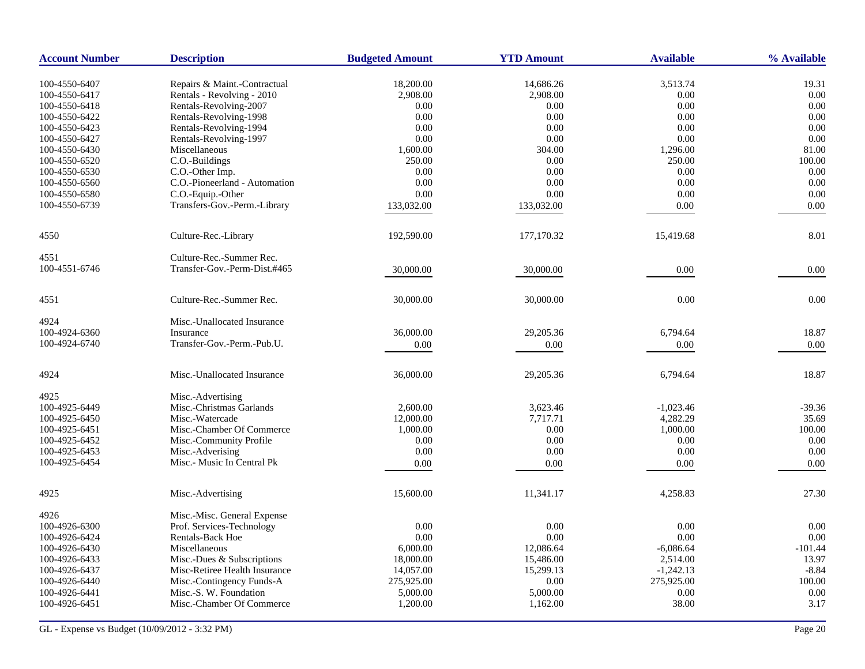| <b>Account Number</b> | <b>Description</b>            | <b>Budgeted Amount</b> | <b>YTD Amount</b> | <b>Available</b> | % Available |
|-----------------------|-------------------------------|------------------------|-------------------|------------------|-------------|
| 100-4550-6407         | Repairs & Maint.-Contractual  | 18,200.00              | 14,686.26         | 3,513.74         | 19.31       |
| 100-4550-6417         | Rentals - Revolving - 2010    | 2,908.00               | 2,908.00          | 0.00             | 0.00        |
| 100-4550-6418         | Rentals-Revolving-2007        | 0.00                   | 0.00              | 0.00             | 0.00        |
| 100-4550-6422         | Rentals-Revolving-1998        | 0.00                   | 0.00              | 0.00             | 0.00        |
| 100-4550-6423         | Rentals-Revolving-1994        | 0.00                   | 0.00              | 0.00             | 0.00        |
| 100-4550-6427         | Rentals-Revolving-1997        | 0.00                   | 0.00              | 0.00             | 0.00        |
| 100-4550-6430         | Miscellaneous                 | 1,600.00               | 304.00            | 1,296.00         | 81.00       |
| 100-4550-6520         | C.O.-Buildings                | 250.00                 | 0.00              | 250.00           | 100.00      |
| 100-4550-6530         | C.O.-Other Imp.               | 0.00                   | 0.00              | 0.00             | 0.00        |
| 100-4550-6560         | C.O.-Pioneerland - Automation | 0.00                   | 0.00              | 0.00             | 0.00        |
| 100-4550-6580         | C.O.-Equip.-Other             | 0.00                   | 0.00              | 0.00             | 0.00        |
| 100-4550-6739         | Transfers-Gov.-Perm.-Library  |                        |                   |                  |             |
|                       |                               | 133,032.00             | 133,032.00        | 0.00             | 0.00        |
| 4550                  | Culture-Rec.-Library          | 192,590.00             | 177,170.32        | 15,419.68        | 8.01        |
| 4551                  | Culture-Rec.-Summer Rec.      |                        |                   |                  |             |
| 100-4551-6746         | Transfer-Gov.-Perm-Dist.#465  | 30,000.00              | 30,000.00         | 0.00             | 0.00        |
| 4551                  | Culture-Rec.-Summer Rec.      | 30,000.00              | 30,000.00         | 0.00             | 0.00        |
| 4924                  | Misc.-Unallocated Insurance   |                        |                   |                  |             |
| 100-4924-6360         | Insurance                     | 36,000.00              | 29,205.36         | 6,794.64         | 18.87       |
| 100-4924-6740         | Transfer-Gov.-Perm.-Pub.U.    | 0.00                   | 0.00              | 0.00             | 0.00        |
| 4924                  | Misc.-Unallocated Insurance   | 36,000.00              | 29,205.36         | 6,794.64         | 18.87       |
| 4925                  | Misc.-Advertising             |                        |                   |                  |             |
| 100-4925-6449         | Misc.-Christmas Garlands      | 2,600.00               | 3,623.46          | $-1,023.46$      | $-39.36$    |
| 100-4925-6450         | Misc.-Watercade               | 12,000.00              | 7.717.71          | 4,282.29         | 35.69       |
| 100-4925-6451         | Misc.-Chamber Of Commerce     | 1,000.00               | 0.00              | 1,000.00         | 100.00      |
| 100-4925-6452         | Misc.-Community Profile       | 0.00                   | 0.00              | 0.00             | 0.00        |
| 100-4925-6453         | Misc.-Adverising              | 0.00                   | 0.00              | 0.00             | 0.00        |
| 100-4925-6454         | Misc.- Music In Central Pk    | 0.00                   | 0.00              | 0.00             | 0.00        |
| 4925                  | Misc.-Advertising             | 15,600.00              | 11,341.17         | 4,258.83         | 27.30       |
| 4926                  | Misc.-Misc. General Expense   |                        |                   |                  |             |
| 100-4926-6300         | Prof. Services-Technology     | 0.00                   | 0.00              | 0.00             | 0.00        |
| 100-4926-6424         | <b>Rentals-Back Hoe</b>       | 0.00                   | 0.00              | 0.00             | 0.00        |
| 100-4926-6430         | Miscellaneous                 | 6,000.00               | 12,086.64         | $-6,086.64$      | $-101.44$   |
| 100-4926-6433         | Misc.-Dues & Subscriptions    | 18,000.00              | 15,486.00         | 2,514.00         | 13.97       |
| 100-4926-6437         | Misc-Retiree Health Insurance | 14,057.00              | 15,299.13         | $-1,242.13$      | $-8.84$     |
| 100-4926-6440         | Misc.-Contingency Funds-A     | 275,925.00             | $0.00\,$          | 275,925.00       | 100.00      |
| 100-4926-6441         | Misc.-S. W. Foundation        | 5,000.00               | 5,000.00          | 0.00             | 0.00        |
| 100-4926-6451         | Misc.-Chamber Of Commerce     | 1,200.00               | 1,162.00          | 38.00            | 3.17        |
|                       |                               |                        |                   |                  |             |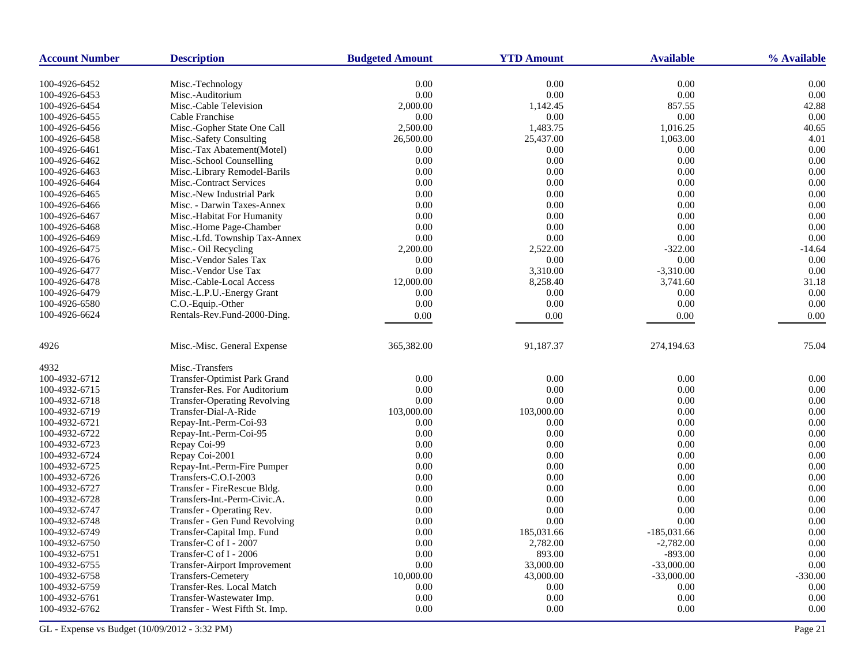| <b>Account Number</b> | <b>Description</b>                  | <b>Budgeted Amount</b> | <b>YTD Amount</b> | <b>Available</b> | % Available |
|-----------------------|-------------------------------------|------------------------|-------------------|------------------|-------------|
| 100-4926-6452         | Misc.-Technology                    | 0.00                   | 0.00              | 0.00             | 0.00        |
| 100-4926-6453         | Misc.-Auditorium                    | 0.00                   | 0.00              | 0.00             | 0.00        |
| 100-4926-6454         | Misc.-Cable Television              | 2,000.00               | 1,142.45          | 857.55           | 42.88       |
| 100-4926-6455         | Cable Franchise                     | 0.00                   | 0.00              | 0.00             | 0.00        |
| 100-4926-6456         | Misc.-Gopher State One Call         | 2,500.00               | 1,483.75          | 1,016.25         | 40.65       |
| 100-4926-6458         | Misc.-Safety Consulting             | 26,500.00              | 25,437.00         | 1,063.00         | 4.01        |
| 100-4926-6461         | Misc.-Tax Abatement(Motel)          | 0.00                   | 0.00              | 0.00             | 0.00        |
| 100-4926-6462         | Misc.-School Counselling            | 0.00                   | 0.00              | 0.00             | 0.00        |
| 100-4926-6463         | Misc.-Library Remodel-Barils        | 0.00                   | 0.00              | 0.00             | 0.00        |
| 100-4926-6464         | Misc.-Contract Services             | 0.00                   | 0.00              | 0.00             | 0.00        |
| 100-4926-6465         | Misc.-New Industrial Park           | 0.00                   | 0.00              | 0.00             | 0.00        |
| 100-4926-6466         | Misc. - Darwin Taxes-Annex          | 0.00                   | 0.00              | 0.00             | 0.00        |
| 100-4926-6467         | Misc.-Habitat For Humanity          | 0.00                   | 0.00              | 0.00             | 0.00        |
| 100-4926-6468         | Misc.-Home Page-Chamber             | 0.00                   | 0.00              | 0.00             | 0.00        |
| 100-4926-6469         | Misc.-Lfd. Township Tax-Annex       | 0.00                   | 0.00              | 0.00             | 0.00        |
| 100-4926-6475         | Misc.- Oil Recycling                | 2,200.00               | 2,522.00          | $-322.00$        | $-14.64$    |
| 100-4926-6476         | Misc.-Vendor Sales Tax              | 0.00                   | 0.00              | 0.00             | 0.00        |
| 100-4926-6477         | Misc.-Vendor Use Tax                | 0.00                   | 3,310.00          | $-3,310.00$      | 0.00        |
| 100-4926-6478         | Misc.-Cable-Local Access            | 12,000.00              | 8,258.40          | 3,741.60         | 31.18       |
| 100-4926-6479         | Misc.-L.P.U.-Energy Grant           | 0.00                   | 0.00              | 0.00             | 0.00        |
| 100-4926-6580         | C.O.-Equip.-Other                   | 0.00                   | 0.00              | 0.00             | 0.00        |
| 100-4926-6624         | Rentals-Rev.Fund-2000-Ding.         | 0.00                   | 0.00              | 0.00             | 0.00        |
|                       |                                     |                        |                   |                  |             |
| 4926                  | Misc.-Misc. General Expense         | 365, 382.00            | 91,187.37         | 274,194.63       | 75.04       |
| 4932                  | Misc.-Transfers                     |                        |                   |                  |             |
| 100-4932-6712         | Transfer-Optimist Park Grand        | 0.00                   | 0.00              | 0.00             | 0.00        |
| 100-4932-6715         | Transfer-Res. For Auditorium        | 0.00                   | 0.00              | 0.00             | 0.00        |
| 100-4932-6718         | <b>Transfer-Operating Revolving</b> | 0.00                   | 0.00              | 0.00             | 0.00        |
| 100-4932-6719         | Transfer-Dial-A-Ride                | 103,000.00             | 103,000.00        | 0.00             | 0.00        |
| 100-4932-6721         | Repay-Int.-Perm-Coi-93              | 0.00                   | 0.00              | 0.00             | 0.00        |
| 100-4932-6722         | Repay-Int.-Perm-Coi-95              | 0.00                   | 0.00              | 0.00             | 0.00        |
| 100-4932-6723         | Repay Coi-99                        | 0.00                   | 0.00              | 0.00             | 0.00        |
| 100-4932-6724         | Repay Coi-2001                      | 0.00                   | $0.00\,$          | 0.00             | 0.00        |
| 100-4932-6725         | Repay-Int.-Perm-Fire Pumper         | 0.00                   | 0.00              | 0.00             | 0.00        |
| 100-4932-6726         | Transfers-C.O.I-2003                | 0.00                   | 0.00              | 0.00             | 0.00        |
| 100-4932-6727         | Transfer - FireRescue Bldg.         | 0.00                   | 0.00              | 0.00             | 0.00        |
| 100-4932-6728         | Transfers-Int.-Perm-Civic.A.        | 0.00                   | 0.00              | 0.00             | 0.00        |
| 100-4932-6747         | Transfer - Operating Rev.           | 0.00                   | 0.00              | 0.00             | 0.00        |
| 100-4932-6748         | Transfer - Gen Fund Revolving       | 0.00                   | 0.00              | 0.00             | 0.00        |
| 100-4932-6749         | Transfer-Capital Imp. Fund          | 0.00                   | 185,031.66        | $-185,031.66$    | 0.00        |
| 100-4932-6750         | Transfer-C of I - 2007              | 0.00                   | 2,782.00          | $-2,782.00$      | 0.00        |
| 100-4932-6751         | Transfer-C of I - 2006              | 0.00                   | 893.00            | $-893.00$        | 0.00        |
| 100-4932-6755         | Transfer-Airport Improvement        | 0.00                   | 33,000.00         | $-33,000.00$     | 0.00        |
| 100-4932-6758         | Transfers-Cemetery                  | 10,000.00              | 43,000.00         | $-33,000.00$     | $-330.00$   |
| 100-4932-6759         | Transfer-Res. Local Match           | 0.00                   | 0.00              | 0.00             | 0.00        |
| 100-4932-6761         | Transfer-Wastewater Imp.            | 0.00                   | 0.00              | 0.00             | 0.00        |
| 100-4932-6762         | Transfer - West Fifth St. Imp.      | 0.00                   | 0.00              | 0.00             | 0.00        |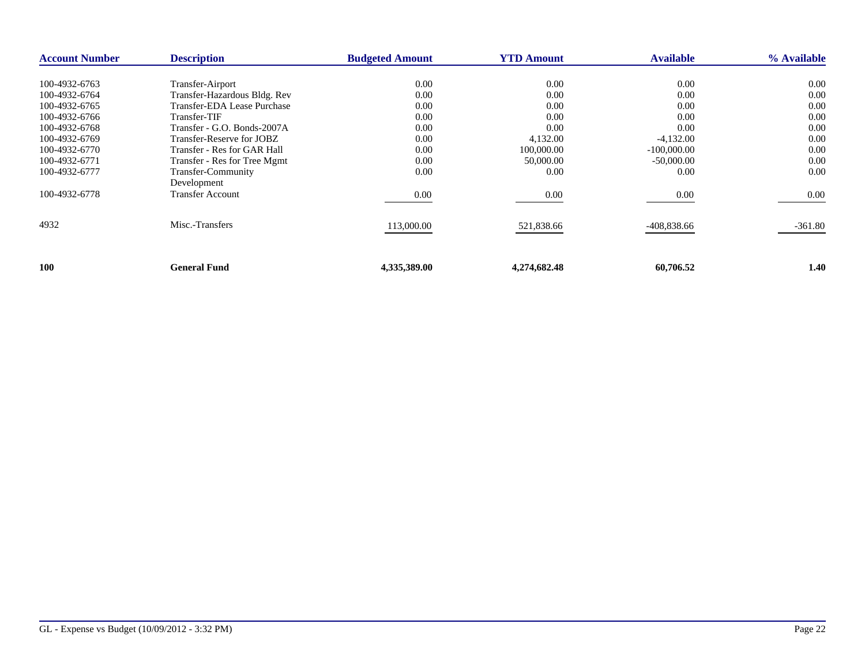| <b>Account Number</b> | <b>Description</b>           | <b>Budgeted Amount</b> | <b>YTD Amount</b> | <b>Available</b> | % Available |
|-----------------------|------------------------------|------------------------|-------------------|------------------|-------------|
| 100-4932-6763         | Transfer-Airport             | 0.00                   | 0.00              | 0.00             | 0.00        |
|                       |                              |                        |                   |                  |             |
| 100-4932-6764         | Transfer-Hazardous Bldg. Rev | 0.00                   | 0.00              | 0.00             | 0.00        |
| 100-4932-6765         | Transfer-EDA Lease Purchase  | 0.00                   | 0.00              | 0.00             | 0.00        |
| 100-4932-6766         | Transfer-TIF                 | 0.00                   | 0.00              | 0.00             | 0.00        |
| 100-4932-6768         | Transfer - G.O. Bonds-2007A  | 0.00                   | 0.00              | 0.00             | 0.00        |
| 100-4932-6769         | Transfer-Reserve for JOBZ    | 0.00                   | 4,132.00          | $-4,132.00$      | 0.00        |
| 100-4932-6770         | Transfer - Res for GAR Hall  | 0.00                   | 100,000.00        | $-100,000.00$    | 0.00        |
| 100-4932-6771         | Transfer - Res for Tree Mgmt | 0.00                   | 50,000.00         | $-50,000.00$     | 0.00        |
| 100-4932-6777         | Transfer-Community           | 0.00                   | 0.00              | 0.00             | 0.00        |
|                       | Development                  |                        |                   |                  |             |
| 100-4932-6778         | <b>Transfer Account</b>      | 0.00                   | 0.00              | 0.00             | $0.00\,$    |
|                       |                              |                        |                   |                  |             |
| 4932                  | Misc.-Transfers              | 113,000.00             | 521,838.66        | -408,838.66      | $-361.80$   |
|                       |                              |                        |                   |                  |             |
| 100                   | <b>General Fund</b>          | 4,335,389.00           | 4,274,682.48      | 60,706.52        | 1.40        |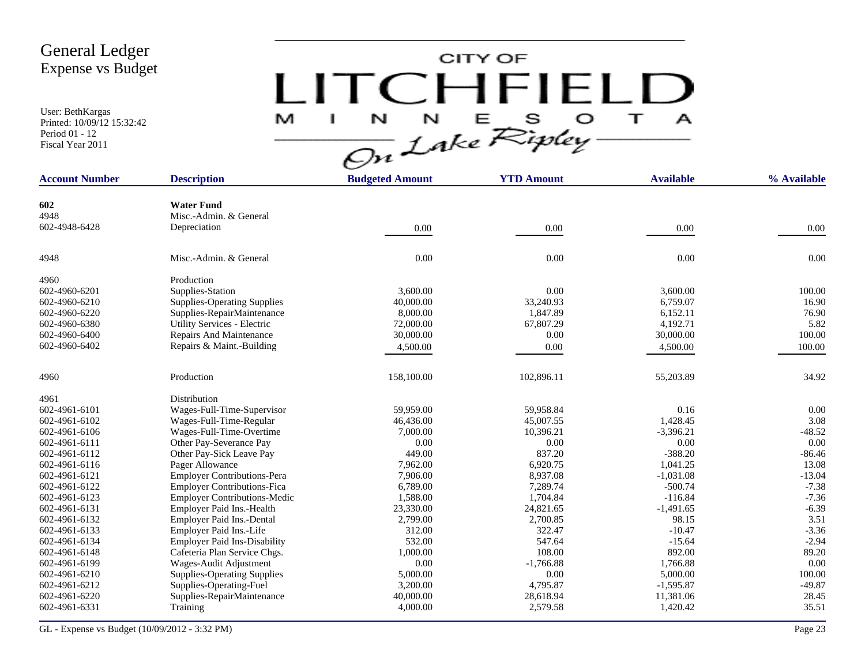User: BethKargas Printed: 10/09/12 15:32:42 Period 01 - 12 Fiscal Year 2011

# $LITCHTFIELD<sub>a</sub>\n $\frac{M-T}{\sqrt{2n}}\frac{1}{2abc}\sum_{k}^{N}E_{k}^{S}D_{k}^{S} + \frac{1}{2}$$

| <b>Account Number</b> | <b>Description</b>                  | <b>Budgeted Amount</b> | <b>YTD Amount</b> | <b>Available</b> | % Available |
|-----------------------|-------------------------------------|------------------------|-------------------|------------------|-------------|
|                       |                                     |                        |                   |                  |             |
| 602                   | <b>Water Fund</b>                   |                        |                   |                  |             |
| 4948                  | Misc.-Admin. & General              |                        |                   |                  |             |
| 602-4948-6428         | Depreciation                        | 0.00                   | 0.00              | 0.00             | 0.00        |
| 4948                  | Misc.-Admin. & General              | 0.00                   | 0.00              | 0.00             | 0.00        |
| 4960                  | Production                          |                        |                   |                  |             |
| 602-4960-6201         | Supplies-Station                    | 3.600.00               | 0.00              | 3.600.00         | 100.00      |
| 602-4960-6210         | <b>Supplies-Operating Supplies</b>  | 40,000.00              | 33,240.93         | 6,759.07         | 16.90       |
| 602-4960-6220         | Supplies-RepairMaintenance          | 8,000.00               | 1,847.89          | 6,152.11         | 76.90       |
| 602-4960-6380         | Utility Services - Electric         | 72,000.00              | 67,807.29         | 4,192.71         | 5.82        |
| 602-4960-6400         | Repairs And Maintenance             | 30,000.00              | 0.00              | 30,000.00        | 100.00      |
| 602-4960-6402         | Repairs & Maint.-Building           | 4,500.00               | 0.00              | 4,500.00         | 100.00      |
| 4960                  | Production                          | 158,100.00             | 102,896.11        | 55,203.89        | 34.92       |
| 4961                  | Distribution                        |                        |                   |                  |             |
| 602-4961-6101         | Wages-Full-Time-Supervisor          | 59,959.00              | 59,958.84         | 0.16             | 0.00        |
| 602-4961-6102         | Wages-Full-Time-Regular             | 46,436.00              | 45,007.55         | 1,428.45         | 3.08        |
| 602-4961-6106         | Wages-Full-Time-Overtime            | 7,000.00               | 10.396.21         | $-3,396.21$      | $-48.52$    |
| 602-4961-6111         | Other Pay-Severance Pay             | 0.00                   | 0.00              | 0.00             | 0.00        |
| 602-4961-6112         | Other Pay-Sick Leave Pay            | 449.00                 | 837.20            | $-388.20$        | $-86.46$    |
| 602-4961-6116         | Pager Allowance                     | 7,962.00               | 6,920.75          | 1,041.25         | 13.08       |
| 602-4961-6121         | <b>Employer Contributions-Pera</b>  | 7,906.00               | 8,937.08          | $-1,031.08$      | $-13.04$    |
| 602-4961-6122         | <b>Employer Contributions-Fica</b>  | 6,789.00               | 7,289.74          | $-500.74$        | $-7.38$     |
| 602-4961-6123         | <b>Employer Contributions-Medic</b> | 1,588.00               | 1,704.84          | $-116.84$        | $-7.36$     |
| 602-4961-6131         | Employer Paid Ins.-Health           | 23,330.00              | 24,821.65         | $-1,491.65$      | $-6.39$     |
| 602-4961-6132         | Employer Paid Ins.-Dental           | 2,799.00               | 2,700.85          | 98.15            | 3.51        |
| 602-4961-6133         | Employer Paid Ins.-Life             | 312.00                 | 322.47            | $-10.47$         | $-3.36$     |
| 602-4961-6134         | <b>Employer Paid Ins-Disability</b> | 532.00                 | 547.64            | $-15.64$         | $-2.94$     |
| 602-4961-6148         | Cafeteria Plan Service Chgs.        | 1,000.00               | 108.00            | 892.00           | 89.20       |
| 602-4961-6199         | Wages-Audit Adjustment              | 0.00                   | $-1,766.88$       | 1,766.88         | 0.00        |
| 602-4961-6210         | <b>Supplies-Operating Supplies</b>  | 5,000.00               | 0.00              | 5,000.00         | 100.00      |
| 602-4961-6212         | Supplies-Operating-Fuel             | 3,200.00               | 4,795.87          | $-1,595.87$      | $-49.87$    |
| 602-4961-6220         | Supplies-RepairMaintenance          | 40,000.00              | 28,618.94         | 11,381.06        | 28.45       |
| 602-4961-6331         | Training                            | 4,000.00               | 2,579.58          | 1,420.42         | 35.51       |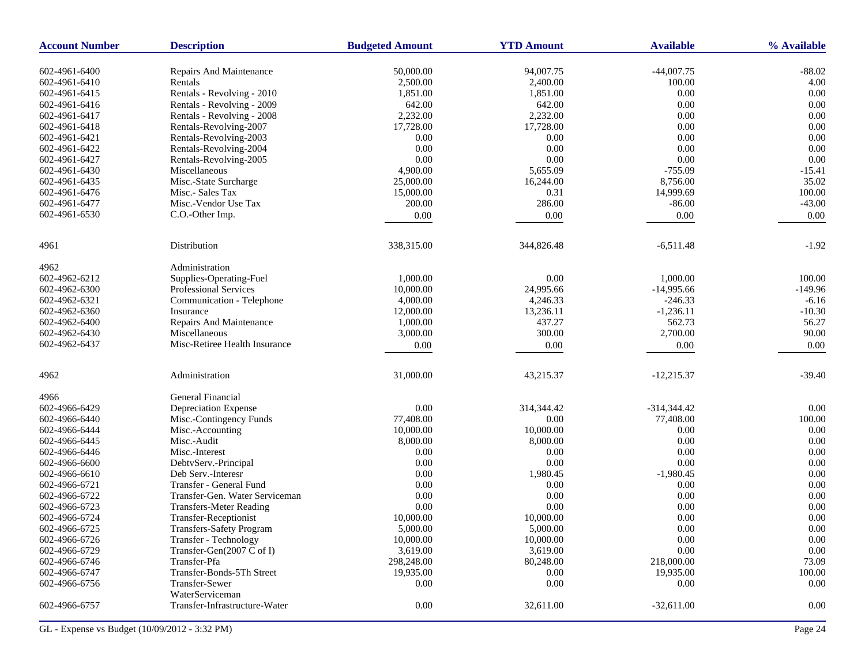| <b>Account Number</b> | <b>Description</b>                        | <b>Budgeted Amount</b> | <b>YTD Amount</b> | <b>Available</b> | % Available        |
|-----------------------|-------------------------------------------|------------------------|-------------------|------------------|--------------------|
| 602-4961-6400         | Repairs And Maintenance                   | 50,000.00              | 94,007.75         | $-44,007.75$     | $-88.02$           |
| 602-4961-6410         | Rentals                                   | 2,500.00               | 2,400.00          | 100.00           | 4.00               |
| 602-4961-6415         | Rentals - Revolving - 2010                | 1,851.00               | 1,851.00          | 0.00             | 0.00               |
| 602-4961-6416         | Rentals - Revolving - 2009                | 642.00                 | 642.00            | 0.00             | 0.00               |
| 602-4961-6417         | Rentals - Revolving - 2008                | 2,232.00               | 2,232.00          | 0.00             | 0.00               |
| 602-4961-6418         | Rentals-Revolving-2007                    | 17,728.00              | 17,728.00         | 0.00             | 0.00               |
| 602-4961-6421         | Rentals-Revolving-2003                    | 0.00                   | 0.00              | 0.00             | 0.00               |
| 602-4961-6422         | Rentals-Revolving-2004                    | 0.00                   | 0.00              | 0.00             | 0.00               |
| 602-4961-6427         | Rentals-Revolving-2005                    | 0.00                   | $0.00\,$          | 0.00             | $0.00\,$           |
| 602-4961-6430         | Miscellaneous                             | 4,900.00               | 5,655.09          | $-755.09$        | $-15.41$           |
|                       |                                           |                        |                   |                  | 35.02              |
| 602-4961-6435         | Misc.-State Surcharge<br>Misc.- Sales Tax | 25,000.00              | 16,244.00         | 8,756.00         |                    |
| 602-4961-6476         | Misc.-Vendor Use Tax                      | 15,000.00              | 0.31              | 14,999.69        | 100.00<br>$-43.00$ |
| 602-4961-6477         |                                           | 200.00                 | 286.00            | $-86.00$         |                    |
| 602-4961-6530         | C.O.-Other Imp.                           | 0.00                   | 0.00              | 0.00             | 0.00               |
| 4961                  | Distribution                              | 338,315.00             | 344,826.48        | $-6,511.48$      | $-1.92$            |
| 4962                  | Administration                            |                        |                   |                  |                    |
| 602-4962-6212         | Supplies-Operating-Fuel                   | 1,000.00               | 0.00              | 1,000.00         | 100.00             |
| 602-4962-6300         | Professional Services                     | 10,000.00              | 24,995.66         | $-14,995.66$     | $-149.96$          |
| 602-4962-6321         | Communication - Telephone                 | 4,000.00               | 4,246.33          | $-246.33$        | $-6.16$            |
| 602-4962-6360         | Insurance                                 | 12,000.00              | 13,236.11         | $-1,236.11$      | $-10.30$           |
| 602-4962-6400         | Repairs And Maintenance                   | 1,000.00               | 437.27            | 562.73           | 56.27              |
| 602-4962-6430         | Miscellaneous                             | 3,000.00               | 300.00            | 2,700.00         | 90.00              |
| 602-4962-6437         | Misc-Retiree Health Insurance             | $0.00\,$               | 0.00              | 0.00             | 0.00               |
|                       |                                           |                        |                   |                  |                    |
| 4962                  | Administration                            | 31,000.00              | 43,215.37         | $-12,215.37$     | $-39.40$           |
| 4966                  | General Financial                         |                        |                   |                  |                    |
| 602-4966-6429         | Depreciation Expense                      | 0.00                   | 314,344.42        | $-314,344.42$    | $0.00\,$           |
| 602-4966-6440         | Misc.-Contingency Funds                   | 77,408.00              | 0.00              | 77,408.00        | 100.00             |
| 602-4966-6444         | Misc.-Accounting                          | 10,000.00              | 10,000.00         | 0.00             | 0.00               |
| 602-4966-6445         | Misc.-Audit                               | 8,000.00               | 8,000.00          | 0.00             | 0.00               |
| 602-4966-6446         | Misc.-Interest                            | 0.00                   | 0.00              | 0.00             | 0.00               |
| 602-4966-6600         | DebtvServ.-Principal                      | 0.00                   | 0.00              | 0.00             | 0.00               |
| 602-4966-6610         | Deb Serv.-Interesr                        | 0.00                   | 1,980.45          | $-1,980.45$      | 0.00               |
| 602-4966-6721         | Transfer - General Fund                   | 0.00                   | 0.00              | 0.00             | 0.00               |
| 602-4966-6722         | Transfer-Gen. Water Serviceman            | 0.00                   | $0.00\,$          | 0.00             | 0.00               |
| 602-4966-6723         | <b>Transfers-Meter Reading</b>            | 0.00                   | $0.00\,$          | 0.00             | 0.00               |
| 602-4966-6724         | Transfer-Receptionist                     | 10,000.00              | 10,000.00         | 0.00             | 0.00               |
| 602-4966-6725         | <b>Transfers-Safety Program</b>           | 5,000.00               | 5,000.00          | $0.00\,$         | $0.00\,$           |
| 602-4966-6726         | Transfer - Technology                     | 10,000.00              | 10,000.00         | 0.00             | 0.00               |
| 602-4966-6729         | Transfer-Gen(2007 C of I)                 | 3,619.00               | 3,619.00          | 0.00             | 0.00               |
| 602-4966-6746         | Transfer-Pfa                              | 298,248.00             | 80,248.00         | 218,000.00       | 73.09              |
| 602-4966-6747         | Transfer-Bonds-5Th Street                 | 19,935.00              | 0.00              | 19,935.00        | 100.00             |
| 602-4966-6756         | Transfer-Sewer<br>WaterServiceman         | 0.00                   | 0.00              | 0.00             | 0.00               |
| 602-4966-6757         | Transfer-Infrastructure-Water             | 0.00                   | 32,611.00         | $-32,611.00$     | 0.00               |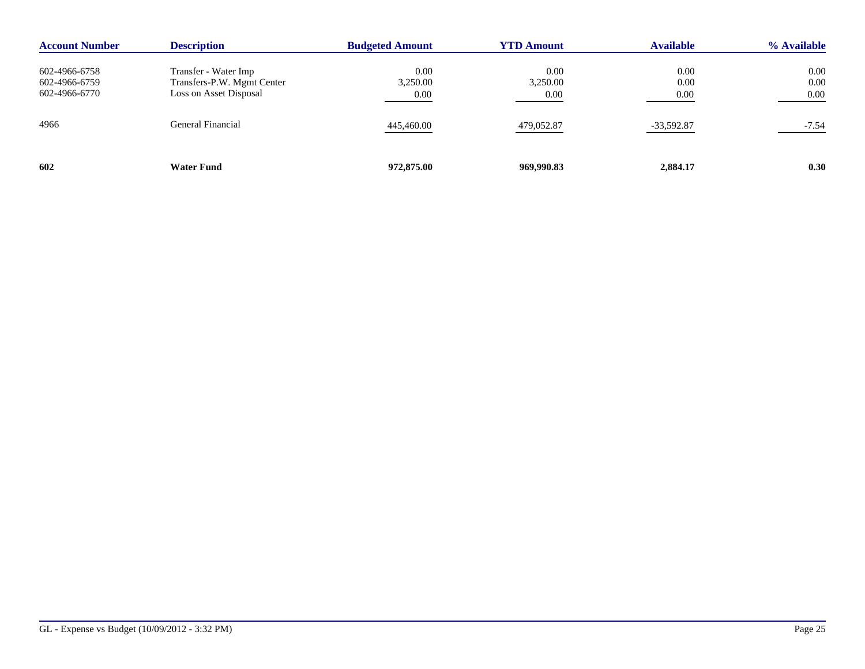| <b>Account Number</b>          | <b>Description</b>                                   | <b>Budgeted Amount</b> | <b>YTD Amount</b> | <b>Available</b> | % Available  |
|--------------------------------|------------------------------------------------------|------------------------|-------------------|------------------|--------------|
| 602-4966-6758                  | Transfer - Water Imp                                 | 0.00                   | 0.00              | 0.00             | 0.00         |
| 602-4966-6759<br>602-4966-6770 | Transfers-P.W. Mgmt Center<br>Loss on Asset Disposal | 3,250.00<br>0.00       | 3,250.00<br>0.00  | 0.00<br>0.00     | 0.00<br>0.00 |
| 4966                           | General Financial                                    | 445,460.00             | 479,052.87        | -33,592.87       | $-7.54$      |
| 602                            | <b>Water Fund</b>                                    | 972,875.00             | 969,990.83        | 2,884.17         | 0.30         |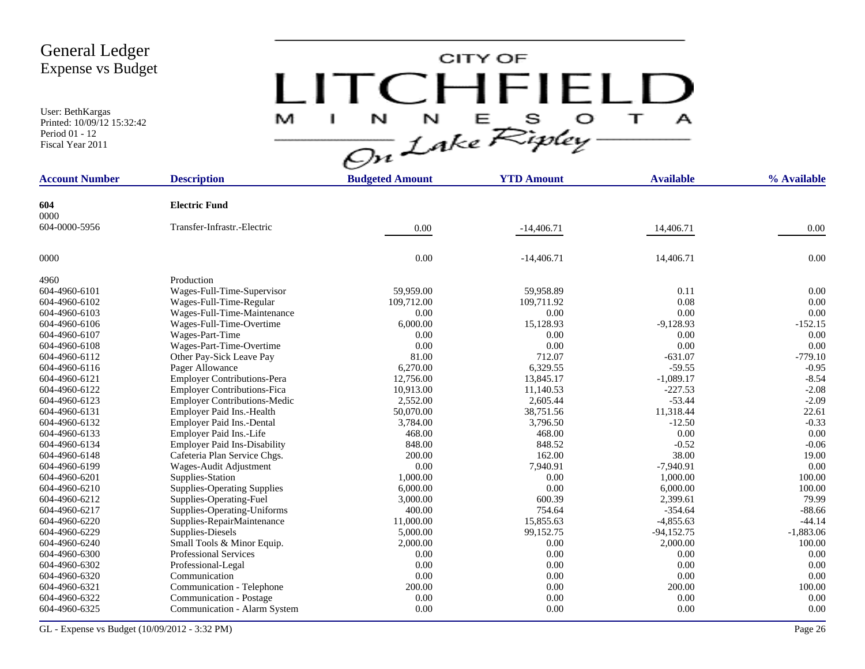User: BethKargas Printed: 10/09/12 15:32:42 Period 01 - 12 Fiscal Year 2011

# $LITCHTFIELD<sub>a</sub>\n $\frac{M-T}{\sqrt{2n}}\frac{1}{2abc}\sum_{k}^{N}E_{k}^{S}D_{k}^{S} + \frac{1}{2}$$

| <b>Account Number</b> | <b>Description</b>                  | <b>Budgeted Amount</b> | <b>YTD Amount</b> | <b>Available</b> | % Available |
|-----------------------|-------------------------------------|------------------------|-------------------|------------------|-------------|
| 604                   | <b>Electric Fund</b>                |                        |                   |                  |             |
| 0000                  |                                     |                        |                   |                  |             |
| 604-0000-5956         | Transfer-Infrastr.-Electric         | 0.00                   | $-14,406.71$      | 14,406.71        | 0.00        |
|                       |                                     |                        |                   |                  |             |
| 0000                  |                                     | 0.00                   | $-14,406.71$      | 14,406.71        | 0.00        |
| 4960                  | Production                          |                        |                   |                  |             |
| 604-4960-6101         | Wages-Full-Time-Supervisor          | 59.959.00              | 59.958.89         | 0.11             | 0.00        |
| 604-4960-6102         | Wages-Full-Time-Regular             | 109,712.00             | 109,711.92        | 0.08             | 0.00        |
| 604-4960-6103         | Wages-Full-Time-Maintenance         | 0.00                   | 0.00              | 0.00             | 0.00        |
| 604-4960-6106         | Wages-Full-Time-Overtime            | 6,000.00               | 15,128.93         | $-9,128.93$      | $-152.15$   |
| 604-4960-6107         | Wages-Part-Time                     | 0.00                   | 0.00              | 0.00             | 0.00        |
| 604-4960-6108         | Wages-Part-Time-Overtime            | 0.00                   | 0.00              | 0.00             | 0.00        |
| 604-4960-6112         | Other Pay-Sick Leave Pay            | 81.00                  | 712.07            | $-631.07$        | $-779.10$   |
| 604-4960-6116         | Pager Allowance                     | 6,270.00               | 6,329.55          | $-59.55$         | $-0.95$     |
| 604-4960-6121         | <b>Employer Contributions-Pera</b>  | 12,756.00              | 13,845.17         | $-1,089.17$      | $-8.54$     |
| 604-4960-6122         | Employer Contributions-Fica         | 10,913.00              | 11,140.53         | $-227.53$        | $-2.08$     |
| 604-4960-6123         | <b>Employer Contributions-Medic</b> | 2,552.00               | 2,605.44          | $-53.44$         | $-2.09$     |
| 604-4960-6131         | Employer Paid Ins.-Health           | 50,070.00              | 38,751.56         | 11,318.44        | 22.61       |
| 604-4960-6132         | Employer Paid Ins.-Dental           | 3,784.00               | 3,796.50          | $-12.50$         | $-0.33$     |
| 604-4960-6133         | Employer Paid Ins.-Life             | 468.00                 | 468.00            | 0.00             | 0.00        |
| 604-4960-6134         | <b>Employer Paid Ins-Disability</b> | 848.00                 | 848.52            | $-0.52$          | $-0.06$     |
| 604-4960-6148         | Cafeteria Plan Service Chgs.        | 200.00                 | 162.00            | 38.00            | 19.00       |
| 604-4960-6199         | Wages-Audit Adjustment              | 0.00                   | 7,940.91          | $-7,940.91$      | 0.00        |
| 604-4960-6201         | Supplies-Station                    | 1,000.00               | 0.00              | 1,000.00         | 100.00      |
| 604-4960-6210         | <b>Supplies-Operating Supplies</b>  | 6,000.00               | 0.00              | 6,000.00         | 100.00      |
| 604-4960-6212         | Supplies-Operating-Fuel             | 3,000.00               | 600.39            | 2,399.61         | 79.99       |
| 604-4960-6217         | Supplies-Operating-Uniforms         | 400.00                 | 754.64            | $-354.64$        | $-88.66$    |
| 604-4960-6220         | Supplies-RepairMaintenance          | 11,000.00              | 15,855.63         | $-4,855.63$      | $-44.14$    |
| 604-4960-6229         | Supplies-Diesels                    | 5,000.00               | 99,152.75         | $-94,152.75$     | $-1,883.06$ |
| 604-4960-6240         | Small Tools & Minor Equip.          | 2,000.00               | 0.00              | 2,000.00         | 100.00      |
| 604-4960-6300         | <b>Professional Services</b>        | 0.00                   | 0.00              | 0.00             | 0.00        |
| 604-4960-6302         | Professional-Legal                  | 0.00                   | 0.00              | 0.00             | 0.00        |
| 604-4960-6320         | Communication                       | 0.00                   | 0.00              | 0.00             | 0.00        |
| 604-4960-6321         | Communication - Telephone           | 200.00                 | 0.00              | 200.00           | 100.00      |
| 604-4960-6322         | Communication - Postage             | 0.00                   | 0.00              | 0.00             | 0.00        |
| 604-4960-6325         | Communication - Alarm System        | 0.00                   | 0.00              | 0.00             | 0.00        |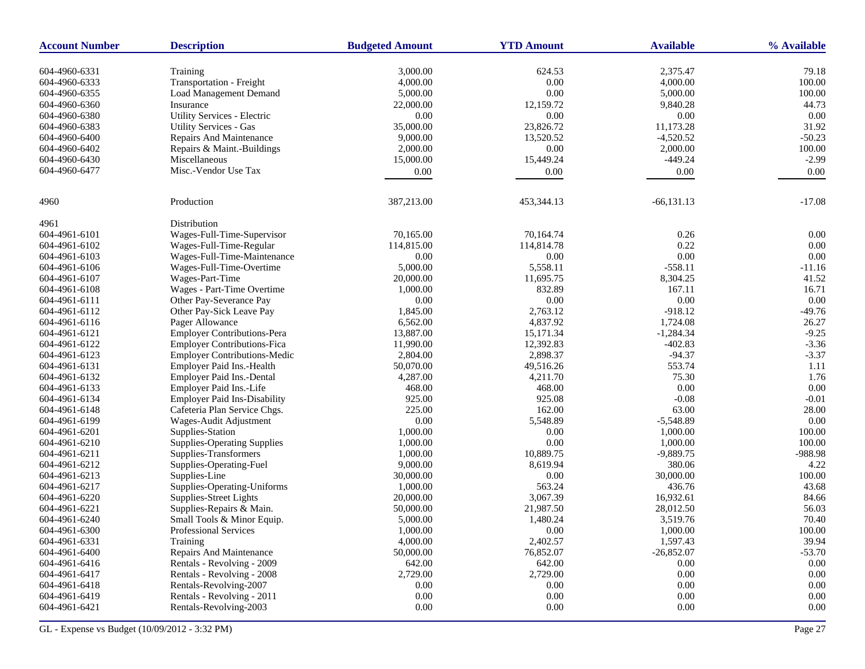| <b>Account Number</b> | <b>Description</b>                  | <b>Budgeted Amount</b> | <b>YTD Amount</b> | <b>Available</b> | % Available |
|-----------------------|-------------------------------------|------------------------|-------------------|------------------|-------------|
| 604-4960-6331         | Training                            | 3,000.00               | 624.53            | 2,375.47         | 79.18       |
| 604-4960-6333         | Transportation - Freight            | 4,000.00               | $0.00\,$          | 4,000.00         | 100.00      |
| 604-4960-6355         | Load Management Demand              | 5,000.00               | 0.00              | 5,000.00         | 100.00      |
| 604-4960-6360         | Insurance                           | 22,000.00              | 12,159.72         | 9,840.28         | 44.73       |
| 604-4960-6380         | Utility Services - Electric         | $0.00\,$               | 0.00              | 0.00             | 0.00        |
| 604-4960-6383         | <b>Utility Services - Gas</b>       | 35,000.00              | 23,826.72         | 11,173.28        | 31.92       |
| 604-4960-6400         | Repairs And Maintenance             | 9,000.00               | 13,520.52         | $-4,520.52$      | $-50.23$    |
| 604-4960-6402         | Repairs & Maint.-Buildings          | 2,000.00               | $0.00\,$          | 2,000.00         | 100.00      |
| 604-4960-6430         | Miscellaneous                       | 15,000.00              | 15,449.24         | $-449.24$        | $-2.99$     |
| 604-4960-6477         | Misc.-Vendor Use Tax                | 0.00                   | 0.00              | 0.00             | 0.00        |
|                       |                                     |                        |                   |                  |             |
| 4960                  | Production                          | 387,213.00             | 453,344.13        | $-66, 131.13$    | $-17.08$    |
| 4961                  | Distribution                        |                        |                   |                  |             |
| 604-4961-6101         | Wages-Full-Time-Supervisor          | 70,165.00              | 70,164.74         | 0.26             | 0.00        |
| 604-4961-6102         | Wages-Full-Time-Regular             | 114,815.00             | 114,814.78        | 0.22             | 0.00        |
| 604-4961-6103         | Wages-Full-Time-Maintenance         | 0.00                   | 0.00              | 0.00             | 0.00        |
| 604-4961-6106         | Wages-Full-Time-Overtime            | 5,000.00               | 5,558.11          | $-558.11$        | $-11.16$    |
| 604-4961-6107         | Wages-Part-Time                     | 20,000.00              | 11,695.75         | 8,304.25         | 41.52       |
| 604-4961-6108         | Wages - Part-Time Overtime          | 1,000.00               | 832.89            | 167.11           | 16.71       |
| 604-4961-6111         | Other Pay-Severance Pay             | 0.00                   | $0.00\,$          | $0.00\,$         | 0.00        |
| 604-4961-6112         | Other Pay-Sick Leave Pay            | 1,845.00               | 2,763.12          | $-918.12$        | $-49.76$    |
| 604-4961-6116         | Pager Allowance                     | 6,562.00               | 4,837.92          | 1,724.08         | 26.27       |
| 604-4961-6121         | <b>Employer Contributions-Pera</b>  | 13,887.00              | 15,171.34         | $-1,284.34$      | $-9.25$     |
| 604-4961-6122         | <b>Employer Contributions-Fica</b>  | 11,990.00              | 12,392.83         | $-402.83$        | $-3.36$     |
| 604-4961-6123         | Employer Contributions-Medic        | 2,804.00               | 2,898.37          | $-94.37$         | $-3.37$     |
| 604-4961-6131         | Employer Paid Ins.-Health           | 50,070.00              | 49,516.26         | 553.74           | 1.11        |
| 604-4961-6132         | Employer Paid Ins.-Dental           | 4,287.00               | 4,211.70          | 75.30            | 1.76        |
| 604-4961-6133         | Employer Paid Ins.-Life             | 468.00                 | 468.00            | 0.00             | 0.00        |
| 604-4961-6134         | <b>Employer Paid Ins-Disability</b> | 925.00                 | 925.08            | $-0.08$          | $-0.01$     |
| 604-4961-6148         | Cafeteria Plan Service Chgs.        | 225.00                 | 162.00            | 63.00            | 28.00       |
| 604-4961-6199         | Wages-Audit Adjustment              | 0.00                   | 5,548.89          | $-5,548.89$      | 0.00        |
| 604-4961-6201         | Supplies-Station                    | 1,000.00               | 0.00              | 1,000.00         | 100.00      |
| 604-4961-6210         | <b>Supplies-Operating Supplies</b>  | 1,000.00               | 0.00              | 1,000.00         | 100.00      |
| 604-4961-6211         | Supplies-Transformers               | 1,000.00               | 10,889.75         | $-9,889.75$      | -988.98     |
| 604-4961-6212         | Supplies-Operating-Fuel             | 9,000.00               | 8,619.94          | 380.06           | 4.22        |
| 604-4961-6213         | Supplies-Line                       | 30,000.00              | 0.00              | 30,000.00        | 100.00      |
| 604-4961-6217         | Supplies-Operating-Uniforms         | 1,000.00               | 563.24            | 436.76           | 43.68       |
| 604-4961-6220         | Supplies-Street Lights              | 20,000.00              | 3,067.39          | 16,932.61        | 84.66       |
| 604-4961-6221         | Supplies-Repairs & Main.            | 50,000.00              | 21,987.50         | 28,012.50        | 56.03       |
| 604-4961-6240         | Small Tools & Minor Equip.          | 5,000.00               | 1,480.24          | 3,519.76         | 70.40       |
| 604-4961-6300         | <b>Professional Services</b>        | 1,000.00               | 0.00              | 1,000.00         | 100.00      |
| 604-4961-6331         | Training                            | 4,000.00               | 2,402.57          | 1,597.43         | 39.94       |
| 604-4961-6400         | Repairs And Maintenance             | 50,000.00              | 76,852.07         | $-26,852.07$     | $-53.70$    |
| 604-4961-6416         | Rentals - Revolving - 2009          | 642.00                 | 642.00            | 0.00             | 0.00        |
| 604-4961-6417         | Rentals - Revolving - 2008          | 2,729.00               | 2,729.00          | 0.00             | $0.00\,$    |
| 604-4961-6418         | Rentals-Revolving-2007              | 0.00                   | $0.00\,$          | 0.00             | $0.00\,$    |
| 604-4961-6419         | Rentals - Revolving - 2011          | 0.00                   | $0.00\,$          | 0.00             | 0.00        |
| 604-4961-6421         | Rentals-Revolving-2003              | $0.00\,$               | $0.00\,$          | 0.00             | $0.00\,$    |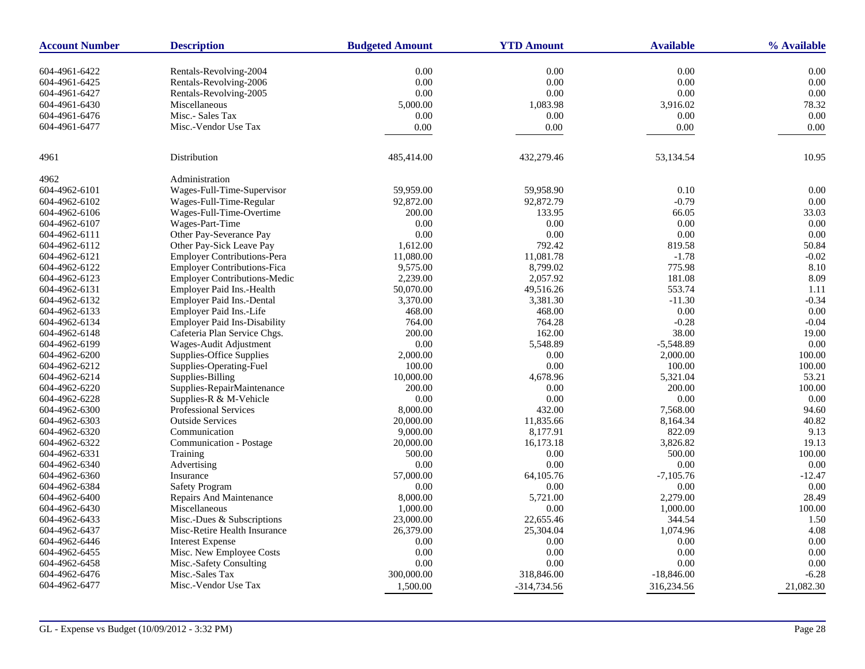| <b>Account Number</b> | <b>Description</b>                  | <b>Budgeted Amount</b> | <b>YTD Amount</b> | <b>Available</b> | % Available |
|-----------------------|-------------------------------------|------------------------|-------------------|------------------|-------------|
|                       |                                     |                        |                   |                  |             |
| 604-4961-6422         | Rentals-Revolving-2004              | 0.00                   | 0.00              | 0.00             | 0.00        |
| 604-4961-6425         | Rentals-Revolving-2006              | 0.00                   | 0.00              | 0.00             | 0.00        |
| 604-4961-6427         | Rentals-Revolving-2005              | 0.00                   | 0.00              | 0.00             | 0.00        |
| 604-4961-6430         | Miscellaneous                       | 5,000.00               | 1,083.98          | 3,916.02         | 78.32       |
| 604-4961-6476         | Misc.- Sales Tax                    | 0.00                   | 0.00              | 0.00             | 0.00        |
| 604-4961-6477         | Misc.-Vendor Use Tax                | 0.00                   | 0.00              | 0.00             | 0.00        |
| 4961                  | Distribution                        | 485,414.00             | 432,279.46        | 53,134.54        | 10.95       |
| 4962                  | Administration                      |                        |                   |                  |             |
| 604-4962-6101         | Wages-Full-Time-Supervisor          | 59,959.00              | 59,958.90         | 0.10             | 0.00        |
| 604-4962-6102         | Wages-Full-Time-Regular             | 92,872.00              | 92,872.79         | $-0.79$          | 0.00        |
| 604-4962-6106         | Wages-Full-Time-Overtime            | 200.00                 | 133.95            | 66.05            | 33.03       |
| 604-4962-6107         | Wages-Part-Time                     | 0.00                   | 0.00              | 0.00             | 0.00        |
| 604-4962-6111         | Other Pay-Severance Pay             | 0.00                   | 0.00              | 0.00             | 0.00        |
| 604-4962-6112         | Other Pay-Sick Leave Pay            | 1,612.00               | 792.42            | 819.58           | 50.84       |
| 604-4962-6121         | <b>Employer Contributions-Pera</b>  | 11,080.00              | 11,081.78         | $-1.78$          | $-0.02$     |
| 604-4962-6122         | <b>Employer Contributions-Fica</b>  | 9,575.00               | 8,799.02          | 775.98           | 8.10        |
| 604-4962-6123         | Employer Contributions-Medic        | 2,239.00               | 2,057.92          | 181.08           | 8.09        |
| 604-4962-6131         | Employer Paid Ins.-Health           | 50,070.00              | 49,516.26         | 553.74           | 1.11        |
| 604-4962-6132         | Employer Paid Ins.-Dental           | 3,370.00               | 3,381.30          | $-11.30$         | $-0.34$     |
| 604-4962-6133         | Employer Paid Ins.-Life             | 468.00                 | 468.00            | 0.00             | 0.00        |
| 604-4962-6134         | <b>Employer Paid Ins-Disability</b> | 764.00                 | 764.28            | $-0.28$          | $-0.04$     |
| 604-4962-6148         | Cafeteria Plan Service Chgs.        | 200.00                 | 162.00            | 38.00            | 19.00       |
| 604-4962-6199         | Wages-Audit Adjustment              | 0.00                   | 5,548.89          | $-5,548.89$      | 0.00        |
| 604-4962-6200         | Supplies-Office Supplies            | 2,000.00               | 0.00              | 2,000.00         | 100.00      |
| 604-4962-6212         | Supplies-Operating-Fuel             | 100.00                 | 0.00              | 100.00           | 100.00      |
| 604-4962-6214         | Supplies-Billing                    | 10,000.00              | 4,678.96          | 5,321.04         | 53.21       |
| 604-4962-6220         | Supplies-RepairMaintenance          | 200.00                 | 0.00              | 200.00           | 100.00      |
| 604-4962-6228         | Supplies-R & M-Vehicle              | 0.00                   | 0.00              | 0.00             | 0.00        |
| 604-4962-6300         | <b>Professional Services</b>        | 8,000.00               | 432.00            | 7,568.00         | 94.60       |
| 604-4962-6303         | <b>Outside Services</b>             | 20,000.00              | 11,835.66         | 8,164.34         | 40.82       |
| 604-4962-6320         | Communication                       | 9,000.00               | 8,177.91          | 822.09           | 9.13        |
| 604-4962-6322         | Communication - Postage             | 20,000.00              | 16,173.18         | 3,826.82         | 19.13       |
| 604-4962-6331         | Training                            | 500.00                 | 0.00              | 500.00           | 100.00      |
| 604-4962-6340         | Advertising                         | 0.00                   | 0.00              | 0.00             | 0.00        |
| 604-4962-6360         | Insurance                           | 57,000.00              | 64,105.76         | $-7,105.76$      | $-12.47$    |
| 604-4962-6384         | Safety Program                      | 0.00                   | 0.00              | 0.00             | 0.00        |
| 604-4962-6400         | <b>Repairs And Maintenance</b>      | 8,000.00               | 5,721.00          | 2,279.00         | 28.49       |
| 604-4962-6430         | Miscellaneous                       | 1,000.00               | 0.00              | 1,000.00         | 100.00      |
| 604-4962-6433         | Misc.-Dues & Subscriptions          | 23,000.00              | 22,655.46         | 344.54           | 1.50        |
| 604-4962-6437         | Misc-Retire Health Insurance        | 26,379.00              | 25,304.04         | 1,074.96         | 4.08        |
| 604-4962-6446         | <b>Interest Expense</b>             | 0.00                   | 0.00              | 0.00             | 0.00        |
| 604-4962-6455         | Misc. New Employee Costs            | 0.00                   | 0.00              | 0.00             | 0.00        |
| 604-4962-6458         | Misc.-Safety Consulting             | 0.00                   | 0.00              | 0.00             | 0.00        |
| 604-4962-6476         | Misc.-Sales Tax                     | 300,000.00             | 318,846.00        | $-18,846.00$     | $-6.28$     |
| 604-4962-6477         | Misc.-Vendor Use Tax                | 1,500.00               | $-314,734.56$     | 316,234.56       | 21,082.30   |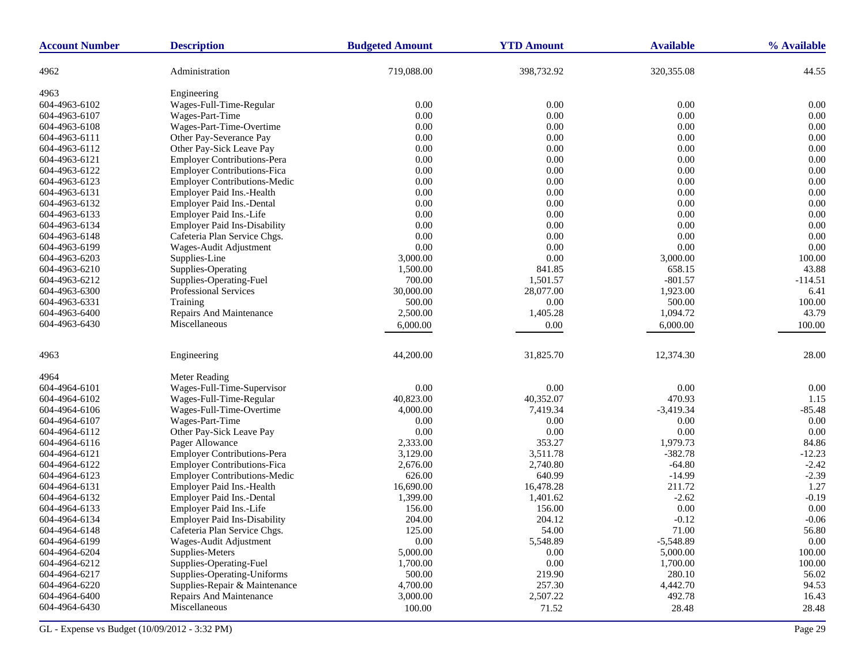| <b>Account Number</b> | <b>Description</b>                  | <b>Budgeted Amount</b> | <b>YTD Amount</b> | <b>Available</b> | % Available |
|-----------------------|-------------------------------------|------------------------|-------------------|------------------|-------------|
| 4962                  | Administration                      | 719,088.00             | 398,732.92        | 320, 355.08      | 44.55       |
| 4963                  | Engineering                         |                        |                   |                  |             |
| 604-4963-6102         | Wages-Full-Time-Regular             | 0.00                   | 0.00              | 0.00             | 0.00        |
| 604-4963-6107         | Wages-Part-Time                     | 0.00                   | 0.00              | 0.00             | 0.00        |
| 604-4963-6108         | Wages-Part-Time-Overtime            | 0.00                   | 0.00              | 0.00             | 0.00        |
| 604-4963-6111         | Other Pay-Severance Pay             | 0.00                   | $0.00\,$          | 0.00             | 0.00        |
| 604-4963-6112         | Other Pay-Sick Leave Pay            | 0.00                   | 0.00              | 0.00             | 0.00        |
| 604-4963-6121         | <b>Employer Contributions-Pera</b>  | 0.00                   | 0.00              | 0.00             | 0.00        |
| 604-4963-6122         | <b>Employer Contributions-Fica</b>  | 0.00                   | $0.00\,$          | 0.00             | 0.00        |
| 604-4963-6123         | <b>Employer Contributions-Medic</b> | 0.00                   | 0.00              | 0.00             | 0.00        |
| 604-4963-6131         | Employer Paid Ins.-Health           | 0.00                   | 0.00              | 0.00             | 0.00        |
| 604-4963-6132         | Employer Paid Ins.-Dental           | 0.00                   | 0.00              | 0.00             | 0.00        |
| 604-4963-6133         | Employer Paid Ins.-Life             | 0.00                   | 0.00              | 0.00             | 0.00        |
| 604-4963-6134         | <b>Employer Paid Ins-Disability</b> | 0.00                   | 0.00              | 0.00             | 0.00        |
| 604-4963-6148         | Cafeteria Plan Service Chgs.        | 0.00                   | 0.00              | 0.00             | 0.00        |
| 604-4963-6199         | Wages-Audit Adjustment              | 0.00                   | 0.00              | 0.00             | 0.00        |
| 604-4963-6203         | Supplies-Line                       | 3,000.00               | 0.00              | 3,000.00         | 100.00      |
| 604-4963-6210         | Supplies-Operating                  | 1,500.00               | 841.85            | 658.15           | 43.88       |
| 604-4963-6212         | Supplies-Operating-Fuel             | 700.00                 | 1,501.57          | $-801.57$        | $-114.51$   |
| 604-4963-6300         | Professional Services               | 30,000.00              | 28,077.00         | 1,923.00         | 6.41        |
| 604-4963-6331         | Training                            | 500.00                 | 0.00              | 500.00           | 100.00      |
| 604-4963-6400         | Repairs And Maintenance             | 2,500.00               | 1,405.28          | 1,094.72         | 43.79       |
| 604-4963-6430         | Miscellaneous                       | 6,000.00               | 0.00              | 6,000.00         | 100.00      |
|                       |                                     |                        |                   |                  |             |
| 4963                  | Engineering                         | 44,200.00              | 31,825.70         | 12,374.30        | 28.00       |
| 4964                  | Meter Reading                       |                        |                   |                  |             |
| 604-4964-6101         | Wages-Full-Time-Supervisor          | 0.00                   | 0.00              | 0.00             | 0.00        |
| 604-4964-6102         | Wages-Full-Time-Regular             | 40,823.00              | 40,352.07         | 470.93           | 1.15        |
| 604-4964-6106         | Wages-Full-Time-Overtime            | 4,000.00               | 7,419.34          | $-3,419.34$      | $-85.48$    |
| 604-4964-6107         | Wages-Part-Time                     | 0.00                   | 0.00              | 0.00             | 0.00        |
| 604-4964-6112         | Other Pay-Sick Leave Pay            | 0.00                   | $0.00\,$          | 0.00             | 0.00        |
| 604-4964-6116         | Pager Allowance                     | 2,333.00               | 353.27            | 1,979.73         | 84.86       |
| 604-4964-6121         | <b>Employer Contributions-Pera</b>  | 3,129.00               | 3,511.78          | $-382.78$        | $-12.23$    |
| 604-4964-6122         | <b>Employer Contributions-Fica</b>  | 2,676.00               | 2,740.80          | $-64.80$         | $-2.42$     |
| 604-4964-6123         | <b>Employer Contributions-Medic</b> | 626.00                 | 640.99            | $-14.99$         | $-2.39$     |
| 604-4964-6131         | Employer Paid Ins.-Health           | 16,690.00              | 16,478.28         | 211.72           | 1.27        |
| 604-4964-6132         | Employer Paid Ins.-Dental           | 1,399.00               | 1,401.62          | $-2.62$          | $-0.19$     |
| 604-4964-6133         | Employer Paid Ins.-Life             | 156.00                 | 156.00            | 0.00             | 0.00        |
| 604-4964-6134         | <b>Employer Paid Ins-Disability</b> | 204.00                 | 204.12            | $-0.12$          | $-0.06$     |
| 604-4964-6148         | Cafeteria Plan Service Chgs.        | 125.00                 | 54.00             | 71.00            | 56.80       |
| 604-4964-6199         | Wages-Audit Adjustment              | 0.00                   | 5,548.89          | $-5,548.89$      | $0.00\,$    |
| 604-4964-6204         | Supplies-Meters                     | 5,000.00               | 0.00              | 5,000.00         | 100.00      |
| 604-4964-6212         | Supplies-Operating-Fuel             | 1,700.00               | $0.00\,$          | 1,700.00         | 100.00      |
| 604-4964-6217         | Supplies-Operating-Uniforms         | 500.00                 | 219.90            | 280.10           | 56.02       |
| 604-4964-6220         | Supplies-Repair & Maintenance       | 4,700.00               | 257.30            | 4,442.70         | 94.53       |
| 604-4964-6400         | Repairs And Maintenance             | 3,000.00               | 2,507.22          | 492.78           | 16.43       |
| 604-4964-6430         | Miscellaneous                       | 100.00                 | 71.52             | 28.48            | 28.48       |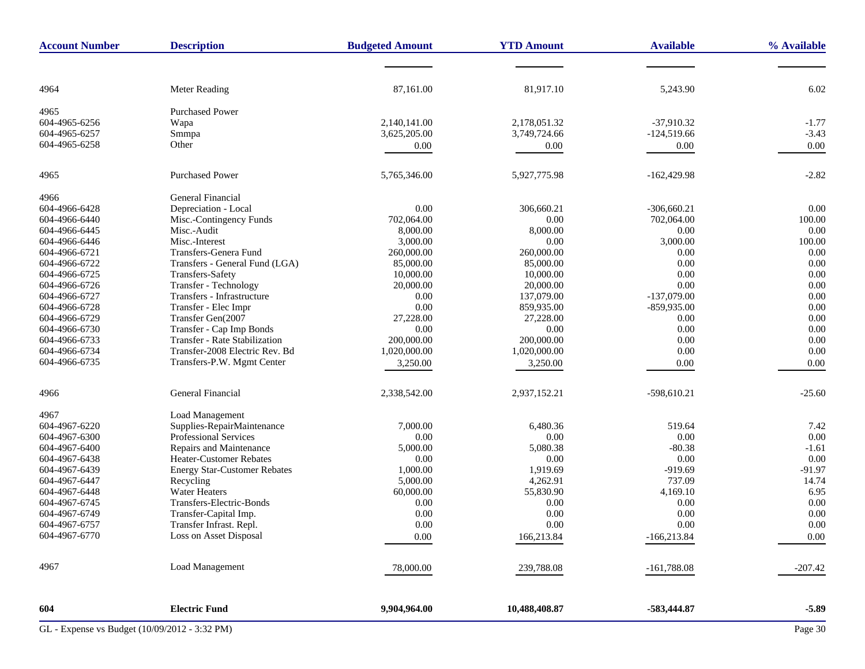| <b>Account Number</b>                         | <b>Description</b>                   | <b>Budgeted Amount</b> | <b>YTD Amount</b> | <b>Available</b> | % Available |
|-----------------------------------------------|--------------------------------------|------------------------|-------------------|------------------|-------------|
|                                               |                                      |                        |                   |                  |             |
|                                               |                                      |                        |                   |                  | 6.02        |
| 4964                                          | Meter Reading                        | 87,161.00              | 81,917.10         | 5,243.90         |             |
| 4965                                          | <b>Purchased Power</b>               |                        |                   |                  |             |
| 604-4965-6256                                 | Wapa                                 | 2,140,141.00           | 2,178,051.32      | $-37,910.32$     | $-1.77$     |
| 604-4965-6257                                 | Smmpa                                | 3,625,205.00           | 3,749,724.66      | $-124,519.66$    | $-3.43$     |
| 604-4965-6258                                 | Other                                | 0.00                   | 0.00              | 0.00             | 0.00        |
| 4965                                          | <b>Purchased Power</b>               | 5,765,346.00           | 5,927,775.98      | $-162,429.98$    | $-2.82$     |
|                                               |                                      |                        |                   |                  |             |
| 4966                                          | General Financial                    |                        |                   |                  |             |
| 604-4966-6428                                 | Depreciation - Local                 | 0.00                   | 306,660.21        | $-306,660.21$    | 0.00        |
| 604-4966-6440                                 | Misc.-Contingency Funds              | 702,064.00             | 0.00              | 702,064.00       | 100.00      |
| 604-4966-6445                                 | Misc.-Audit                          | 8,000.00               | 8,000.00          | 0.00             | 0.00        |
| 604-4966-6446                                 | Misc.-Interest                       | 3,000.00               | 0.00              | 3,000.00         | 100.00      |
| 604-4966-6721                                 | Transfers-Genera Fund                | 260,000.00             | 260,000.00        | 0.00             | 0.00        |
| 604-4966-6722                                 | Transfers - General Fund (LGA)       | 85,000.00              | 85,000.00         | 0.00             | 0.00        |
| 604-4966-6725                                 | Transfers-Safety                     | 10,000.00              | 10,000.00         | 0.00             | 0.00        |
| 604-4966-6726                                 | Transfer - Technology                | 20,000.00              | 20,000.00         | 0.00             | 0.00        |
| 604-4966-6727                                 | Transfers - Infrastructure           | 0.00                   | 137,079.00        | $-137,079.00$    | 0.00        |
| 604-4966-6728                                 | Transfer - Elec Impr                 | 0.00                   | 859,935.00        | $-859,935.00$    | 0.00        |
| 604-4966-6729                                 | Transfer Gen(2007                    | 27,228.00              | 27,228.00         | 0.00             | 0.00        |
| 604-4966-6730                                 | Transfer - Cap Imp Bonds             | 0.00                   | 0.00              | 0.00             | 0.00        |
| 604-4966-6733                                 | <b>Transfer - Rate Stabilization</b> | 200,000.00             | 200,000.00        | 0.00             | 0.00        |
| 604-4966-6734                                 | Transfer-2008 Electric Rev. Bd       | 1,020,000.00           | 1,020,000.00      | 0.00             | 0.00        |
| 604-4966-6735                                 | Transfers-P.W. Mgmt Center           | 3,250.00               | 3,250.00          | 0.00             | 0.00        |
| 4966                                          | General Financial                    | 2,338,542.00           | 2,937,152.21      | $-598,610.21$    | $-25.60$    |
|                                               |                                      |                        |                   |                  |             |
| 4967                                          | Load Management                      |                        |                   |                  |             |
| 604-4967-6220                                 | Supplies-RepairMaintenance           | 7,000.00               | 6,480.36          | 519.64           | 7.42        |
| 604-4967-6300                                 | Professional Services                | 0.00                   | 0.00              | 0.00             | 0.00        |
| 604-4967-6400                                 | Repairs and Maintenance              | 5,000.00               | 5,080.38          | $-80.38$         | $-1.61$     |
| 604-4967-6438                                 | Heater-Customer Rebates              | 0.00                   | 0.00              | 0.00             | 0.00        |
| 604-4967-6439                                 | <b>Energy Star-Customer Rebates</b>  | 1,000.00               | 1,919.69          | $-919.69$        | $-91.97$    |
| 604-4967-6447                                 | Recycling                            | 5,000.00               | 4,262.91          | 737.09           | 14.74       |
| 604-4967-6448                                 | <b>Water Heaters</b>                 | 60,000.00              | 55,830.90         | 4,169.10         | 6.95        |
| 604-4967-6745                                 | Transfers-Electric-Bonds             | 0.00                   | 0.00              | $0.00\,$         | 0.00        |
| 604-4967-6749                                 | Transfer-Capital Imp.                | 0.00                   | 0.00              | 0.00             | 0.00        |
| 604-4967-6757                                 | Transfer Infrast. Repl.              | 0.00                   | 0.00              | 0.00             | $0.00\,$    |
| 604-4967-6770                                 | Loss on Asset Disposal               | 0.00                   | 166,213.84        | $-166,213.84$    | 0.00        |
|                                               |                                      |                        |                   |                  |             |
| 4967                                          | Load Management                      | 78,000.00              | 239,788.08        | $-161,788.08$    | $-207.42$   |
| 604                                           | <b>Electric Fund</b>                 | 9,904,964.00           | 10,488,408.87     | $-583,444.87$    | $-5.89$     |
| GL - Expense vs Budget (10/09/2012 - 3:32 PM) |                                      |                        |                   |                  | Page 30     |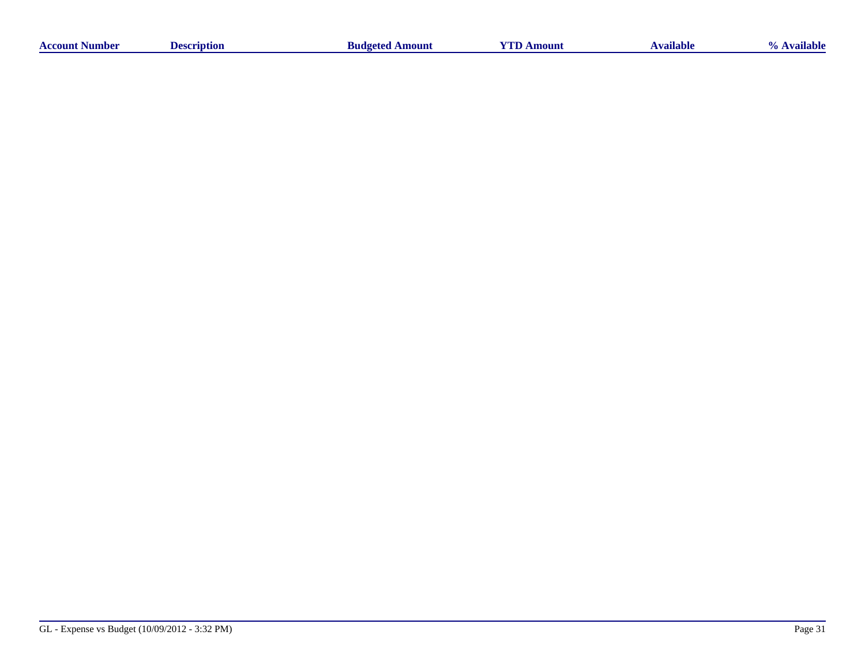| Aumber -<br>сонп | `*IDHON<br>1ac | A mount<br>-sudgeter | moun | . <del>. .</del><br>niable | able<br>au |
|------------------|----------------|----------------------|------|----------------------------|------------|
|                  |                |                      |      |                            |            |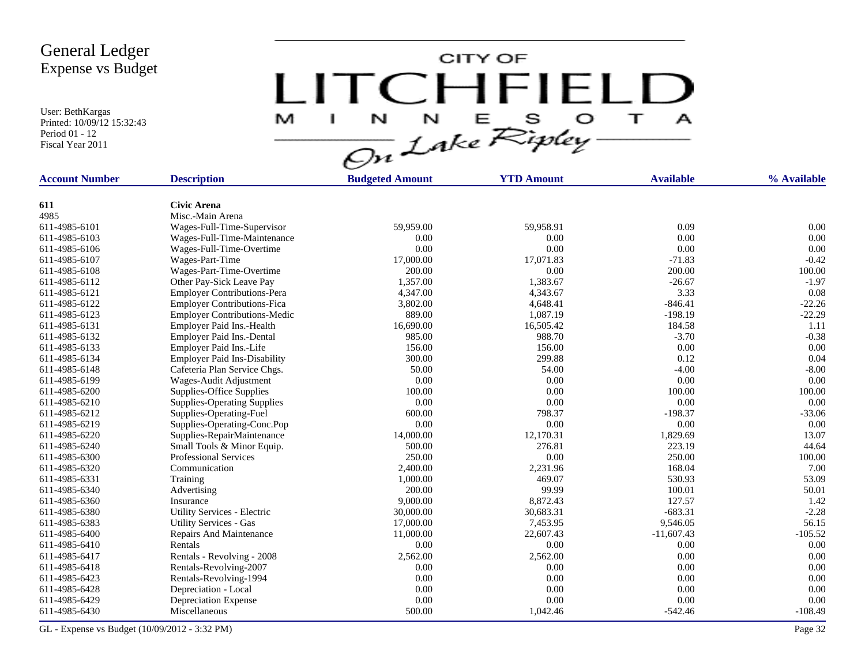User: BethKargas Printed: 10/09/12 15:32:43 Period 01 - 12 Fiscal Year 2011

LITCHFIELD

| <b>Account Number</b> | <b>Description</b>                  | <b>Budgeted Amount</b> | <b>YTD Amount</b> | <b>Available</b> | % Available |
|-----------------------|-------------------------------------|------------------------|-------------------|------------------|-------------|
|                       |                                     |                        |                   |                  |             |
| 611                   | <b>Civic Arena</b>                  |                        |                   |                  |             |
| 4985                  | Misc.-Main Arena                    |                        |                   |                  |             |
| 611-4985-6101         | Wages-Full-Time-Supervisor          | 59,959.00              | 59,958.91         | 0.09             | 0.00        |
| 611-4985-6103         | Wages-Full-Time-Maintenance         | 0.00                   | 0.00              | 0.00             | 0.00        |
| 611-4985-6106         | Wages-Full-Time-Overtime            | 0.00                   | 0.00              | 0.00             | 0.00        |
| 611-4985-6107         | Wages-Part-Time                     | 17,000.00              | 17,071.83         | $-71.83$         | $-0.42$     |
| 611-4985-6108         | Wages-Part-Time-Overtime            | 200.00                 | 0.00              | 200.00           | 100.00      |
| 611-4985-6112         | Other Pay-Sick Leave Pay            | 1,357.00               | 1,383.67          | $-26.67$         | $-1.97$     |
| 611-4985-6121         | <b>Employer Contributions-Pera</b>  | 4,347.00               | 4,343.67          | 3.33             | 0.08        |
| 611-4985-6122         | <b>Employer Contributions-Fica</b>  | 3,802.00               | 4,648.41          | $-846.41$        | $-22.26$    |
| 611-4985-6123         | <b>Employer Contributions-Medic</b> | 889.00                 | 1,087.19          | $-198.19$        | $-22.29$    |
| 611-4985-6131         | Employer Paid Ins.-Health           | 16,690.00              | 16,505.42         | 184.58           | 1.11        |
| 611-4985-6132         | Employer Paid Ins.-Dental           | 985.00                 | 988.70            | $-3.70$          | $-0.38$     |
| 611-4985-6133         | Employer Paid Ins.-Life             | 156.00                 | 156.00            | 0.00             | 0.00        |
| 611-4985-6134         | <b>Employer Paid Ins-Disability</b> | 300.00                 | 299.88            | 0.12             | 0.04        |
| 611-4985-6148         | Cafeteria Plan Service Chgs.        | 50.00                  | 54.00             | $-4.00$          | $-8.00$     |
| 611-4985-6199         | Wages-Audit Adjustment              | 0.00                   | 0.00              | 0.00             | 0.00        |
| 611-4985-6200         | Supplies-Office Supplies            | 100.00                 | 0.00              | 100.00           | 100.00      |
| 611-4985-6210         | <b>Supplies-Operating Supplies</b>  | 0.00                   | 0.00              | 0.00             | 0.00        |
| 611-4985-6212         | Supplies-Operating-Fuel             | 600.00                 | 798.37            | $-198.37$        | $-33.06$    |
| 611-4985-6219         | Supplies-Operating-Conc.Pop         | 0.00                   | 0.00              | 0.00             | 0.00        |
| 611-4985-6220         | Supplies-RepairMaintenance          | 14,000.00              | 12,170.31         | 1,829.69         | 13.07       |
| 611-4985-6240         | Small Tools & Minor Equip.          | 500.00                 | 276.81            | 223.19           | 44.64       |
| 611-4985-6300         | <b>Professional Services</b>        | 250.00                 | 0.00              | 250.00           | 100.00      |
| 611-4985-6320         | Communication                       | 2,400.00               | 2,231.96          | 168.04           | 7.00        |
| 611-4985-6331         | Training                            | 1,000.00               | 469.07            | 530.93           | 53.09       |
| 611-4985-6340         | Advertising                         | 200.00                 | 99.99             | 100.01           | 50.01       |
| 611-4985-6360         | Insurance                           | 9,000.00               | 8,872.43          | 127.57           | 1.42        |
| 611-4985-6380         | Utility Services - Electric         | 30,000.00              | 30,683.31         | $-683.31$        | $-2.28$     |
| 611-4985-6383         | <b>Utility Services - Gas</b>       | 17,000.00              | 7,453.95          | 9,546.05         | 56.15       |
| 611-4985-6400         | Repairs And Maintenance             | 11,000.00              | 22,607.43         | $-11,607.43$     | $-105.52$   |
| 611-4985-6410         | Rentals                             | 0.00                   | 0.00              | 0.00             | 0.00        |
| 611-4985-6417         | Rentals - Revolving - 2008          | 2,562.00               | 2,562.00          | 0.00             | 0.00        |
| 611-4985-6418         | Rentals-Revolving-2007              | 0.00                   | 0.00              | $0.00\,$         | 0.00        |
| 611-4985-6423         | Rentals-Revolving-1994              | 0.00                   | 0.00              | 0.00             | 0.00        |
| 611-4985-6428         | Depreciation - Local                | 0.00                   | 0.00              | 0.00             | 0.00        |
| 611-4985-6429         | Depreciation Expense                | 0.00                   | 0.00              | 0.00             | 0.00        |
| 611-4985-6430         | Miscellaneous                       | 500.00                 | 1,042.46          | $-542.46$        | $-108.49$   |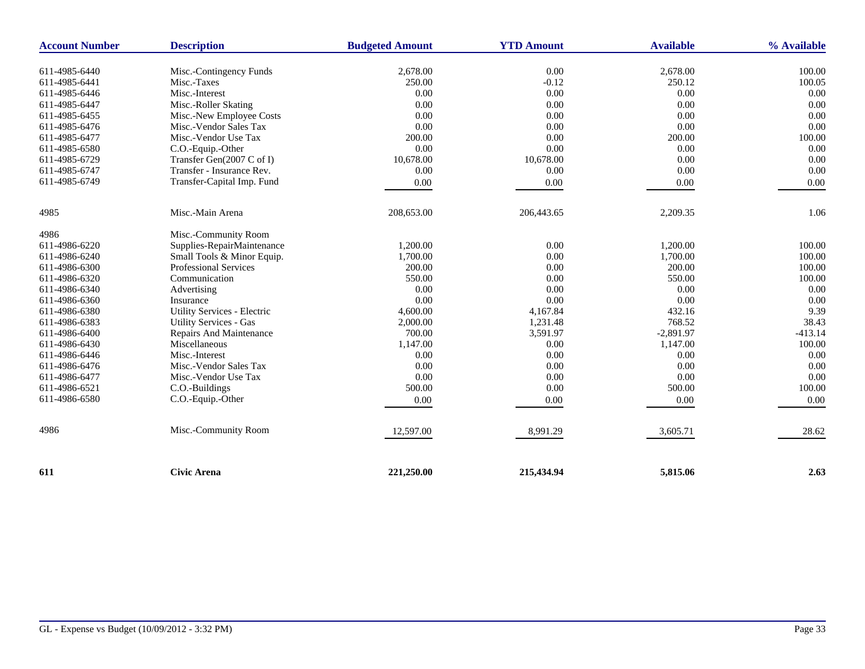| <b>Account Number</b> | <b>Description</b>            | <b>Budgeted Amount</b> | <b>YTD Amount</b> | <b>Available</b> | % Available |
|-----------------------|-------------------------------|------------------------|-------------------|------------------|-------------|
| 611-4985-6440         | Misc.-Contingency Funds       | 2,678.00               | 0.00              | 2,678.00         | 100.00      |
| 611-4985-6441         | Misc.-Taxes                   | 250.00                 | $-0.12$           | 250.12           | 100.05      |
| 611-4985-6446         | Misc.-Interest                | 0.00                   | 0.00              | 0.00             | 0.00        |
| 611-4985-6447         | Misc.-Roller Skating          | 0.00                   | 0.00              | 0.00             | 0.00        |
| 611-4985-6455         | Misc.-New Employee Costs      | 0.00                   | 0.00              | 0.00             | 0.00        |
| 611-4985-6476         | Misc.-Vendor Sales Tax        | 0.00                   | 0.00              | 0.00             | 0.00        |
| 611-4985-6477         | Misc.-Vendor Use Tax          | 200.00                 | 0.00              | 200.00           | 100.00      |
| 611-4985-6580         | C.O.-Equip.-Other             | 0.00                   | 0.00              | 0.00             | 0.00        |
| 611-4985-6729         | Transfer Gen(2007 C of I)     | 10,678.00              | 10,678.00         | 0.00             | 0.00        |
| 611-4985-6747         | Transfer - Insurance Rev.     | 0.00                   | 0.00              | 0.00             | 0.00        |
| 611-4985-6749         | Transfer-Capital Imp. Fund    | 0.00                   | 0.00              | 0.00             | 0.00        |
|                       |                               |                        |                   |                  |             |
| 4985                  | Misc.-Main Arena              | 208,653.00             | 206,443.65        | 2,209.35         | 1.06        |
| 4986                  | Misc.-Community Room          |                        |                   |                  |             |
| 611-4986-6220         | Supplies-RepairMaintenance    | 1,200.00               | 0.00              | 1,200.00         | 100.00      |
| 611-4986-6240         | Small Tools & Minor Equip.    | 1,700.00               | 0.00              | 1,700.00         | 100.00      |
| 611-4986-6300         | Professional Services         | 200.00                 | 0.00              | 200.00           | 100.00      |
| 611-4986-6320         | Communication                 | 550.00                 | 0.00              | 550.00           | 100.00      |
| 611-4986-6340         | Advertising                   | 0.00                   | 0.00              | 0.00             | 0.00        |
| 611-4986-6360         | Insurance                     | 0.00                   | $0.00\,$          | 0.00             | 0.00        |
| 611-4986-6380         | Utility Services - Electric   | 4,600.00               | 4,167.84          | 432.16           | 9.39        |
| 611-4986-6383         | <b>Utility Services - Gas</b> | 2,000.00               | 1,231.48          | 768.52           | 38.43       |
| 611-4986-6400         | Repairs And Maintenance       | 700.00                 | 3,591.97          | $-2,891.97$      | $-413.14$   |
| 611-4986-6430         | Miscellaneous                 | 1,147.00               | 0.00              | 1,147.00         | 100.00      |
| 611-4986-6446         | Misc.-Interest                | 0.00                   | 0.00              | 0.00             | 0.00        |
| 611-4986-6476         | Misc.-Vendor Sales Tax        | 0.00                   | 0.00              | 0.00             | 0.00        |
| 611-4986-6477         | Misc.-Vendor Use Tax          | 0.00                   | 0.00              | 0.00             | 0.00        |
| 611-4986-6521         | C.O.-Buildings                | 500.00                 | 0.00              | 500.00           | 100.00      |
| 611-4986-6580         | C.O.-Equip.-Other             | 0.00                   | 0.00              | 0.00             | 0.00        |
|                       |                               |                        |                   |                  |             |
| 4986                  | Misc.-Community Room          | 12,597.00              | 8,991.29          | 3,605.71         | 28.62       |
|                       |                               |                        |                   |                  |             |
| 611                   | <b>Civic Arena</b>            | 221,250.00             | 215,434.94        | 5,815.06         | 2.63        |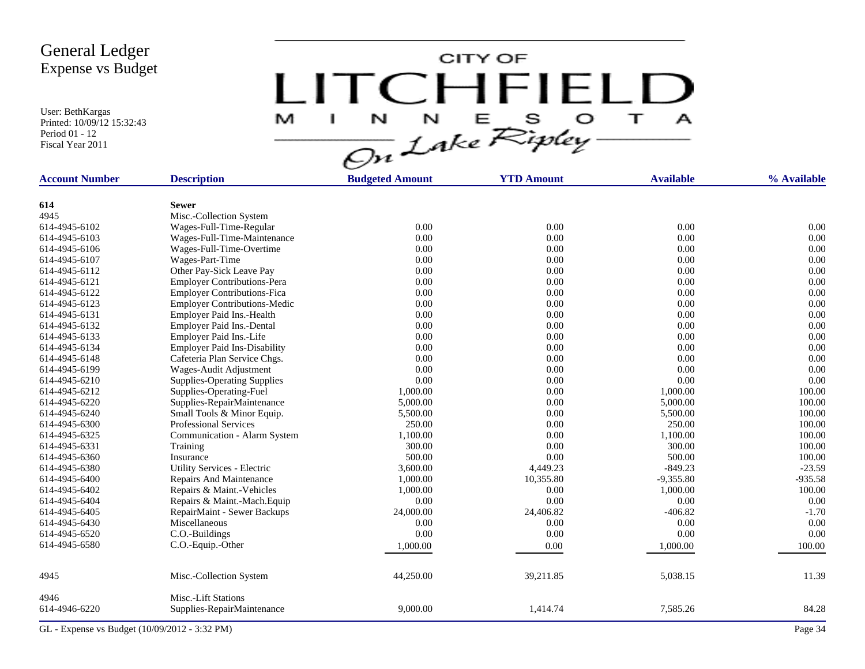User: BethKargas Printed: 10/09/12 15:32:43 Period 01 - 12 Fiscal Year 2011

LITCHFIELD

| <b>Account Number</b> | <b>Description</b>                           | <b>Budgeted Amount</b> | <b>YTD Amount</b> | <b>Available</b> | % Available |
|-----------------------|----------------------------------------------|------------------------|-------------------|------------------|-------------|
|                       | <b>Sewer</b>                                 |                        |                   |                  |             |
| 614<br>4945           | Misc.-Collection System                      |                        |                   |                  |             |
| 614-4945-6102         | Wages-Full-Time-Regular                      | 0.00                   | 0.00              | 0.00             | 0.00        |
| 614-4945-6103         | Wages-Full-Time-Maintenance                  | 0.00                   | 0.00              | 0.00             | 0.00        |
| 614-4945-6106         | Wages-Full-Time-Overtime                     | 0.00                   | 0.00              | 0.00             | 0.00        |
| 614-4945-6107         | Wages-Part-Time                              | 0.00                   | 0.00              | 0.00             | 0.00        |
| 614-4945-6112         | Other Pay-Sick Leave Pay                     | 0.00                   | 0.00              | 0.00             | 0.00        |
| 614-4945-6121         | <b>Employer Contributions-Pera</b>           | 0.00                   | 0.00              | 0.00             | 0.00        |
| 614-4945-6122         | <b>Employer Contributions-Fica</b>           | 0.00                   | 0.00              | 0.00             | 0.00        |
| 614-4945-6123         | <b>Employer Contributions-Medic</b>          | 0.00                   | $0.00\,$          | 0.00             | 0.00        |
| 614-4945-6131         | Employer Paid Ins.-Health                    | 0.00                   | 0.00              | 0.00             | 0.00        |
| 614-4945-6132         | Employer Paid Ins.-Dental                    | 0.00                   | 0.00              | 0.00             | 0.00        |
| 614-4945-6133         | Employer Paid Ins.-Life                      | 0.00                   | 0.00              | 0.00             | 0.00        |
| 614-4945-6134         | <b>Employer Paid Ins-Disability</b>          | 0.00                   | 0.00              | 0.00             | 0.00        |
| 614-4945-6148         | Cafeteria Plan Service Chgs.                 | 0.00                   | 0.00              | 0.00             | 0.00        |
| 614-4945-6199         | Wages-Audit Adjustment                       | 0.00                   | 0.00              | 0.00             | 0.00        |
| 614-4945-6210         | <b>Supplies-Operating Supplies</b>           | 0.00                   | 0.00              | 0.00             | 0.00        |
| 614-4945-6212         | Supplies-Operating-Fuel                      | 1,000.00               | 0.00              | 1,000.00         | 100.00      |
| 614-4945-6220         | Supplies-RepairMaintenance                   | 5,000.00               | 0.00              | 5,000.00         | 100.00      |
| 614-4945-6240         | Small Tools & Minor Equip.                   | 5,500.00               | 0.00              | 5,500.00         | 100.00      |
| 614-4945-6300         | <b>Professional Services</b>                 | 250.00                 | 0.00              | 250.00           | 100.00      |
| 614-4945-6325         | Communication - Alarm System                 | 1,100.00               | 0.00              | 1,100.00         | 100.00      |
| 614-4945-6331         | Training                                     | 300.00                 | 0.00              | 300.00           | 100.00      |
| 614-4945-6360         | Insurance                                    | 500.00                 | 0.00              | 500.00           | 100.00      |
| 614-4945-6380         | Utility Services - Electric                  | 3,600.00               | 4,449.23          | $-849.23$        | $-23.59$    |
| 614-4945-6400         | Repairs And Maintenance                      | 1,000.00               | 10,355.80         | $-9,355.80$      | $-935.58$   |
| 614-4945-6402         | Repairs & Maint.-Vehicles                    | 1,000.00               | 0.00              | 1,000.00         | 100.00      |
| 614-4945-6404         | Repairs & Maint.-Mach.Equip                  | 0.00                   | 0.00              | 0.00             | 0.00        |
| 614-4945-6405         |                                              | 24,000.00              |                   | $-406.82$        | $-1.70$     |
| 614-4945-6430         | RepairMaint - Sewer Backups<br>Miscellaneous | 0.00                   | 24,406.82<br>0.00 | 0.00             | 0.00        |
| 614-4945-6520         | C.O.-Buildings                               | 0.00                   | 0.00              | 0.00             | 0.00        |
| 614-4945-6580         |                                              |                        |                   |                  |             |
|                       | C.O.-Equip.-Other                            | 1,000.00               | 0.00              | 1,000.00         | 100.00      |
| 4945                  | Misc.-Collection System                      | 44,250.00              | 39,211.85         | 5,038.15         | 11.39       |
| 4946                  | Misc.-Lift Stations                          |                        |                   |                  |             |
| 614-4946-6220         | Supplies-RepairMaintenance                   | 9,000.00               | 1,414.74          | 7,585.26         | 84.28       |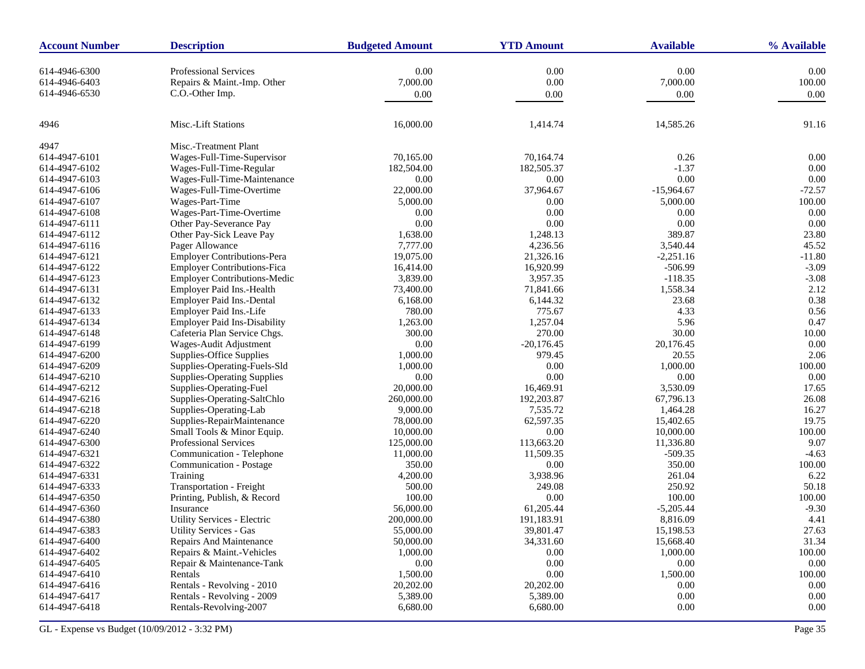| <b>Account Number</b> | <b>Description</b>                  | <b>Budgeted Amount</b> | <b>YTD Amount</b> | <b>Available</b> | % Available |
|-----------------------|-------------------------------------|------------------------|-------------------|------------------|-------------|
| 614-4946-6300         | <b>Professional Services</b>        | 0.00                   | 0.00              | 0.00             | 0.00        |
| 614-4946-6403         | Repairs & Maint.-Imp. Other         | 7,000.00               | $0.00\,$          | 7,000.00         | 100.00      |
| 614-4946-6530         | C.O.-Other Imp.                     | 0.00                   | 0.00              | 0.00             | 0.00        |
|                       |                                     |                        |                   |                  |             |
| 4946                  | Misc.-Lift Stations                 | 16,000.00              | 1,414.74          | 14,585.26        | 91.16       |
| 4947                  | Misc.-Treatment Plant               |                        |                   |                  |             |
| 614-4947-6101         | Wages-Full-Time-Supervisor          | 70,165.00              | 70,164.74         | 0.26             | 0.00        |
| 614-4947-6102         | Wages-Full-Time-Regular             | 182,504.00             | 182,505.37        | $-1.37$          | 0.00        |
| 614-4947-6103         | Wages-Full-Time-Maintenance         | 0.00                   | 0.00              | 0.00             | 0.00        |
| 614-4947-6106         | Wages-Full-Time-Overtime            | 22,000.00              | 37,964.67         | $-15,964.67$     | $-72.57$    |
| 614-4947-6107         | Wages-Part-Time                     | 5,000.00               | 0.00              | 5,000.00         | 100.00      |
| 614-4947-6108         | Wages-Part-Time-Overtime            | 0.00                   | 0.00              | 0.00             | 0.00        |
| 614-4947-6111         | Other Pay-Severance Pay             | 0.00                   | 0.00              | 0.00             | 0.00        |
| 614-4947-6112         | Other Pay-Sick Leave Pay            | 1,638.00               | 1,248.13          | 389.87           | 23.80       |
| 614-4947-6116         | Pager Allowance                     | 7,777.00               | 4,236.56          | 3,540.44         | 45.52       |
| 614-4947-6121         | <b>Employer Contributions-Pera</b>  | 19,075.00              | 21,326.16         | $-2,251.16$      | $-11.80$    |
| 614-4947-6122         | <b>Employer Contributions-Fica</b>  | 16,414.00              | 16,920.99         | $-506.99$        | $-3.09$     |
| 614-4947-6123         | <b>Employer Contributions-Medic</b> | 3,839.00               | 3,957.35          | $-118.35$        | $-3.08$     |
| 614-4947-6131         | Employer Paid Ins.-Health           | 73,400.00              | 71,841.66         | 1,558.34         | 2.12        |
| 614-4947-6132         | Employer Paid Ins.-Dental           | 6,168.00               | 6,144.32          | 23.68            | 0.38        |
| 614-4947-6133         | Employer Paid Ins.-Life             | 780.00                 | 775.67            | 4.33             | 0.56        |
| 614-4947-6134         | <b>Employer Paid Ins-Disability</b> | 1,263.00               | 1,257.04          | 5.96             | 0.47        |
| 614-4947-6148         | Cafeteria Plan Service Chgs.        | 300.00                 | 270.00            | 30.00            | 10.00       |
| 614-4947-6199         | Wages-Audit Adjustment              | 0.00                   | $-20,176.45$      | 20,176.45        | 0.00        |
| 614-4947-6200         | Supplies-Office Supplies            | 1,000.00               | 979.45            | 20.55            | 2.06        |
| 614-4947-6209         | Supplies-Operating-Fuels-Sld        | 1,000.00               | 0.00              | 1,000.00         | 100.00      |
| 614-4947-6210         | <b>Supplies-Operating Supplies</b>  | 0.00                   | 0.00              | 0.00             | 0.00        |
| 614-4947-6212         | Supplies-Operating-Fuel             | 20,000.00              | 16,469.91         | 3,530.09         | 17.65       |
| 614-4947-6216         | Supplies-Operating-SaltChlo         | 260,000.00             | 192,203.87        | 67,796.13        | 26.08       |
| 614-4947-6218         | Supplies-Operating-Lab              | 9,000.00               | 7,535.72          | 1,464.28         | 16.27       |
| 614-4947-6220         | Supplies-RepairMaintenance          | 78,000.00              | 62,597.35         | 15,402.65        | 19.75       |
| 614-4947-6240         | Small Tools & Minor Equip.          | 10,000.00              | 0.00              | 10,000.00        | 100.00      |
| 614-4947-6300         | <b>Professional Services</b>        | 125,000.00             | 113,663.20        | 11,336.80        | 9.07        |
| 614-4947-6321         | Communication - Telephone           | 11,000.00              | 11,509.35         | $-509.35$        | $-4.63$     |
| 614-4947-6322         | Communication - Postage             | 350.00                 | 0.00              | 350.00           | 100.00      |
| 614-4947-6331         | Training                            | 4,200.00               | 3,938.96          | 261.04           | 6.22        |
| 614-4947-6333         | Transportation - Freight            | 500.00                 | 249.08            | 250.92           | 50.18       |
| 614-4947-6350         | Printing, Publish, & Record         | 100.00                 | 0.00              | 100.00           | 100.00      |
| 614-4947-6360         | Insurance                           | 56,000.00              | 61,205.44         | $-5,205.44$      | $-9.30$     |
| 614-4947-6380         | Utility Services - Electric         | 200,000.00             | 191,183.91        | 8,816.09         | 4.41        |
| 614-4947-6383         | Utility Services - Gas              | 55,000.00              | 39,801.47         | 15,198.53        | 27.63       |
| 614-4947-6400         | Repairs And Maintenance             | 50,000.00              | 34,331.60         | 15,668.40        | 31.34       |
| 614-4947-6402         | Repairs & Maint.-Vehicles           | 1,000.00               | 0.00              | 1,000.00         | 100.00      |
| 614-4947-6405         | Repair & Maintenance-Tank           | 0.00                   | $0.00\,$          | 0.00             | $0.00\,$    |
| 614-4947-6410         | Rentals                             | 1,500.00               | $0.00\,$          | 1,500.00         | 100.00      |
| 614-4947-6416         | Rentals - Revolving - 2010          | 20,202.00              | 20,202.00         | 0.00             | $0.00\,$    |
| 614-4947-6417         | Rentals - Revolving - 2009          | 5,389.00               | 5,389.00          | 0.00             | 0.00        |
| 614-4947-6418         | Rentals-Revolving-2007              | 6,680.00               | 6,680.00          | 0.00             | $0.00\,$    |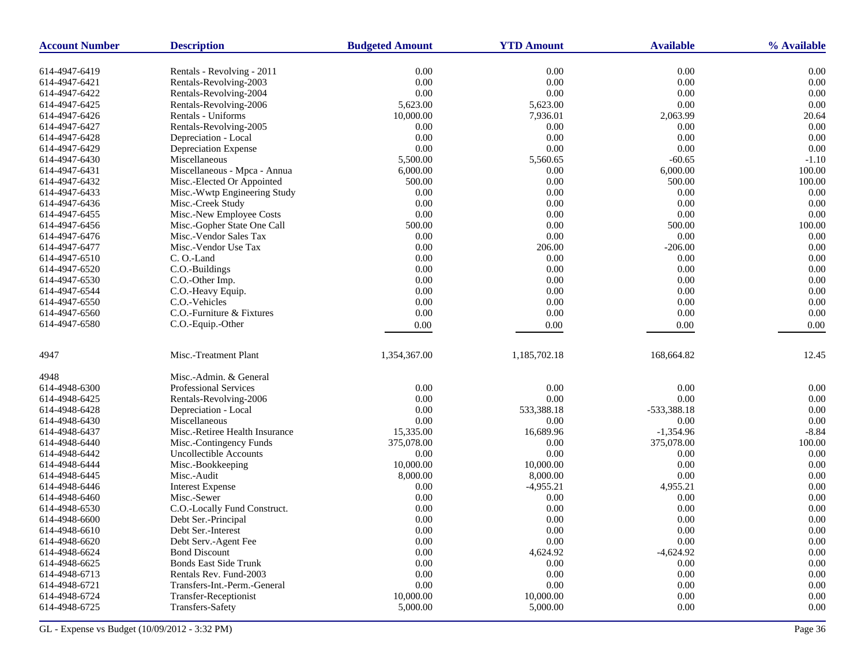| <b>Account Number</b> | <b>Description</b>             | <b>Budgeted Amount</b> | <b>YTD Amount</b> | <b>Available</b> | % Available |
|-----------------------|--------------------------------|------------------------|-------------------|------------------|-------------|
| 614-4947-6419         | Rentals - Revolving - 2011     | 0.00                   | 0.00              | 0.00             | 0.00        |
| 614-4947-6421         | Rentals-Revolving-2003         | 0.00                   | $0.00\,$          | 0.00             | 0.00        |
| 614-4947-6422         | Rentals-Revolving-2004         | 0.00                   | 0.00              | 0.00             | 0.00        |
| 614-4947-6425         | Rentals-Revolving-2006         | 5,623.00               | 5,623.00          | 0.00             | 0.00        |
| 614-4947-6426         | Rentals - Uniforms             | 10,000.00              | 7,936.01          | 2,063.99         | 20.64       |
| 614-4947-6427         | Rentals-Revolving-2005         | 0.00                   | 0.00              | 0.00             | 0.00        |
| 614-4947-6428         | Depreciation - Local           | 0.00                   | 0.00              | 0.00             | 0.00        |
| 614-4947-6429         | Depreciation Expense           | 0.00                   | $0.00\,$          | 0.00             | 0.00        |
| 614-4947-6430         | Miscellaneous                  | 5,500.00               | 5,560.65          | $-60.65$         | $-1.10$     |
| 614-4947-6431         | Miscellaneous - Mpca - Annua   | 6,000.00               | 0.00              | 6,000.00         | 100.00      |
| 614-4947-6432         | Misc.-Elected Or Appointed     | 500.00                 | $0.00\,$          | 500.00           | 100.00      |
| 614-4947-6433         | Misc.-Wwtp Engineering Study   | 0.00                   | 0.00              | 0.00             | 0.00        |
| 614-4947-6436         | Misc.-Creek Study              | 0.00                   | $0.00\,$          | 0.00             | 0.00        |
| 614-4947-6455         | Misc.-New Employee Costs       | 0.00                   | $0.00\,$          | 0.00             | 0.00        |
| 614-4947-6456         | Misc.-Gopher State One Call    | 500.00                 | 0.00              | 500.00           | 100.00      |
| 614-4947-6476         | Misc.-Vendor Sales Tax         | 0.00                   | 0.00              | 0.00             | 0.00        |
| 614-4947-6477         | Misc.-Vendor Use Tax           | 0.00                   | 206.00            | $-206.00$        | 0.00        |
| 614-4947-6510         | C.O.-Land                      | 0.00                   | 0.00              | 0.00             | 0.00        |
| 614-4947-6520         | C.O.-Buildings                 | 0.00                   | 0.00              | 0.00             | 0.00        |
| 614-4947-6530         | C.O.-Other Imp.                | 0.00                   | 0.00              | 0.00             | 0.00        |
| 614-4947-6544         | C.O.-Heavy Equip.              | 0.00                   | $0.00\,$          | 0.00             | 0.00        |
| 614-4947-6550         | C.O.-Vehicles                  | 0.00                   | 0.00              | 0.00             | 0.00        |
| 614-4947-6560         | C.O.-Furniture & Fixtures      | 0.00                   | 0.00              | 0.00             | 0.00        |
| 614-4947-6580         | C.O.-Equip.-Other              | 0.00                   | 0.00              | 0.00             | 0.00        |
|                       |                                |                        |                   |                  |             |
| 4947                  | Misc.-Treatment Plant          | 1,354,367.00           | 1,185,702.18      | 168,664.82       | 12.45       |
| 4948                  | Misc.-Admin. & General         |                        |                   |                  |             |
| 614-4948-6300         | Professional Services          | 0.00                   | 0.00              | 0.00             | 0.00        |
| 614-4948-6425         | Rentals-Revolving-2006         | 0.00                   | $0.00\,$          | 0.00             | 0.00        |
| 614-4948-6428         | Depreciation - Local           | 0.00                   | 533,388.18        | -533,388.18      | 0.00        |
| 614-4948-6430         | Miscellaneous                  | 0.00                   | 0.00              | 0.00             | 0.00        |
| 614-4948-6437         | Misc.-Retiree Health Insurance | 15,335.00              | 16,689.96         | $-1,354.96$      | $-8.84$     |
| 614-4948-6440         | Misc.-Contingency Funds        | 375,078.00             | 0.00              | 375,078.00       | 100.00      |
| 614-4948-6442         | <b>Uncollectible Accounts</b>  | 0.00                   | 0.00              | 0.00             | 0.00        |
| 614-4948-6444         | Misc.-Bookkeeping              | 10,000.00              | 10,000.00         | 0.00             | 0.00        |
| 614-4948-6445         | Misc.-Audit                    | 8,000.00               | 8,000.00          | 0.00             | 0.00        |
| 614-4948-6446         | <b>Interest Expense</b>        | 0.00                   | $-4,955.21$       | 4,955.21         | 0.00        |
| 614-4948-6460         | Misc.-Sewer                    | 0.00                   | 0.00              | 0.00             | 0.00        |
| 614-4948-6530         | C.O.-Locally Fund Construct.   | 0.00                   | 0.00              | 0.00             | 0.00        |
| 614-4948-6600         | Debt Ser.-Principal            | 0.00                   | 0.00              | 0.00             | 0.00        |
| 614-4948-6610         | Debt Ser.-Interest             | 0.00                   | $0.00\,$          | 0.00             | 0.00        |
| 614-4948-6620         | Debt Serv.-Agent Fee           | 0.00                   | 0.00              | 0.00             | 0.00        |
| 614-4948-6624         | <b>Bond Discount</b>           | 0.00                   | 4,624.92          | $-4,624.92$      | $0.00\,$    |
| 614-4948-6625         | <b>Bonds East Side Trunk</b>   | 0.00                   | 0.00              | 0.00             | 0.00        |
| 614-4948-6713         | Rentals Rev. Fund-2003         | $0.00\,$               | $0.00\,$          | 0.00             | $0.00\,$    |
| 614-4948-6721         | Transfers-Int.-Perm.-General   | 0.00                   | $0.00\,$          | 0.00             | $0.00\,$    |
| 614-4948-6724         | Transfer-Receptionist          | 10,000.00              | 10,000.00         | 0.00             | 0.00        |
| 614-4948-6725         | <b>Transfers-Safety</b>        | 5,000.00               | 5,000.00          | 0.00             | $0.00\,$    |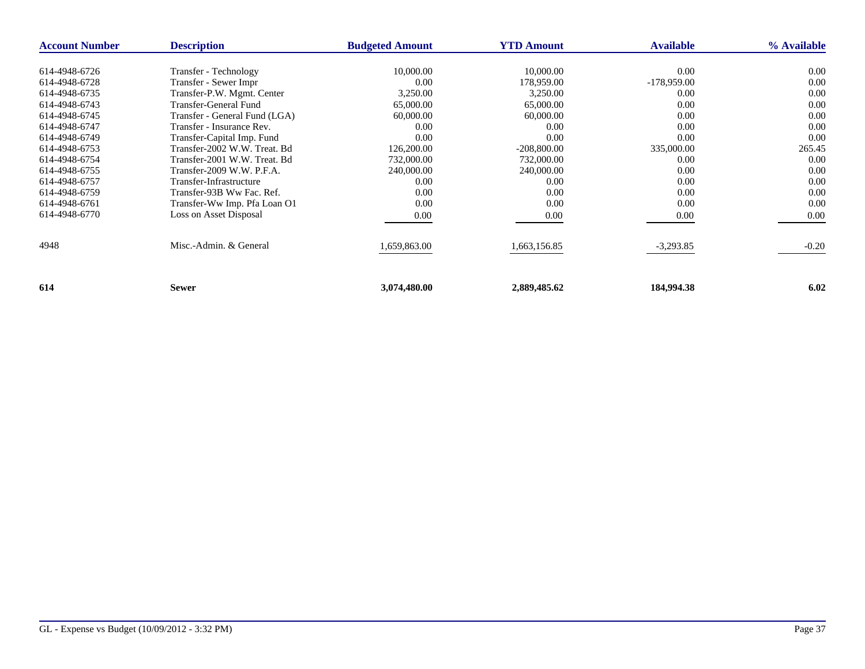| <b>Account Number</b> | <b>Description</b>            | <b>Budgeted Amount</b> | <b>YTD Amount</b> | <b>Available</b> | % Available |
|-----------------------|-------------------------------|------------------------|-------------------|------------------|-------------|
| 614-4948-6726         |                               |                        |                   |                  |             |
|                       | Transfer - Technology         | 10,000.00              | 10,000.00         | 0.00             | 0.00        |
| 614-4948-6728         | Transfer - Sewer Impr         | 0.00                   | 178,959.00        | $-178,959.00$    | 0.00        |
| 614-4948-6735         | Transfer-P.W. Mgmt. Center    | 3,250.00               | 3,250.00          | 0.00             | 0.00        |
| 614-4948-6743         | Transfer-General Fund         | 65,000.00              | 65,000.00         | 0.00             | 0.00        |
| 614-4948-6745         | Transfer - General Fund (LGA) | 60,000.00              | 60,000.00         | 0.00             | 0.00        |
| 614-4948-6747         | Transfer - Insurance Rev.     | 0.00                   | 0.00              | 0.00             | 0.00        |
| 614-4948-6749         | Transfer-Capital Imp. Fund    | 0.00                   | 0.00              | 0.00             | 0.00        |
| 614-4948-6753         | Transfer-2002 W.W. Treat. Bd  | 126,200.00             | $-208,800.00$     | 335,000.00       | 265.45      |
| 614-4948-6754         | Transfer-2001 W.W. Treat. Bd  | 732,000.00             | 732,000.00        | 0.00             | 0.00        |
| 614-4948-6755         | Transfer-2009 W.W. P.F.A.     | 240,000.00             | 240,000.00        | 0.00             | 0.00        |
| 614-4948-6757         | Transfer-Infrastructure       | 0.00                   | 0.00              | 0.00             | 0.00        |
| 614-4948-6759         | Transfer-93B Ww Fac. Ref.     | 0.00                   | 0.00              | 0.00             | 0.00        |
| 614-4948-6761         | Transfer-Ww Imp. Pfa Loan O1  | 0.00                   | 0.00              | 0.00             | 0.00        |
| 614-4948-6770         | Loss on Asset Disposal        | 0.00                   | 0.00              | 0.00             | 0.00        |
| 4948                  | Misc.-Admin. & General        | 1,659,863.00           | 1,663,156.85      | $-3,293.85$      | $-0.20$     |
| 614                   | <b>Sewer</b>                  | 3,074,480.00           | 2,889,485.62      | 184,994.38       | 6.02        |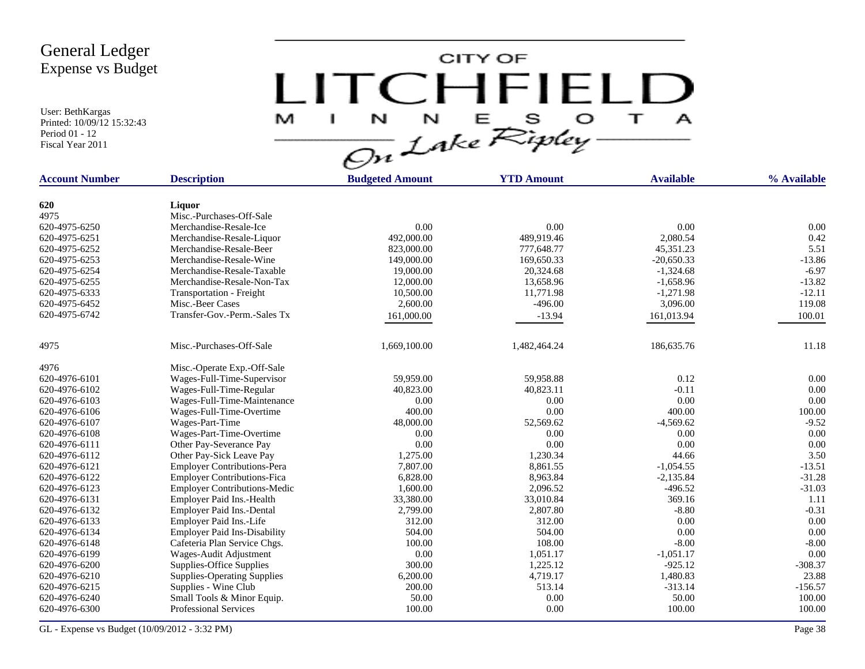User: BethKargas Printed: 10/09/12 15:32:43 Period 01 - 12 Fiscal Year 2011

 $LITCHTFIELD<sub>a</sub>  
\n $\frac{M-T}{\sqrt{2n}}\frac{1}{2abc}\sum_{k}^{N}E_{k}^{S}D_{k}^{S} + \frac{1}{2}$$ 

| <b>Account Number</b> | <b>Description</b>                  | <b>Budgeted Amount</b> | <b>YTD Amount</b> | <b>Available</b> | % Available |
|-----------------------|-------------------------------------|------------------------|-------------------|------------------|-------------|
|                       |                                     |                        |                   |                  |             |
| 620                   | Liquor                              |                        |                   |                  |             |
| 4975                  | Misc.-Purchases-Off-Sale            |                        |                   |                  |             |
| 620-4975-6250         | Merchandise-Resale-Ice              | 0.00                   | 0.00              | 0.00             | 0.00        |
| 620-4975-6251         | Merchandise-Resale-Liquor           | 492,000.00             | 489,919.46        | 2.080.54         | 0.42        |
| 620-4975-6252         | Merchandise-Resale-Beer             | 823,000.00             | 777,648.77        | 45,351.23        | 5.51        |
| 620-4975-6253         | Merchandise-Resale-Wine             | 149,000.00             | 169,650.33        | $-20.650.33$     | $-13.86$    |
| 620-4975-6254         | Merchandise-Resale-Taxable          | 19,000.00              | 20,324.68         | $-1,324.68$      | $-6.97$     |
| 620-4975-6255         | Merchandise-Resale-Non-Tax          | 12,000.00              | 13,658.96         | $-1,658.96$      | $-13.82$    |
| 620-4975-6333         | Transportation - Freight            | 10,500.00              | 11,771.98         | $-1,271.98$      | $-12.11$    |
| 620-4975-6452         | Misc.-Beer Cases                    | 2,600.00               | $-496.00$         | 3,096.00         | 119.08      |
| 620-4975-6742         | Transfer-Gov.-Perm.-Sales Tx        | 161,000.00             | $-13.94$          | 161,013.94       | 100.01      |
|                       |                                     |                        |                   |                  |             |
| 4975                  | Misc.-Purchases-Off-Sale            | 1.669.100.00           | 1,482,464.24      | 186,635.76       | 11.18       |
| 4976                  | Misc.-Operate Exp.-Off-Sale         |                        |                   |                  |             |
| 620-4976-6101         | Wages-Full-Time-Supervisor          | 59.959.00              | 59,958.88         | 0.12             | 0.00        |
| 620-4976-6102         | Wages-Full-Time-Regular             | 40,823.00              | 40,823.11         | $-0.11$          | 0.00        |
| 620-4976-6103         | Wages-Full-Time-Maintenance         | 0.00                   | 0.00              | 0.00             | 0.00        |
| 620-4976-6106         | Wages-Full-Time-Overtime            | 400.00                 | 0.00              | 400.00           | 100.00      |
| 620-4976-6107         | Wages-Part-Time                     | 48,000.00              | 52,569.62         | $-4,569.62$      | $-9.52$     |
| 620-4976-6108         | Wages-Part-Time-Overtime            | 0.00                   | 0.00              | 0.00             | 0.00        |
| 620-4976-6111         | Other Pay-Severance Pay             | 0.00                   | 0.00              | 0.00             | 0.00        |
| 620-4976-6112         | Other Pay-Sick Leave Pay            | 1,275.00               | 1,230.34          | 44.66            | 3.50        |
| 620-4976-6121         | <b>Employer Contributions-Pera</b>  | 7,807.00               | 8,861.55          | $-1,054.55$      | $-13.51$    |
| 620-4976-6122         | <b>Employer Contributions-Fica</b>  | 6,828.00               | 8,963.84          | $-2,135.84$      | $-31.28$    |
| 620-4976-6123         | <b>Employer Contributions-Medic</b> | 1,600.00               | 2,096.52          | $-496.52$        | $-31.03$    |
| 620-4976-6131         | Employer Paid Ins.-Health           | 33,380.00              | 33,010.84         | 369.16           | 1.11        |
| 620-4976-6132         | <b>Employer Paid Ins.-Dental</b>    | 2,799.00               | 2,807.80          | $-8.80$          | $-0.31$     |
| 620-4976-6133         | Employer Paid Ins.-Life             | 312.00                 | 312.00            | 0.00             | 0.00        |
| 620-4976-6134         | <b>Employer Paid Ins-Disability</b> | 504.00                 | 504.00            | 0.00             | 0.00        |
| 620-4976-6148         | Cafeteria Plan Service Chgs.        | 100.00                 | 108.00            | $-8.00$          | $-8.00$     |
| 620-4976-6199         | Wages-Audit Adjustment              | 0.00                   | 1,051.17          | $-1,051.17$      | 0.00        |
| 620-4976-6200         | Supplies-Office Supplies            | 300.00                 | 1,225.12          | $-925.12$        | $-308.37$   |
| 620-4976-6210         | <b>Supplies-Operating Supplies</b>  | 6,200.00               | 4,719.17          | 1,480.83         | 23.88       |
| 620-4976-6215         | Supplies - Wine Club                | 200.00                 | 513.14            | $-313.14$        | $-156.57$   |
| 620-4976-6240         | Small Tools & Minor Equip.          | 50.00                  | 0.00              | 50.00            | 100.00      |
| 620-4976-6300         | <b>Professional Services</b>        | 100.00                 | 0.00              | 100.00           | 100.00      |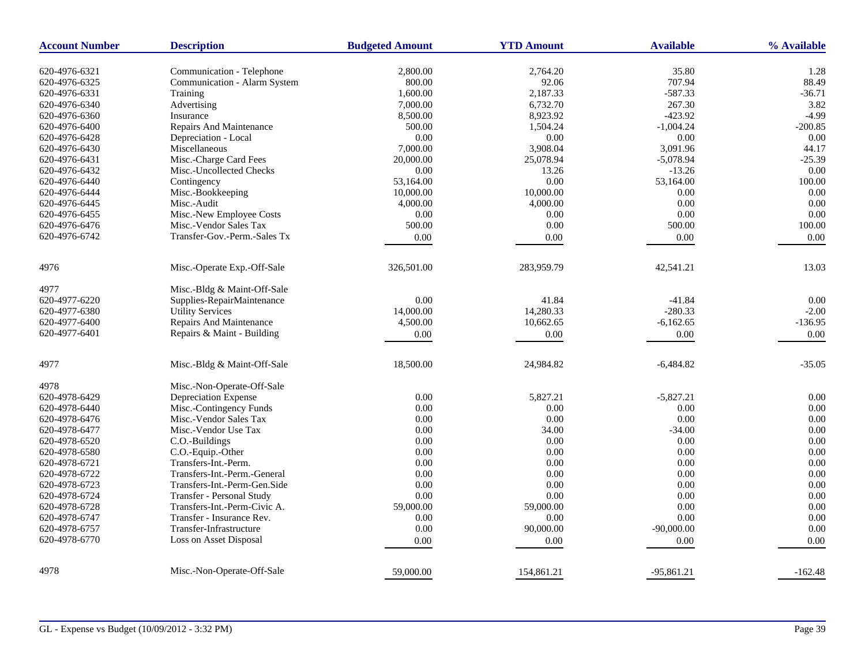| <b>Account Number</b> | <b>Description</b>                    | <b>Budgeted Amount</b> | <b>YTD Amount</b> | <b>Available</b> | % Available |
|-----------------------|---------------------------------------|------------------------|-------------------|------------------|-------------|
| 620-4976-6321         | Communication - Telephone             | 2,800.00               | 2,764.20          | 35.80            | 1.28        |
| 620-4976-6325         | Communication - Alarm System          | 800.00                 | 92.06             | 707.94           | 88.49       |
| 620-4976-6331         | Training                              | 1,600.00               | 2,187.33          | $-587.33$        | $-36.71$    |
| 620-4976-6340         | Advertising                           | 7,000.00               | 6,732.70          | 267.30           | 3.82        |
| 620-4976-6360         | Insurance                             | 8,500.00               | 8,923.92          | $-423.92$        | $-4.99$     |
| 620-4976-6400         | Repairs And Maintenance               | 500.00                 | 1,504.24          | $-1,004.24$      | $-200.85$   |
| 620-4976-6428         |                                       | 0.00                   | 0.00              | 0.00             | 0.00        |
|                       | Depreciation - Local<br>Miscellaneous |                        | 3,908.04          | 3,091.96         | 44.17       |
| 620-4976-6430         | Misc.-Charge Card Fees                | 7,000.00<br>20,000.00  | 25,078.94         | $-5,078.94$      | $-25.39$    |
| 620-4976-6431         |                                       |                        |                   |                  |             |
| 620-4976-6432         | Misc.-Uncollected Checks              | 0.00                   | 13.26             | $-13.26$         | 0.00        |
| 620-4976-6440         | Contingency                           | 53,164.00              | 0.00              | 53,164.00        | 100.00      |
| 620-4976-6444         | Misc.-Bookkeeping                     | 10,000.00              | 10,000.00         | 0.00             | 0.00        |
| 620-4976-6445         | Misc.-Audit                           | 4,000.00               | 4,000.00          | 0.00             | 0.00        |
| 620-4976-6455         | Misc.-New Employee Costs              | 0.00                   | 0.00              | 0.00             | 0.00        |
| 620-4976-6476         | Misc.-Vendor Sales Tax                | 500.00                 | 0.00              | 500.00           | 100.00      |
| 620-4976-6742         | Transfer-Gov.-Perm.-Sales Tx          | $0.00\,$               | 0.00              | $0.00\,$         | 0.00        |
| 4976                  | Misc.-Operate Exp.-Off-Sale           | 326,501.00             | 283,959.79        | 42,541.21        | 13.03       |
| 4977                  | Misc.-Bldg & Maint-Off-Sale           |                        |                   |                  |             |
| 620-4977-6220         | Supplies-RepairMaintenance            | 0.00                   | 41.84             | $-41.84$         | 0.00        |
| 620-4977-6380         | <b>Utility Services</b>               | 14,000.00              | 14,280.33         | $-280.33$        | $-2.00$     |
| 620-4977-6400         | Repairs And Maintenance               | 4,500.00               | 10,662.65         | $-6,162.65$      | $-136.95$   |
| 620-4977-6401         | Repairs & Maint - Building            | 0.00                   | 0.00              | 0.00             | 0.00        |
|                       |                                       |                        |                   |                  |             |
| 4977                  | Misc.-Bldg & Maint-Off-Sale           | 18,500.00              | 24,984.82         | $-6,484.82$      | $-35.05$    |
| 4978                  | Misc.-Non-Operate-Off-Sale            |                        |                   |                  |             |
| 620-4978-6429         | Depreciation Expense                  | 0.00                   | 5,827.21          | $-5,827.21$      | 0.00        |
| 620-4978-6440         | Misc.-Contingency Funds               | 0.00                   | 0.00              | 0.00             | 0.00        |
| 620-4978-6476         | Misc.-Vendor Sales Tax                | 0.00                   | 0.00              | 0.00             | 0.00        |
| 620-4978-6477         | Misc.-Vendor Use Tax                  | 0.00                   | 34.00             | $-34.00$         | 0.00        |
| 620-4978-6520         | C.O.-Buildings                        | 0.00                   | 0.00              | 0.00             | 0.00        |
| 620-4978-6580         | C.O.-Equip.-Other                     | 0.00                   | 0.00              | 0.00             | 0.00        |
| 620-4978-6721         | Transfers-Int.-Perm.                  | 0.00                   | 0.00              | 0.00             | 0.00        |
| 620-4978-6722         | Transfers-Int.-Perm.-General          | 0.00                   | 0.00              | 0.00             | 0.00        |
| 620-4978-6723         | Transfers-Int.-Perm-Gen.Side          | 0.00                   | 0.00              | 0.00             | 0.00        |
| 620-4978-6724         | Transfer - Personal Study             | 0.00                   | 0.00              | 0.00             | 0.00        |
| 620-4978-6728         | Transfers-Int.-Perm-Civic A.          | 59,000.00              | 59,000.00         | 0.00             | 0.00        |
| 620-4978-6747         | Transfer - Insurance Rev.             | 0.00                   | 0.00              | 0.00             | 0.00        |
| 620-4978-6757         | Transfer-Infrastructure               | 0.00                   | 90,000.00         | $-90,000.00$     | 0.00        |
| 620-4978-6770         | Loss on Asset Disposal                | 0.00                   | 0.00              | 0.00             | 0.00        |
| 4978                  | Misc.-Non-Operate-Off-Sale            |                        |                   |                  |             |
|                       |                                       | 59,000.00              | 154,861.21        | $-95,861.21$     | $-162.48$   |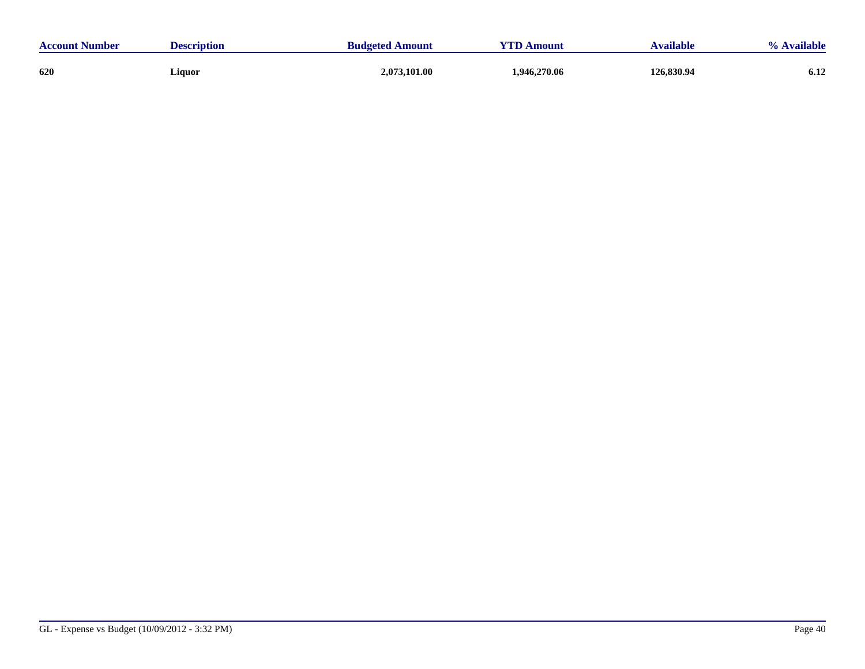| <b>Account Number</b> | <b>Description</b> | <b>Budgeted Amount</b> | YTD A<br><b>Amount</b> |            | Available |
|-----------------------|--------------------|------------------------|------------------------|------------|-----------|
| 620                   | Liquor             | 2,073,101.00           | 1,946,270.06           | 126,830.94 | 6.12      |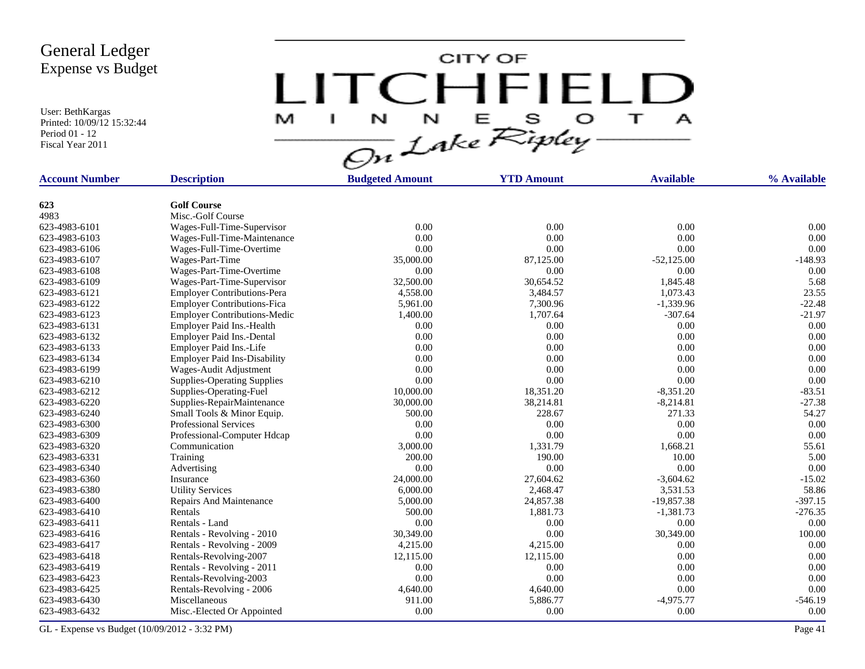User: BethKargas Printed: 10/09/12 15:32:44 Period 01 - 12 Fiscal Year 2011

LITCHFIELD

| <b>Account Number</b> | <b>Description</b>                  | <b>Budgeted Amount</b> | <b>YTD Amount</b> | <b>Available</b> | % Available |
|-----------------------|-------------------------------------|------------------------|-------------------|------------------|-------------|
|                       |                                     |                        |                   |                  |             |
| 623                   | <b>Golf Course</b>                  |                        |                   |                  |             |
| 4983                  | Misc.-Golf Course                   |                        |                   |                  |             |
| 623-4983-6101         | Wages-Full-Time-Supervisor          | 0.00                   | 0.00              | 0.00             | 0.00        |
| 623-4983-6103         | Wages-Full-Time-Maintenance         | 0.00                   | 0.00              | 0.00             | 0.00        |
| 623-4983-6106         | Wages-Full-Time-Overtime            | 0.00                   | 0.00              | 0.00             | 0.00        |
| 623-4983-6107         | Wages-Part-Time                     | 35,000.00              | 87,125.00         | $-52,125.00$     | $-148.93$   |
| 623-4983-6108         | Wages-Part-Time-Overtime            | 0.00                   | 0.00              | 0.00             | 0.00        |
| 623-4983-6109         | Wages-Part-Time-Supervisor          | 32,500.00              | 30,654.52         | 1,845.48         | 5.68        |
| 623-4983-6121         | <b>Employer Contributions-Pera</b>  | 4,558.00               | 3,484.57          | 1,073.43         | 23.55       |
| 623-4983-6122         | <b>Employer Contributions-Fica</b>  | 5,961.00               | 7,300.96          | $-1,339.96$      | $-22.48$    |
| 623-4983-6123         | <b>Employer Contributions-Medic</b> | 1,400.00               | 1,707.64          | $-307.64$        | $-21.97$    |
| 623-4983-6131         | Employer Paid Ins.-Health           | 0.00                   | 0.00              | 0.00             | 0.00        |
| 623-4983-6132         | Employer Paid Ins.-Dental           | 0.00                   | 0.00              | 0.00             | 0.00        |
| 623-4983-6133         | Employer Paid Ins.-Life             | 0.00                   | 0.00              | 0.00             | 0.00        |
| 623-4983-6134         | <b>Employer Paid Ins-Disability</b> | 0.00                   | 0.00              | 0.00             | 0.00        |
| 623-4983-6199         | Wages-Audit Adjustment              | 0.00                   | 0.00              | 0.00             | 0.00        |
| 623-4983-6210         | <b>Supplies-Operating Supplies</b>  | 0.00                   | 0.00              | 0.00             | 0.00        |
| 623-4983-6212         | Supplies-Operating-Fuel             | 10,000.00              | 18,351.20         | $-8,351.20$      | $-83.51$    |
| 623-4983-6220         | Supplies-RepairMaintenance          | 30,000.00              | 38,214.81         | $-8,214.81$      | $-27.38$    |
| 623-4983-6240         | Small Tools & Minor Equip.          | 500.00                 | 228.67            | 271.33           | 54.27       |
| 623-4983-6300         | <b>Professional Services</b>        | 0.00                   | 0.00              | 0.00             | 0.00        |
| 623-4983-6309         | Professional-Computer Hdcap         | 0.00                   | 0.00              | 0.00             | 0.00        |
| 623-4983-6320         | Communication                       | 3,000.00               | 1,331.79          | 1,668.21         | 55.61       |
| 623-4983-6331         | Training                            | 200.00                 | 190.00            | 10.00            | 5.00        |
| 623-4983-6340         | Advertising                         | 0.00                   | 0.00              | 0.00             | 0.00        |
| 623-4983-6360         | Insurance                           | 24,000.00              | 27,604.62         | $-3,604.62$      | $-15.02$    |
| 623-4983-6380         | <b>Utility Services</b>             | 6,000.00               | 2,468.47          | 3,531.53         | 58.86       |
| 623-4983-6400         | Repairs And Maintenance             | 5,000.00               | 24,857.38         | $-19,857.38$     | $-397.15$   |
| 623-4983-6410         | Rentals                             | 500.00                 | 1,881.73          | $-1,381.73$      | $-276.35$   |
| 623-4983-6411         | Rentals - Land                      | 0.00                   | 0.00              | 0.00             | 0.00        |
| 623-4983-6416         | Rentals - Revolving - 2010          | 30,349.00              | 0.00              | 30,349.00        | 100.00      |
| 623-4983-6417         | Rentals - Revolving - 2009          | 4,215.00               | 4,215.00          | 0.00             | 0.00        |
|                       |                                     |                        | 12,115.00         | 0.00             | 0.00        |
| 623-4983-6418         | Rentals-Revolving-2007              | 12,115.00              |                   |                  |             |
| 623-4983-6419         | Rentals - Revolving - 2011          | 0.00                   | 0.00              | 0.00             | 0.00        |
| 623-4983-6423         | Rentals-Revolving-2003              | 0.00                   | 0.00              | 0.00             | 0.00        |
| 623-4983-6425         | Rentals-Revolving - 2006            | 4,640.00               | 4,640.00          | 0.00             | 0.00        |
| 623-4983-6430         | Miscellaneous                       | 911.00                 | 5,886.77          | $-4,975.77$      | $-546.19$   |
| 623-4983-6432         | Misc.-Elected Or Appointed          | 0.00                   | 0.00              | 0.00             | 0.00        |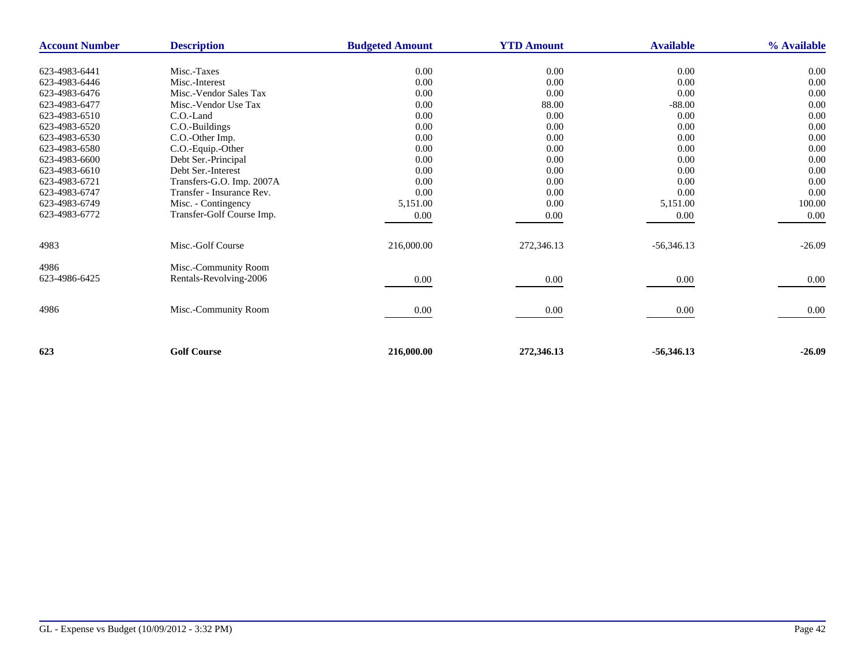| <b>Description</b><br><b>Account Number</b> |                           | <b>Budgeted Amount</b> | <b>YTD Amount</b> | <b>Available</b> | % Available |  |
|---------------------------------------------|---------------------------|------------------------|-------------------|------------------|-------------|--|
|                                             |                           |                        |                   |                  |             |  |
| 623-4983-6441                               | Misc.-Taxes               | 0.00                   | $0.00\,$          | $0.00\,$         | 0.00        |  |
| 623-4983-6446                               | Misc.-Interest            | 0.00                   | 0.00              | 0.00             | 0.00        |  |
| 623-4983-6476                               | Misc.-Vendor Sales Tax    | 0.00                   | 0.00              | 0.00             | 0.00        |  |
| 623-4983-6477                               | Misc.-Vendor Use Tax      | 0.00                   | 88.00             | $-88.00$         | 0.00        |  |
| 623-4983-6510                               | C.O.-Land                 | 0.00                   | 0.00              | 0.00             | 0.00        |  |
| 623-4983-6520                               | C.O.-Buildings            | 0.00                   | 0.00              | 0.00             | 0.00        |  |
| 623-4983-6530                               | C.O.-Other Imp.           | 0.00                   | 0.00              | 0.00             | 0.00        |  |
| 623-4983-6580                               | C.O.-Equip.-Other         | 0.00                   | 0.00              | 0.00             | 0.00        |  |
| 623-4983-6600                               | Debt Ser.-Principal       | 0.00                   | 0.00              | 0.00             | 0.00        |  |
| 623-4983-6610                               | Debt Ser.-Interest        | 0.00                   | 0.00              | 0.00             | 0.00        |  |
| 623-4983-6721                               | Transfers-G.O. Imp. 2007A | 0.00                   | 0.00              | 0.00             | 0.00        |  |
| 623-4983-6747                               | Transfer - Insurance Rev. | 0.00                   | 0.00              | 0.00             | 0.00        |  |
| 623-4983-6749                               | Misc. - Contingency       | 5,151.00               | 0.00              | 5,151.00         | 100.00      |  |
| 623-4983-6772                               | Transfer-Golf Course Imp. | 0.00                   | 0.00              | 0.00             | 0.00        |  |
| 4983                                        | Misc.-Golf Course         | 216,000.00             | 272,346.13        | $-56,346.13$     | $-26.09$    |  |
|                                             |                           |                        |                   |                  |             |  |
| 4986                                        | Misc.-Community Room      |                        |                   |                  |             |  |
| 623-4986-6425                               | Rentals-Revolving-2006    | 0.00                   | 0.00              | $0.00\,$         | 0.00        |  |
|                                             |                           |                        |                   |                  |             |  |
| 4986                                        | Misc.-Community Room      | $0.00\,$               | 0.00              | $0.00\,$         | 0.00        |  |
|                                             |                           |                        |                   |                  |             |  |
|                                             |                           |                        |                   |                  |             |  |
| 623                                         | <b>Golf Course</b>        | 216,000.00             | 272,346.13        | $-56,346.13$     | $-26.09$    |  |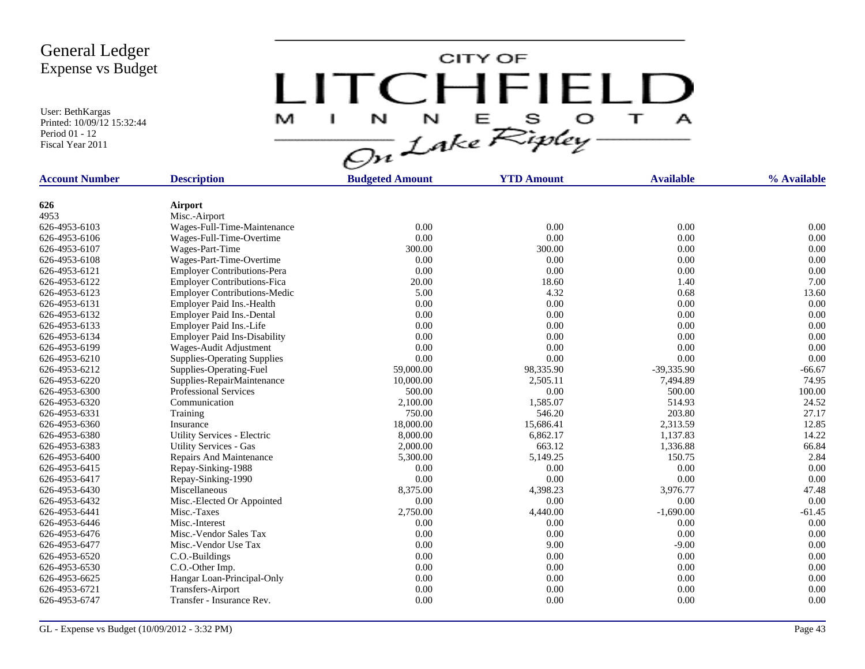User: BethKargas Printed: 10/09/12 15:32:44 Period 01 - 12 Fiscal Year 2011



| <b>Account Number</b> | <b>Description</b>                  | <b>Budgeted Amount</b> | <b>YTD Amount</b> | <b>Available</b> | % Available |
|-----------------------|-------------------------------------|------------------------|-------------------|------------------|-------------|
| 626                   | <b>Airport</b>                      |                        |                   |                  |             |
| 4953                  | Misc.-Airport                       |                        |                   |                  |             |
| 626-4953-6103         | Wages-Full-Time-Maintenance         | 0.00                   | 0.00              | 0.00             | 0.00        |
| 626-4953-6106         | Wages-Full-Time-Overtime            | 0.00                   | 0.00              | 0.00             | 0.00        |
| 626-4953-6107         | Wages-Part-Time                     | 300.00                 | 300.00            | 0.00             | 0.00        |
| 626-4953-6108         | Wages-Part-Time-Overtime            | 0.00                   | 0.00              | 0.00             | 0.00        |
| 626-4953-6121         | <b>Employer Contributions-Pera</b>  | 0.00                   | 0.00              | 0.00             | 0.00        |
| 626-4953-6122         | <b>Employer Contributions-Fica</b>  | 20.00                  | 18.60             | 1.40             | 7.00        |
| 626-4953-6123         | <b>Employer Contributions-Medic</b> | 5.00                   | 4.32              | 0.68             | 13.60       |
| 626-4953-6131         | Employer Paid Ins.-Health           | 0.00                   | 0.00              | 0.00             | 0.00        |
| 626-4953-6132         | Employer Paid Ins.-Dental           | 0.00                   | 0.00              | 0.00             | 0.00        |
| 626-4953-6133         | Employer Paid Ins.-Life             | 0.00                   | 0.00              | 0.00             | 0.00        |
| 626-4953-6134         | <b>Employer Paid Ins-Disability</b> | 0.00                   | 0.00              | 0.00             | 0.00        |
| 626-4953-6199         | Wages-Audit Adjustment              | 0.00                   | 0.00              | 0.00             | 0.00        |
| 626-4953-6210         | <b>Supplies-Operating Supplies</b>  | 0.00                   | 0.00              | 0.00             | 0.00        |
| 626-4953-6212         | Supplies-Operating-Fuel             | 59,000.00              | 98,335.90         | $-39,335.90$     | $-66.67$    |
| 626-4953-6220         | Supplies-RepairMaintenance          | 10,000.00              | 2,505.11          | 7,494.89         | 74.95       |
| 626-4953-6300         | <b>Professional Services</b>        | 500.00                 | 0.00              | 500.00           | 100.00      |
| 626-4953-6320         | Communication                       | 2,100.00               | 1,585.07          | 514.93           | 24.52       |
| 626-4953-6331         | Training                            | 750.00                 | 546.20            | 203.80           | 27.17       |
| 626-4953-6360         | Insurance                           | 18,000.00              | 15,686.41         | 2,313.59         | 12.85       |
| 626-4953-6380         | Utility Services - Electric         | 8,000.00               | 6,862.17          | 1,137.83         | 14.22       |
| 626-4953-6383         | Utility Services - Gas              | 2,000.00               | 663.12            | 1,336.88         | 66.84       |
| 626-4953-6400         | <b>Repairs And Maintenance</b>      | 5,300.00               | 5,149.25          | 150.75           | 2.84        |
| 626-4953-6415         | Repay-Sinking-1988                  | 0.00                   | 0.00              | 0.00             | 0.00        |
| 626-4953-6417         | Repay-Sinking-1990                  | 0.00                   | 0.00              | 0.00             | 0.00        |
| 626-4953-6430         | Miscellaneous                       | 8,375.00               | 4,398.23          | 3,976.77         | 47.48       |
| 626-4953-6432         | Misc.-Elected Or Appointed          | 0.00                   | 0.00              | 0.00             | 0.00        |
| 626-4953-6441         | Misc.-Taxes                         | 2,750.00               | 4,440.00          | $-1,690.00$      | $-61.45$    |
| 626-4953-6446         | Misc.-Interest                      | 0.00                   | 0.00              | 0.00             | 0.00        |
| 626-4953-6476         | Misc.-Vendor Sales Tax              | 0.00                   | 0.00              | 0.00             | 0.00        |
| 626-4953-6477         | Misc.-Vendor Use Tax                | 0.00                   | 9.00              | $-9.00$          | 0.00        |
| 626-4953-6520         | C.O.-Buildings                      | 0.00                   | 0.00              | 0.00             | 0.00        |
| 626-4953-6530         | C.O.-Other Imp.                     | 0.00                   | 0.00              | 0.00             | 0.00        |
| 626-4953-6625         | Hangar Loan-Principal-Only          | 0.00                   | 0.00              | 0.00             | 0.00        |
| 626-4953-6721         | Transfers-Airport                   | 0.00                   | 0.00              | 0.00             | 0.00        |
| 626-4953-6747         | Transfer - Insurance Rev.           | 0.00                   | 0.00              | 0.00             | 0.00        |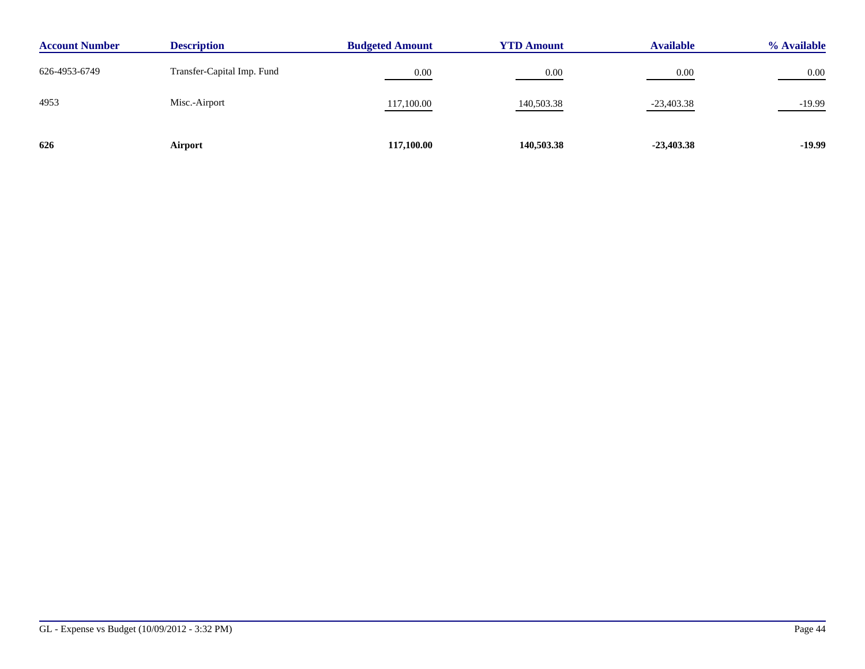| <b>Account Number</b> | <b>Description</b>         | <b>Budgeted Amount</b> | <b>YTD Amount</b> | <b>Available</b> | % Available |
|-----------------------|----------------------------|------------------------|-------------------|------------------|-------------|
| 626-4953-6749         | Transfer-Capital Imp. Fund | 0.00                   | 0.00              | 0.00             | 0.00        |
| 4953                  | Misc.-Airport              | 117,100.00             | 140,503.38        | $-23,403.38$     | $-19.99$    |
| 626                   | Airport                    | 117,100.00             | 140,503.38        | $-23,403.38$     | $-19.99$    |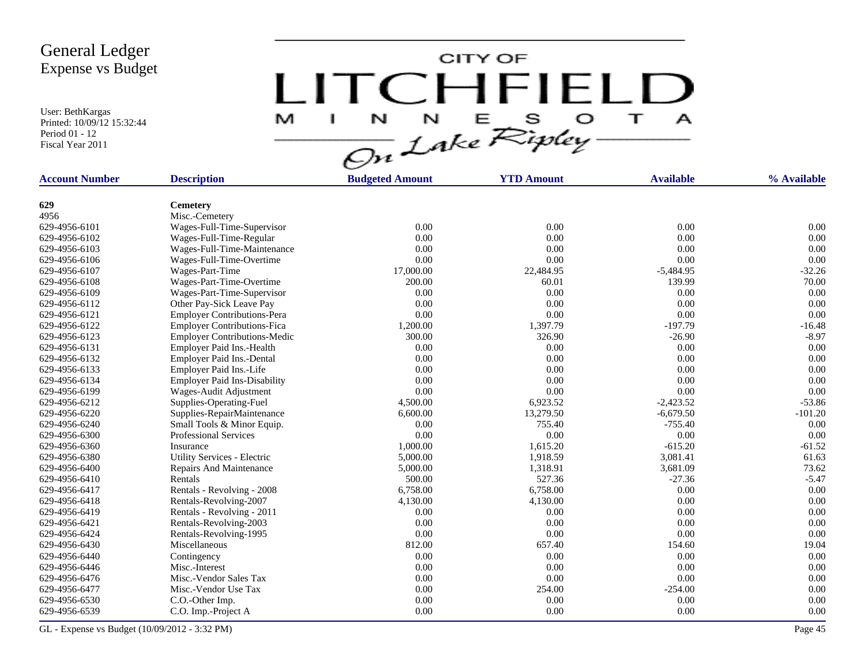User: BethKargas Printed: 10/09/12 15:32:44 Period 01 - 12 Fiscal Year 2011

LITCHFIELD

| <b>Account Number</b> | <b>Description</b>                                      | <b>Budgeted Amount</b> | <b>YTD Amount</b>  | <b>Available</b>      | % Available |
|-----------------------|---------------------------------------------------------|------------------------|--------------------|-----------------------|-------------|
|                       |                                                         |                        |                    |                       |             |
| 629<br>4956           | Cemetery<br>Misc.-Cemetery                              |                        |                    |                       |             |
| 629-4956-6101         | Wages-Full-Time-Supervisor                              | 0.00                   | 0.00               | 0.00                  | 0.00        |
| 629-4956-6102         |                                                         | 0.00                   | 0.00               | 0.00                  | 0.00        |
| 629-4956-6103         | Wages-Full-Time-Regular                                 | 0.00                   | 0.00               | 0.00                  | 0.00        |
| 629-4956-6106         | Wages-Full-Time-Maintenance<br>Wages-Full-Time-Overtime | 0.00                   | 0.00               | 0.00                  | 0.00        |
| 629-4956-6107         |                                                         | 17,000.00              |                    |                       | $-32.26$    |
| 629-4956-6108         | Wages-Part-Time                                         | 200.00                 | 22,484.95<br>60.01 | $-5,484.95$<br>139.99 | 70.00       |
|                       | Wages-Part-Time-Overtime                                |                        |                    |                       |             |
| 629-4956-6109         | Wages-Part-Time-Supervisor                              | 0.00                   | 0.00               | 0.00                  | 0.00        |
| 629-4956-6112         | Other Pay-Sick Leave Pay                                | 0.00                   | 0.00               | 0.00                  | 0.00        |
| 629-4956-6121         | <b>Employer Contributions-Pera</b>                      | 0.00                   | 0.00               | 0.00                  | 0.00        |
| 629-4956-6122         | <b>Employer Contributions-Fica</b>                      | 1,200.00               | 1,397.79           | $-197.79$             | $-16.48$    |
| 629-4956-6123         | <b>Employer Contributions-Medic</b>                     | 300.00                 | 326.90             | $-26.90$              | $-8.97$     |
| 629-4956-6131         | Employer Paid Ins.-Health                               | 0.00                   | 0.00               | 0.00                  | 0.00        |
| 629-4956-6132         | Employer Paid Ins.-Dental                               | 0.00                   | 0.00               | 0.00                  | 0.00        |
| 629-4956-6133         | Employer Paid Ins.-Life                                 | 0.00                   | 0.00               | 0.00                  | 0.00        |
| 629-4956-6134         | <b>Employer Paid Ins-Disability</b>                     | 0.00                   | 0.00               | 0.00                  | 0.00        |
| 629-4956-6199         | Wages-Audit Adjustment                                  | 0.00                   | 0.00               | 0.00                  | 0.00        |
| 629-4956-6212         | Supplies-Operating-Fuel                                 | 4,500.00               | 6,923.52           | $-2,423.52$           | $-53.86$    |
| 629-4956-6220         | Supplies-RepairMaintenance                              | 6,600.00               | 13,279.50          | $-6,679.50$           | $-101.20$   |
| 629-4956-6240         | Small Tools & Minor Equip.                              | 0.00                   | 755.40             | $-755.40$             | 0.00        |
| 629-4956-6300         | <b>Professional Services</b>                            | 0.00                   | 0.00               | 0.00                  | 0.00        |
| 629-4956-6360         | Insurance                                               | 1,000.00               | 1,615.20           | $-615.20$             | $-61.52$    |
| 629-4956-6380         | Utility Services - Electric                             | 5,000.00               | 1,918.59           | 3,081.41              | 61.63       |
| 629-4956-6400         | Repairs And Maintenance                                 | 5,000.00               | 1,318.91           | 3,681.09              | 73.62       |
| 629-4956-6410         | Rentals                                                 | 500.00                 | 527.36             | $-27.36$              | $-5.47$     |
| 629-4956-6417         | Rentals - Revolving - 2008                              | 6,758.00               | 6,758.00           | 0.00                  | 0.00        |
| 629-4956-6418         | Rentals-Revolving-2007                                  | 4,130.00               | 4,130.00           | 0.00                  | 0.00        |
| 629-4956-6419         | Rentals - Revolving - 2011                              | 0.00                   | 0.00               | 0.00                  | 0.00        |
| 629-4956-6421         | Rentals-Revolving-2003                                  | 0.00                   | 0.00               | 0.00                  | 0.00        |
| 629-4956-6424         | Rentals-Revolving-1995                                  | 0.00                   | 0.00               | 0.00                  | 0.00        |
| 629-4956-6430         | Miscellaneous                                           | 812.00                 | 657.40             | 154.60                | 19.04       |
| 629-4956-6440         | Contingency                                             | 0.00                   | 0.00               | 0.00                  | 0.00        |
| 629-4956-6446         | Misc.-Interest                                          | 0.00                   | 0.00               | 0.00                  | 0.00        |
| 629-4956-6476         | Misc.-Vendor Sales Tax                                  | 0.00                   | 0.00               | 0.00                  | 0.00        |
| 629-4956-6477         | Misc.-Vendor Use Tax                                    | 0.00                   | 254.00             | $-254.00$             | 0.00        |
| 629-4956-6530         | C.O.-Other Imp.                                         | 0.00                   | 0.00               | 0.00                  | 0.00        |
| 629-4956-6539         | C.O. Imp.-Project A                                     | 0.00                   | 0.00               | 0.00                  | 0.00        |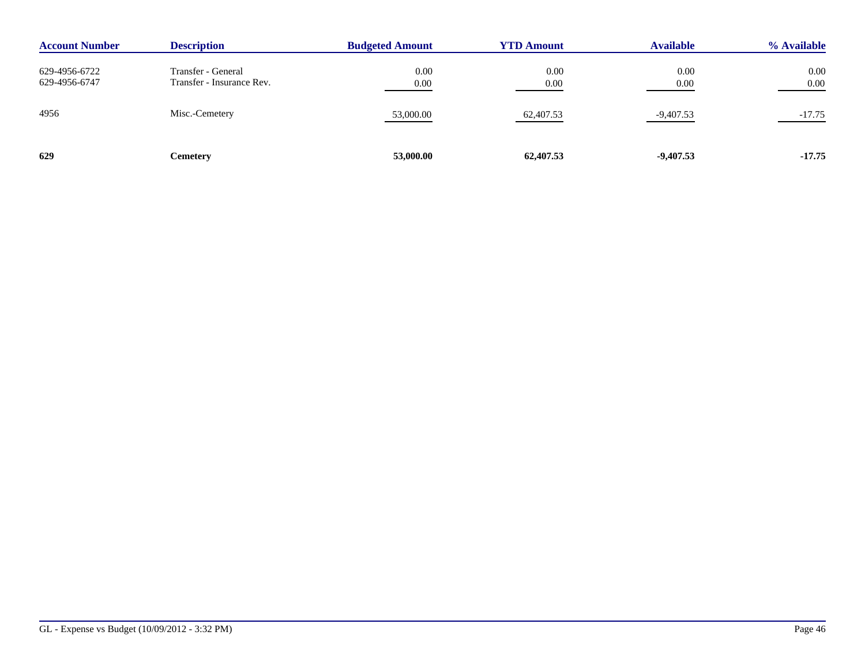| <b>Account Number</b>          | <b>Description</b>                              | <b>Budgeted Amount</b> | <b>YTD Amount</b> | <b>Available</b> | % Available  |
|--------------------------------|-------------------------------------------------|------------------------|-------------------|------------------|--------------|
| 629-4956-6722<br>629-4956-6747 | Transfer - General<br>Transfer - Insurance Rev. | 0.00<br>0.00           | 0.00<br>0.00      | 0.00<br>0.00     | 0.00<br>0.00 |
| 4956                           | Misc.-Cemetery                                  | 53,000.00              | 62,407.53         | $-9,407.53$      | -17.75       |
| 629                            | Cemetery                                        | 53,000.00              | 62,407.53         | $-9,407.53$      | $-17.75$     |